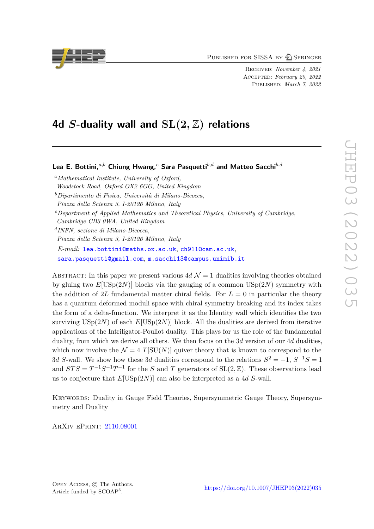PUBLISHED FOR SISSA BY 2 SPRINGER

Received: *November 4, 2021* Accepted: *February 20, 2022* Published: *March 7, 2022*

# **4d** *S***-duality wall and SL(2***,* Z**) relations**

**Lea E. Bottini,***a,b* **Chiung Hwang,***<sup>c</sup>* **Sara Pasquetti***b,d* **and Matteo Sacchi***b,d*

*<sup>a</sup>Mathematical Institute, University of Oxford, Woodstock Road, Oxford OX2 6GG, United Kingdom*

*<sup>b</sup>Dipartimento di Fisica, Università di Milano-Bicocca,*

*Piazza della Scienza 3, I-20126 Milano, Italy*

*<sup>c</sup>Department of Applied Mathematics and Theoretical Physics, University of Cambridge,*

*Cambridge CB3 0WA, United Kingdom*

*d INFN, sezione di Milano-Bicocca, Piazza della Scienza 3, I-20126 Milano, Italy E-mail:* [lea.bottini@maths.ox.ac.uk](mailto:lea.bottini@maths.ox.ac.uk), [ch911@cam.ac.uk](mailto:ch911@cam.ac.uk), [sara.pasquetti@gmail.com](mailto:sara.pasquetti@gmail.com), [m.sacchi13@campus.unimib.it](mailto:m.sacchi13@campus.unimib.it)

ABSTRACT: In this paper we present various  $4d \mathcal{N} = 1$  dualities involving theories obtained by gluing two  $E[USp(2N)]$  blocks via the gauging of a common  $USp(2N)$  symmetry with the addition of 2L fundamental matter chiral fields. For  $L = 0$  in particular the theory has a quantum deformed moduli space with chiral symmetry breaking and its index takes the form of a delta-function. We interpret it as the Identity wall which identifies the two surviving  $\text{USp}(2N)$  of each  $E[\text{USp}(2N)]$  block. All the dualities are derived from iterative applications of the Intriligator-Pouliot duality. This plays for us the role of the fundamental duality, from which we derive all others. We then focus on the 3*d* version of our 4*d* dualities, which now involve the  $\mathcal{N} = 4$  *T*[SU(*N*)] quiver theory that is known to correspond to the 3*d* S-wall. We show how these 3*d* dualities correspond to the relations  $S^2 = -1$ ,  $S^{-1}S = 1$ and  $STS = T^{-1}S^{-1}T^{-1}$  for the *S* and *T* generators of SL(2,  $\mathbb{Z}$ ). These observations lead us to conjecture that *E*[USp(2*N*)] can also be interpreted as a 4*d S*-wall.

Keywords: Duality in Gauge Field Theories, Supersymmetric Gauge Theory, Supersymmetry and Duality

ArXiv ePrint: [2110.08001](https://arxiv.org/abs/2110.08001)

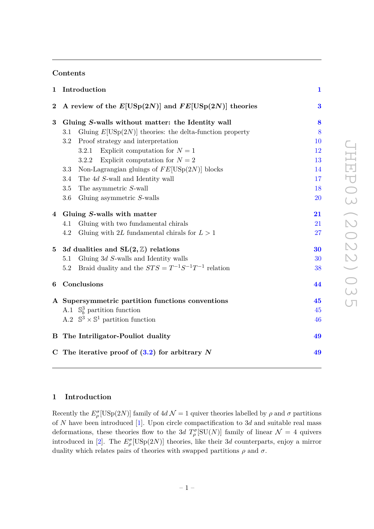# **Contents**

| Introduction<br>1 |                                                                  |          |  |
|-------------------|------------------------------------------------------------------|----------|--|
| $\boldsymbol{2}$  | A review of the $E[USp(2N)]$ and $FE[USp(2N)]$ theories          | $\bf{3}$ |  |
| 3                 | Gluing S-walls without matter: the Identity wall                 | 8        |  |
|                   | Gluing $E[USp(2N)]$ theories: the delta-function property<br>3.1 | 8        |  |
|                   | Proof strategy and interpretation<br>$3.2\,$                     | 10       |  |
|                   | Explicit computation for $N=1$<br>3.2.1                          | 12       |  |
|                   | Explicit computation for $N=2$<br>3.2.2                          | 13       |  |
|                   | Non-Lagrangian gluings of $FE[USp(2N)]$ blocks<br>3.3            | 14       |  |
|                   | 3.4<br>The 4d S-wall and Identity wall                           | 17       |  |
|                   | The asymmetric S-wall<br>3.5                                     | 18       |  |
|                   | Gluing asymmetric $S$ -walls<br>3.6                              | 20       |  |
| $\overline{4}$    | Gluing S-walls with matter                                       |          |  |
|                   | Gluing with two fundamental chirals<br>4.1                       | 21       |  |
|                   | 4.2<br>Gluing with 2L fundamental chirals for $L > 1$            | 27       |  |
| 5 <sup>5</sup>    | 3d dualities and $SL(2, \mathbb{Z})$ relations                   | 30       |  |
|                   | Gluing $3d$ S-walls and Identity walls<br>5.1                    | 30       |  |
|                   | Braid duality and the $STS=T^{-1}S^{-1}T^{-1}$ relation<br>5.2   | 38       |  |
| 6                 | Conclusions                                                      | 44       |  |
|                   | A Supersymmetric partition functions conventions                 | 45       |  |
|                   | A.1 $\mathbb{S}^3_b$ partition function                          | 45       |  |
|                   | A.2 $\mathbb{S}^3 \times \mathbb{S}^1$ partition function        | 46       |  |
|                   | <b>B</b> The Intriligator-Pouliot duality                        | 49       |  |
|                   | C The iterative proof of $(3.2)$ for arbitrary N                 | 49       |  |

# <span id="page-1-0"></span>**1 Introduction**

Recently the  $E_{\rho}^{\sigma}[\text{USp}(2N)]$  family of  $4d \mathcal{N}=1$  quiver theories labelled by  $\rho$  and  $\sigma$  partitions of *N* have been introduced [\[1\]](#page-53-0). Upon circle compactification to 3*d* and suitable real mass deformations, these theories flow to the 3*d*  $T_{\rho}^{\sigma}[\text{SU}(N)]$  family of linear  $\mathcal{N}=4$  quivers introduced in [\[2\]](#page-53-1). The  $E_{\rho}^{\sigma}[\text{USp}(2N)]$  theories, like their 3*d* counterparts, enjoy a mirror duality which relates pairs of theories with swapped partitions  $\rho$  and  $\sigma$ .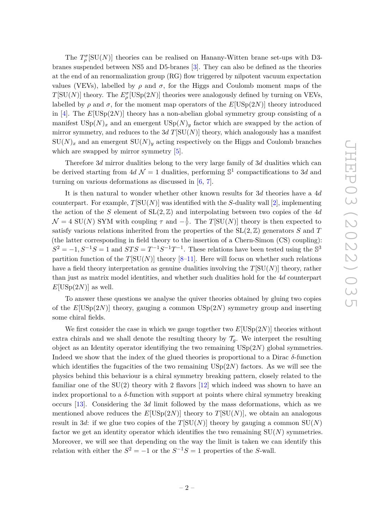The  $T_{\rho}^{\sigma}$ [SU(*N*)] theories can be realised on Hanany-Witten brane set-ups with D3branes suspended between NS5 and D5-branes [\[3\]](#page-53-2). They can also be defined as the theories at the end of an renormalization group (RG) flow triggered by nilpotent vacuum expectation values (VEVs), labelled by  $\rho$  and  $\sigma$ , for the Higgs and Coulomb moment maps of the *T*[SU(*N*)] theory. The  $E_{\rho}^{\sigma}$ [USp(2*N*)] theories were analogously defined by turning on VEVs, labelled by  $\rho$  and  $\sigma$ , for the moment map operators of the  $E[USp(2N)]$  theory introduced in [\[4\]](#page-53-3). The  $E[USp(2N)]$  theory has a non-abelian global symmetry group consisting of a manifest  $\text{USp}(N)_x$  and an emergent  $\text{USp}(N)_y$  factor which are swapped by the action of mirror symmetry, and reduces to the  $3d T[\text{SU}(N)]$  theory, which analogously has a manifest  $SU(N)_x$  and an emergent  $SU(N)_y$  acting respectively on the Higgs and Coulomb branches which are swapped by mirror symmetry  $[5]$ .

Therefore 3*d* mirror dualities belong to the very large family of 3*d* dualities which can be derived starting from  $4d \mathcal{N} = 1$  dualities, performing  $\mathbb{S}^1$  compactifications to 3*d* and turning on various deformations as discussed in [\[6,](#page-54-0) [7\]](#page-54-1).

It is then natural to wonder whether other known results for 3*d* theories have a 4*d* counterpart. For example,  $T[SU(N)]$  was identified with the *S*-duality wall [\[2\]](#page-53-1), implementing the action of the *S* element of SL(2*,* Z) and interpolating between two copies of the 4*d*  $\mathcal{N} = 4$  SU(*N*) SYM with coupling  $\tau$  and  $-\frac{1}{\tau}$  $\frac{1}{\tau}$ . The *T*[SU(*N*)] theory is then expected to satisfy various relations inherited from the properties of the  $SL(2, \mathbb{Z})$  generators *S* and *T* (the latter corresponding in field theory to the insertion of a Chern-Simon (CS) coupling):  $S^2 = -1, S^{-1}S = 1$  and  $STS = T^{-1}S^{-1}T^{-1}$ . These relations have been tested using the S<sup>3</sup> partition function of the  $T[SU(N)]$  theory  $[8-11]$  $[8-11]$ . Here will focus on whether such relations have a field theory interpretation as genuine dualities involving the *T*[SU(*N*)] theory, rather than just as matrix model identities, and whether such dualities hold for the 4*d* counterpart  $E[USp(2N)]$  as well.

To answer these questions we analyse the quiver theories obtained by gluing two copies of the *E*[USp(2*N*)] theory, gauging a common USp(2*N*) symmetry group and inserting some chiral fields.

We first consider the case in which we gauge together two *E*[USp(2*N*)] theories without extra chirals and we shall denote the resulting theory by  $\mathcal{T}_q$ . We interpret the resulting object as an Identity operator identifiying the two remaining USp(2*N*) global symmetries. Indeed we show that the index of the glued theories is proportional to a Dirac *δ*-function which identifies the fugacities of the two remaining  $USp(2N)$  factors. As we will see the physics behind this behaviour is a chiral symmetry breaking pattern, closely related to the familiar one of the  $SU(2)$  theory with 2 flavors  $[12]$  which indeed was shown to have an index proportional to a  $\delta$ -function with support at points where chiral symmetry breaking occurs [\[13\]](#page-54-5). Considering the 3*d* limit followed by the mass deformations, which as we mentioned above reduces the  $E[USp(2N)]$  theory to  $T[SU(N)]$ , we obtain an analogous result in 3*d*: if we glue two copies of the  $T[SU(N)]$  theory by gauging a common  $SU(N)$ factor we get an identity operator which identifies the two remaining  $SU(N)$  symmetries. Moreover, we will see that depending on the way the limit is taken we can identify this relation with either the  $S^2 = -1$  or the  $S^{-1}S = 1$  properties of the *S*-wall.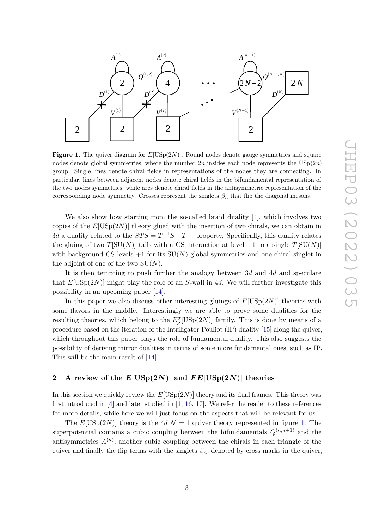

<span id="page-3-1"></span>**Figure 1**. The quiver diagram for *E*[USp(2*N*)]. Round nodes denote gauge symmetries and square nodes denote global symmetries, where the number  $2n$  insides each node represents the  $\mathrm{USp}(2n)$ group. Single lines denote chiral fields in representations of the nodes they are connecting. In particular, lines between adjacent nodes denote chiral fields in the bifundamental representation of the two nodes symmetries, while arcs denote chiral fields in the antisymmetric representation of the corresponding node symmetry. Crosses represent the singlets  $\beta_n$  that flip the diagonal mesons.

We also show how starting from the so-called braid duality [\[4\]](#page-53-3), which involves two copies of the *E*[USp(2*N*)] theory glued with the insertion of two chirals, we can obtain in 3*d* a duality related to the  $STS = T^{-1}S^{-1}T^{-1}$  property. Specifically, this duality relates the gluing of two  $T[SU(N)]$  tails with a CS interaction at level  $-1$  to a single  $T[SU(N)]$ with background CS levels  $+1$  for its  $SU(N)$  global symmetries and one chiral singlet in the adjoint of one of the two SU(*N*).

It is then tempting to push further the analogy between 3*d* and 4*d* and speculate that  $E[USp(2N)]$  might play the role of an *S*-wall in 4*d*. We will further investigate this possibility in an upcoming paper [\[14\]](#page-54-6).

In this paper we also discuss other interesting gluings of *E*[USp(2*N*)] theories with some flavors in the middle. Interestingly we are able to prove some dualities for the resulting theories, which belong to the  $E_{\rho}^{\sigma}[\mathrm{USp}(2N)]$  family. This is done by means of a procedure based on the iteration of the Intriligator-Pouliot (IP) duality [\[15\]](#page-54-7) along the quiver, which throughout this paper plays the role of fundamental duality. This also suggests the possibility of deriving mirror dualities in terms of some more fundamental ones, such as IP. This will be the main result of [\[14\]](#page-54-6).

# <span id="page-3-0"></span>**2 A review of the** *E***[USp(2***N***)] and** *F E***[USp(2***N***)] theories**

In this section we quickly review the  $E[USp(2N)]$  theory and its dual frames. This theory was first introduced in  $[4]$  and later studied in  $[1, 16, 17]$  $[1, 16, 17]$  $[1, 16, 17]$  $[1, 16, 17]$  $[1, 16, 17]$ . We refer the reader to these references for more details, while here we will just focus on the aspects that will be relevant for us.

The  $E[USp(2N)]$  theory is the  $4d\mathcal{N}=1$  quiver theory represented in figure [1.](#page-3-1) The superpotential contains a cubic coupling between the bifundamentals  $Q^{(n,n+1)}$  and the antisymmetrics  $A^{(n)}$ , another cubic coupling between the chirals in each triangle of the quiver and finally the flip terms with the singlets  $\beta_n$ , denoted by cross marks in the quiver,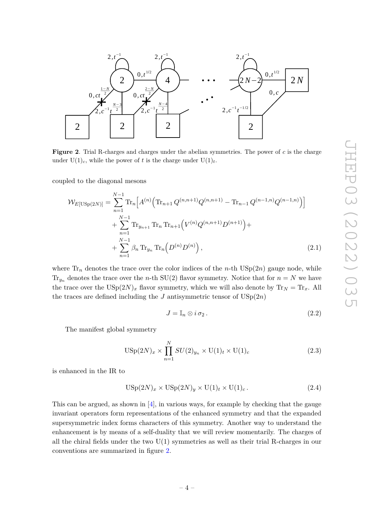

<span id="page-4-0"></span>**Figure 2**. Trial R-charges and charges under the abelian symmetries. The power of *c* is the charge under  $U(1)_c$ , while the power of t is the charge under  $U(1)_t$ .

coupled to the diagonal mesons

$$
\mathcal{W}_{E[\text{USp}(2N)]} = \sum_{n=1}^{N-1} \text{Tr}_n \Big[ A^{(n)} \Big( \text{Tr}_{n+1} Q^{(n,n+1)} Q^{(n,n+1)} - \text{Tr}_{n-1} Q^{(n-1,n)} Q^{(n-1,n)} \Big) \Big] + \sum_{n=1}^{N-1} \text{Tr}_{y_{n+1}} \text{Tr}_n \text{Tr}_{n+1} \Big( V^{(n)} Q^{(n,n+1)} D^{(n+1)} \Big) + + \sum_{n=1}^{N-1} \beta_n \text{Tr}_{y_n} \text{Tr}_n \Big( D^{(n)} D^{(n)} \Big), \tag{2.1}
$$

where  $\text{Tr}_n$  denotes the trace over the color indices of the *n*-th  $\text{USp}(2n)$  gauge node, while  $Tr_{y_n}$  denotes the trace over the *n*-th SU(2) flavor symmetry. Notice that for  $n = N$  we have the trace over the  $\text{USp}(2N)_x$  flavor symmetry, which we will also denote by  $\text{Tr}_N = \text{Tr}_x$ . All the traces are defined including the  $J$  antisymmetric tensor of  $\text{USp}(2n)$ 

$$
J = \mathbb{I}_n \otimes i \sigma_2. \tag{2.2}
$$

The manifest global symmetry

$$
USp(2N)_x \times \prod_{n=1}^{N} SU(2)_{y_n} \times U(1)_t \times U(1)_c
$$
 (2.3)

is enhanced in the IR to

$$
USp(2N)_x \times USp(2N)_y \times U(1)_t \times U(1)_c.
$$
\n(2.4)

This can be argued, as shown in  $[4]$ , in various ways, for example by checking that the gauge invariant operators form representations of the enhanced symmetry and that the expanded supersymmetric index forms characters of this symmetry. Another way to understand the enhancement is by means of a self-duality that we will review momentarily. The charges of all the chiral fields under the two  $U(1)$  symmetries as well as their trial R-charges in our conventions are summarized in figure [2.](#page-4-0)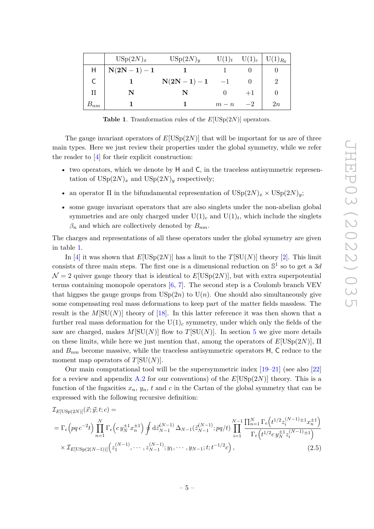|                 | $USp(2N)_x$     | USp(2N) <sub>y</sub> | $U(1)_t$ | $U(1)_c$ | $U(1)_{R_0}$ |
|-----------------|-----------------|----------------------|----------|----------|--------------|
| H               | $N(2N - 1) - 1$ |                      |          |          |              |
|                 |                 | $N(2N-1)-1$          | $-1$     |          |              |
| П               |                 |                      |          |          |              |
| $\bm{\nu}_{nm}$ |                 |                      | $m-n$    |          | 2n           |

<span id="page-5-0"></span>**Table 1**. Trasnformation rules of the *E*[USp(2*N*)] operators.

The gauge invariant operators of  $E[USp(2N)]$  that will be important for us are of three main types. Here we just review their properties under the global symmetry, while we refer the reader to [\[4\]](#page-53-3) for their explicit construction:

- two operators, which we denote by H and C, in the traceless antisymmetric representation of  $\text{USp}(2N)_x$  and  $\text{USp}(2N)_y$  respectively;
- an operator  $\Pi$  in the bifundamental representation of  $\text{USp}(2N)_x \times \text{USp}(2N)_y$ ;
- some gauge invariant operators that are also singlets under the non-abelian global symmetries and are only charged under  $U(1)_c$  and  $U(1)_t$ , which include the singlets  $\beta_n$  and which are collectively denoted by  $B_{nm}$ .

The charges and representations of all these operators under the global symmetry are given in table [1.](#page-5-0)

In [\[4\]](#page-53-3) it was shown that  $E[USp(2N)]$  has a limit to the  $T[SU(N)]$  theory [\[2\]](#page-53-1). This limit consists of three main steps. The first one is a dimensional reduction on S 1 so to get a 3*d*  $\mathcal{N} = 2$  quiver gauge theory that is identical to  $E[USp(2N)]$ , but with extra superpotential terms containing monopole operators  $[6, 7]$  $[6, 7]$  $[6, 7]$ . The second step is a Coulomb branch VEV that higgses the gauge groups from  $\mathrm{USp}(2n)$  to  $\mathrm{U}(n)$ . One should also simultaneously give some compensating real mass deformations to keep part of the matter fields massless. The result is the  $M[\text{SU}(N)]$  theory of [\[18\]](#page-54-10). In this latter reference it was then shown that a further real mass deformation for the  $U(1)_c$  symmetry, under which only the fields of the saw are charged, makes  $M[\text{SU}(N)]$  flow to  $T[\text{SU}(N)]$ . In section [5](#page-30-0) we give more details on these limits, while here we just mention that, among the operators of  $E[USp(2N)]$ ,  $\Pi$ and *Bnm* become massive, while the traceless antisymmetric operators H, C reduce to the moment map operators of *T*[SU(*N*)].

Our main computational tool will be the supersymmetric index  $[19-21]$  $[19-21]$  (see also  $[22]$ ) for a review and appendix [A.2](#page-46-0) for our conventions) of the  $E[USp(2N)]$  theory. This is a function of the fugacities  $x_n$ ,  $y_n$ ,  $t$  and  $c$  in the Cartan of the global symmetry that can be expressed with the following recursive definition:

<span id="page-5-1"></span>
$$
\mathcal{I}_{E[\text{USp}(2N)]}(\vec{x}; \vec{y}; t; c) =
$$
\n
$$
= \Gamma_e \left( pq \, c^{-2} t \right) \prod_{n=1}^N \Gamma_e \left( c \, y_N^{\pm 1} x_n^{\pm 1} \right) \oint \mathrm{d}\vec{z}_{N-1}^{(N-1)} \, \Delta_{N-1}(\vec{z}_{N-1}^{(N-1)}; pq/t) \prod_{i=1}^{N-1} \frac{\prod_{n=1}^N \Gamma_e \left( t^{1/2} z_i^{(N-1)} \pm 1 x_n^{\pm 1} \right)}{\Gamma_e \left( t^{1/2} c \, y_N^{\pm 1} z_i^{(N-1)} \pm 1 \right)} \times \mathcal{I}_{E[\text{USp}(2(N-1))]} \left( z_1^{(N-1)}, \cdots, z_{N-1}^{(N-1)}; y_1, \cdots, y_{N-1}; t; t^{-1/2} c \right), \tag{2.5}
$$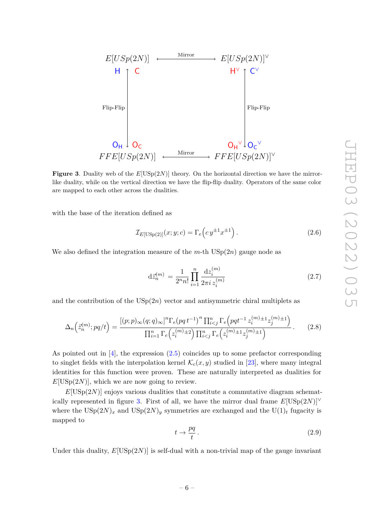

<span id="page-6-0"></span>**Figure 3**. Duality web of the  $E[USp(2N)]$  theory. On the horizontal direction we have the mirrorlike duality, while on the vertical direction we have the flip-flip duality. Operators of the same color are mapped to each other across the dualities.

with the base of the iteration defined as

$$
\mathcal{I}_{E[\text{USp}(2)]}(x; y; c) = \Gamma_e\left(c\,y^{\pm 1}x^{\pm 1}\right). \tag{2.6}
$$

We also defined the integration measure of the  $m$ -th  $\mathrm{USp}(2n)$  gauge node as

$$
d\bar{z}_{n}^{(m)} = \frac{1}{2^{n}n!} \prod_{i=1}^{n} \frac{dz_{i}^{(m)}}{2\pi i z_{i}^{(m)}}
$$
(2.7)

and the contribution of the  $USp(2n)$  vector and antisymmetric chiral multiplets as

$$
\Delta_n(z_n^{(m)}; pq/t) = \frac{[(p;p)_{\infty}(q;q)_{\infty}]^n \Gamma_e (pq t^{-1})^n \prod_{i < j}^n \Gamma_e \left(pqt^{-1} z_i^{(m)} \pm 1 z_j^{(m)} \pm 1\right)}{\prod_{i=1}^n \Gamma_e \left(z_i^{(m)} \pm 2\right) \prod_{i < j}^n \Gamma_e \left(z_i^{(m)} \pm 1 z_j^{(m)} \pm 1\right)}.
$$
\n(2.8)

As pointed out in  $[4]$ , the expression  $(2.5)$  coincides up to some prefactor corresponding to singlet fields with the interpolation kernel  $\mathcal{K}_c(x, y)$  studied in [\[23\]](#page-54-14), where many integral identities for this function were proven. These are naturally interpreted as dualities for  $E[USp(2N)]$ , which we are now going to review.

 $E[USp(2N)]$  enjoys various dualities that constitute a commutative diagram schemat-ically represented in figure [3.](#page-6-0) First of all, we have the mirror dual frame  $E[USp(2N)]^{\vee}$ where the  $\text{USp}(2N)_x$  and  $\text{USp}(2N)_y$  symmetries are exchanged and the  $\text{U}(1)_t$  fugacity is mapped to

<span id="page-6-1"></span>
$$
t \to \frac{pq}{t} \,. \tag{2.9}
$$

Under this duality,  $E[USp(2N)]$  is self-dual with a non-trivial map of the gauge invariant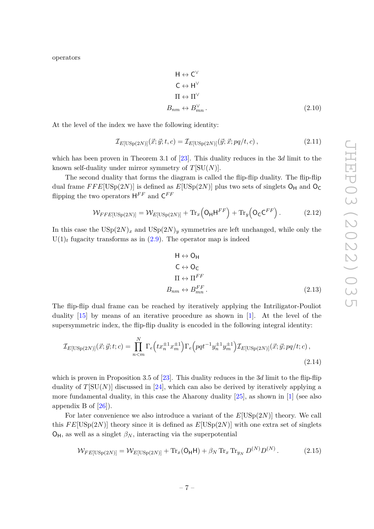operators

$$
H \leftrightarrow C^{\vee}
$$
  
\n
$$
C \leftrightarrow H^{\vee}
$$
  
\n
$$
\Pi \leftrightarrow \Pi^{\vee}
$$
  
\n
$$
B_{nm} \leftrightarrow B_{mn}^{\vee}.
$$
\n(2.10)

At the level of the index we have the following identity:

<span id="page-7-0"></span>
$$
\mathcal{I}_{E[\text{USp}(2N)]}(\vec{x}; \vec{y}; t, c) = \mathcal{I}_{E[\text{USp}(2N)]}(\vec{y}; \vec{x}; pq/t, c), \qquad (2.11)
$$

which has been proven in Theorem 3.1 of [\[23\]](#page-54-14). This duality reduces in the 3*d* limit to the known self-duality under mirror symmetry of *T*[SU(*N*)].

The second duality that forms the diagram is called the flip-flip duality. The flip-flip dual frame  $FFE[USp(2N)]$  is defined as  $E[USp(2N)]$  plus two sets of singlets  $O_H$  and  $O_C$ flipping the two operators  $H^{FF}$  and  $C^{FF}$ 

$$
\mathcal{W}_{FFE[USp(2N)]} = \mathcal{W}_{E[USp(2N)]} + \text{Tr}_x \left( \mathsf{O}_{\mathsf{H}} \mathsf{H}^{FF} \right) + \text{Tr}_y \left( \mathsf{O}_{\mathsf{C}} \mathsf{C}^{FF} \right).
$$
 (2.12)

In this case the  $USp(2N)_x$  and  $USp(2N)_y$  symmetries are left unchanged, while only the  $U(1)<sub>t</sub>$  fugacity transforms as in  $(2.9)$ . The operator map is indeed

<span id="page-7-1"></span>
$$
H \leftrightarrow O_H
$$
  
\n
$$
C \leftrightarrow O_C
$$
  
\n
$$
\Pi \leftrightarrow \Pi^{FF}
$$
  
\n
$$
B_{nm} \leftrightarrow B_{mn}^{FF}
$$
. (2.13)

The flip-flip dual frame can be reached by iteratively applying the Intriligator-Pouliot duality [\[15\]](#page-54-7) by means of an iterative procedure as shown in [\[1\]](#page-53-0). At the level of the supersymmetric index, the flip-flip duality is encoded in the following integral identity:

$$
\mathcal{I}_{E[\text{USp}(2N)]}(\vec{x}; \vec{y}; t; c) = \prod_{n < m}^{N} \Gamma_e \left( tx_n^{\pm 1} x_m^{\pm 1} \right) \Gamma_e \left( pqt^{-1} y_n^{\pm 1} y_m^{\pm 1} \right) \mathcal{I}_{E[\text{USp}(2N)]}(\vec{x}; \vec{y}; pq/t; c), \tag{2.14}
$$

which is proven in Proposition 3.5 of [\[23\]](#page-54-14). This duality reduces in the 3*d* limit to the flip-flip duality of  $T[SU(N)]$  discussed in [\[24\]](#page-54-15), which can also be derived by iteratively applying a more fundamental duality, in this case the Aharony duality  $[25]$ , as shown in  $[1]$  (see also appendix B of  $[26]$ ).

For later convenience we also introduce a variant of the *E*[USp(2*N*)] theory. We call this  $FE[USp(2N)]$  theory since it is defined as  $E[USp(2N)]$  with one extra set of singlets  $O_H$ , as well as a singlet  $\beta_N$ , interacting via the superpotential

<span id="page-7-2"></span>
$$
\mathcal{W}_{FE[\text{USp}(2N)]} = \mathcal{W}_{E[\text{USp}(2N)]} + \text{Tr}_x(\mathsf{O}_{\mathsf{H}}\mathsf{H}) + \beta_N \text{Tr}_x \text{Tr}_{y_N} D^{(N)} D^{(N)}.
$$
 (2.15)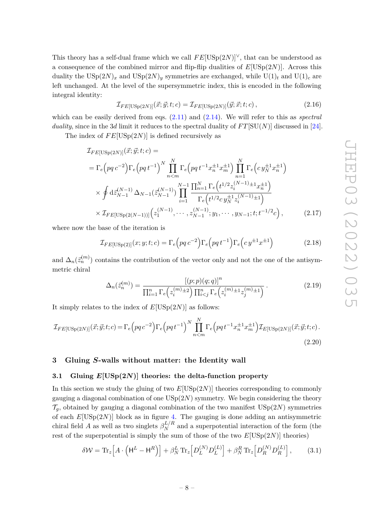This theory has a self-dual frame which we call  $FE[USp(2N)]<sup>V</sup>$ , that can be understood as a consequence of the combined mirror and flip-flip dualities of *E*[USp(2*N*)]. Across this duality the  $\text{USp}(2N)_x$  and  $\text{USp}(2N)_y$  symmetries are exchanged, while  $\text{U}(1)_t$  and  $\text{U}(1)_c$  are left unchanged. At the level of the supersymmetric index, this is encoded in the following integral identity:

<span id="page-8-4"></span>
$$
\mathcal{I}_{FE[USp(2N)]}(\vec{x}; \vec{y}; t; c) = \mathcal{I}_{FE[USp(2N)]}(\vec{y}; \vec{x}; t; c), \qquad (2.16)
$$

which can be easily derived from eqs. [\(2.11\)](#page-7-0) and [\(2.14\)](#page-7-1). We will refer to this as *spectral duality*, since in the 3*d* limit it reduces to the spectral duality of  $FT[SU(N)]$  discussed in [\[24\]](#page-54-15).

The index of  $FE[USp(2N)]$  is defined recursively as

$$
\mathcal{I}_{FE[USp(2N)]}(\vec{x}; \vec{y}; t; c) =
$$
\n
$$
= \Gamma_e \left( pq \, c^{-2} \right) \Gamma_e \left( pq \, t^{-1} \right)^N \prod_{n < m}^N \Gamma_e \left( pq \, t^{-1} x_n^{\pm 1} x_m^{\pm 1} \right) \prod_{n = 1}^N \Gamma_e \left( c \, y_N^{\pm 1} x_n^{\pm 1} \right)
$$
\n
$$
\times \oint d\vec{z}_{N-1}^{(N-1)} \Delta_{N-1} (\vec{z}_{N-1}^{(N-1)}) \prod_{i = 1}^{N-1} \frac{\prod_{n = 1}^N \Gamma_e \left( t^{1/2} z_i^{(N-1) \pm 1} x_n^{\pm 1} \right)}{\Gamma_e \left( t^{1/2} c \, y_N^{\pm 1} z_i^{(N-1) \pm 1} \right)}
$$
\n
$$
\times \mathcal{I}_{FE[USp(2(N-1))]} \left( z_1^{(N-1)}, \cdots, z_{N-1}^{(N-1)}; y_1, \cdots, y_{N-1}; t; t^{-1/2} c \right), \tag{2.17}
$$

where now the base of the iteration is

<span id="page-8-5"></span>
$$
\mathcal{I}_{FE[USp(2)]}(x;y;t;c) = \Gamma_e \Big( pq \, c^{-2} \Big) \Gamma_e \Big( pq \, t^{-1} \Big) \Gamma_e \Big( c \, y^{\pm 1} x^{\pm 1} \Big) \tag{2.18}
$$

and  $\Delta_n(\vec{z}_n^{(m)})$  contains the contribution of the vector only and not the one of the antisymmetric chiral

<span id="page-8-6"></span><span id="page-8-2"></span>
$$
\Delta_n(\bar{z}_n^{(m)}) = \frac{[(p;p)(q;q)]^n}{\prod_{i=1}^n \Gamma_e(z_i^{(m)} \pm 2) \prod_{i < j}^n \Gamma_e(z_i^{(m)} \pm 1 z_j^{(m)} \pm 1)}.
$$
\n(2.19)

It simply relates to the index of  $E[USp(2N)]$  as follows:

$$
\mathcal{I}_{FE[USp(2N)]}(\vec{x}; \vec{y}; t; c) = \Gamma_e \left( pq \, c^{-2} \right) \Gamma_e \left( pq \, t^{-1} \right)^N \prod_{n < m}^N \Gamma_e \left( pq \, t^{-1} x_n^{\pm 1} x_m^{\pm 1} \right) \mathcal{I}_{E[USp(2N)]}(\vec{x}; \vec{y}; t; c).
$$
\n(2.20)

# <span id="page-8-0"></span>**3 Gluing** *S***-walls without matter: the Identity wall**

# <span id="page-8-1"></span>**3.1 Gluing** *E***[USp(2***N***)] theories: the delta-function property**

In this section we study the gluing of two  $E[USp(2N)]$  theories corresponding to commonly gauging a diagonal combination of one  $\mathrm{USp}(2N)$  symmetry. We begin considering the theory  $\mathcal{T}_g$ , obtained by gauging a diagonal combination of the two manifest USp(2*N*) symmetries of each *E*[USp(2*N*)] block as in figure [4.](#page-9-1) The gauging is done adding an antisymmetric chiral field *A* as well as two singlets  $\beta_N^{L/R}$  and a superpotential interaction of the form (the rest of the superpotential is simply the sum of those of the two  $E[USp(2N)]$  theories)

<span id="page-8-3"></span>
$$
\delta \mathcal{W} = \text{Tr}_z \Big[ A \cdot \left( \mathsf{H}^L - \mathsf{H}^R \right) \Big] + \beta_N^L \, \text{Tr}_z \Big[ D_L^{(N)} D_L^{(L)} \Big] + \beta_N^R \, \text{Tr}_z \Big[ D_R^{(N)} D_R^{(L)} \Big],\tag{3.1}
$$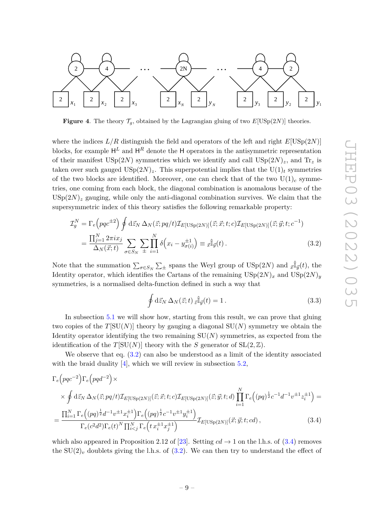

<span id="page-9-1"></span>**Figure 4**. The theory  $\mathcal{T}_g$ , obtained by the Lagrangian gluing of two  $E[USp(2N)]$  theories.

where the indices  $L/R$  distinguish the field and operators of the left and right  $E[USp(2N)]$ blocks, for example  $\mathsf{H}^L$  and  $\mathsf{H}^R$  denote the H operators in the antisymmetric representation of their manifest  $\text{USp}(2N)$  symmetries which we identify and call  $\text{USp}(2N)_z$ , and  $\text{Tr}_z$  is taken over such gauged  $\text{USp}(2N)_z$ . This superpotential implies that the  $\text{U}(1)_t$  symmetries of the two blocks are identified. Moreover, one can check that of the two  $U(1)_c$  symmetries, one coming from each block, the diagonal combination is anomalous because of the  $USp(2N)_z$  gauging, while only the anti-diagonal combination survives. We claim that the supersymmetric index of this theory satisfies the following remarkable property:

$$
\mathcal{I}_g^N = \Gamma_e \left( pqc^{\pm 2} \right) \oint d\vec{z}_N \, \Delta_N(\vec{z}; p q/t) \mathcal{I}_{E[\text{USp}(2N)]}(\vec{z}; \vec{x}; t; c) \mathcal{I}_{E[\text{USp}(2N)]}(\vec{z}; \vec{y}; t; c^{-1})
$$
\n
$$
= \frac{\prod_{j=1}^N 2\pi i x_j}{\Delta_N(\vec{x}; t)} \sum_{\sigma \in S_N} \sum_{\pm} \prod_{i=1}^N \delta \left( x_i - y_{\sigma(i)}^{\pm 1} \right) \equiv \vec{x}^{\hat{\mathbb{I}}}_{\vec{y}}(t) \,. \tag{3.2}
$$

Note that the summation  $\sum_{\sigma \in S_N} \sum_{\pm}$  spans the Weyl group of USp(2*N*) and  $_{\vec{x}} \hat{\mathbb{I}}_{\vec{y}}(t)$ , the Identity operator, which identifies the Cartans of the remaining  $USp(2N)_x$  and  $USp(2N)_y$ symmetries, is a normalised delta-function defined in such a way that

<span id="page-9-2"></span><span id="page-9-0"></span>
$$
\oint d\vec{z}_N \,\Delta_N(\vec{z};t) \,\vec{z}^{\hat{\mathbb{I}}}_{\vec{y}}(t) = 1. \tag{3.3}
$$

In subsection [5.1](#page-30-1) we will show how, starting from this result, we can prove that gluing two copies of the  $T[SU(N)]$  theory by gauging a diagonal  $SU(N)$  symmetry we obtain the Identity operator identifying the two remaining  $SU(N)$  symmetries, as expected from the identification of the  $T[SU(N)]$  theory with the *S* generator of  $SL(2, \mathbb{Z})$ .

We observe that eq.  $(3.2)$  can also be understood as a limit of the identity associated with the braid duality  $[4]$ , which we will review in subsection [5.2,](#page-38-0)

$$
\Gamma_e(pqc^{-2})\Gamma_e(pqd^{-2}) \times \phi \, d\vec{z}_N \, \Delta_N(\vec{z};pq/t) \mathcal{I}_{E[USp(2N)]}(\vec{z};\vec{x};t;c) \mathcal{I}_{E[USp(2N)]}(\vec{z};\vec{y};t;d) \prod_{i=1}^N \Gamma_e((pq)^{\frac{1}{2}}c^{-1}d^{-1}v^{\pm 1}z_i^{\pm 1}) =
$$
\n
$$
= \frac{\prod_{i=1}^N \Gamma_e((pq)^{\frac{1}{2}}d^{-1}v^{\pm 1}x_i^{\pm 1})\Gamma_e((pq)^{\frac{1}{2}}c^{-1}v^{\pm 1}y_i^{\pm 1})}{\Gamma_e(c^2d^2)\Gamma_e(t)^N \prod_{i
$$

which also appeared in Proposition 2.12 of [\[23\]](#page-54-14). Setting  $cd \rightarrow 1$  on the l.h.s. of [\(3.4\)](#page-9-2) removes the  $SU(2)_v$  doublets giving the l.h.s. of  $(3.2)$ . We can then try to understand the effect of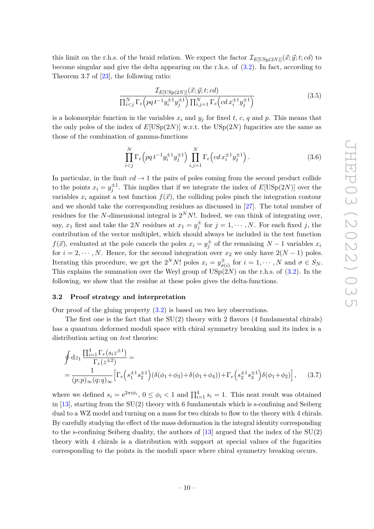this limit on the r.h.s. of the braid relation. We expect the factor  $\mathcal{I}_{E[USp(2N)]}(\vec{x}; \vec{y}; t; cd)$  to become singular and give the delta appearing on the r.h.s. of [\(3.2\)](#page-9-0). In fact, according to Theorem 3.7 of  $[23]$ , the following ratio:

$$
\frac{\mathcal{I}_{E[USp(2N)]}(\vec{x}; \vec{y}; t; cd)}{\prod_{i < j}^{N} \Gamma_e \left(pq \, t^{-1} y_i^{\pm 1} y_j^{\pm 1}\right) \prod_{i,j=1}^{N} \Gamma_e \left(cd \, x_i^{\pm 1} y_j^{\pm 1}\right)} \tag{3.5}
$$

is a holomorphic function in the variables  $x_i$  and  $y_j$  for fixed  $t$ ,  $c$ ,  $q$  and  $p$ . This means that the only poles of the index of  $E[USp(2N)]$  w.r.t. the  $USp(2N)$  fugacities are the same as those of the combination of gamma-functions

$$
\prod_{i
$$

In particular, in the limit  $cd \rightarrow 1$  the pairs of poles coming from the second product collide to the points  $x_i = y_j^{\pm 1}$ . This implies that if we integrate the index of  $E[USp(2N)]$  over the variables  $x_i$  against a test function  $f(\vec{x})$ , the colliding poles pinch the integration contour and we should take the corresponding residues as discussed in [\[27\]](#page-55-2). The total number of residues for the *N*-dimensional integral is  $2^N N!$ . Indeed, we can think of integrating over, say,  $x_1$  first and take the 2*N* residues at  $x_1 = y_j^{\pm}$  for  $j = 1, \dots, N$ . For each fixed *j*, the contribution of the vector multiplet, which should always be included in the test function *f*( $\vec{x}$ ), evaluated at the pole cancels the poles  $x_i = y_j^{\pm}$  of the remaining *N* − 1 variables  $x_i$ for  $i = 2, \dots, N$ . Hence, for the second integration over  $x_2$  we only have  $2(N-1)$  poles. Iterating this procedure, we get the  $2^N N!$  poles  $x_i = y_{\sigma i}^{\pm}$  $\sigma_{\sigma(i)}^{\pm}$  for  $i = 1, \cdots, N$  and  $\sigma \in S_N$ . This explains the summation over the Weyl group of  $\mathrm{USp}(2N)$  on the r.h.s. of [\(3.2\)](#page-9-0). In the following, we show that the residue at these poles gives the delta-functions.

#### <span id="page-10-0"></span>**3.2 Proof strategy and interpretation**

Our proof of the gluing property [\(3.2\)](#page-9-0) is based on two key observations.

The first one is the fact that the  $SU(2)$  theory with 2 flavors (4 fundamental chirals) has a quantum deformed moduli space with chiral symmetry breaking and its index is a distribution acting on *test* theories:

<span id="page-10-1"></span>
$$
\oint dz_1 \frac{\prod_{i=1}^4 \Gamma_e(s_i z^{\pm 1})}{\Gamma_e(z^{\pm 2})} =
$$
\n
$$
= \frac{1}{(p;p)_{\infty}(q;q)_{\infty}} \Big[ \Gamma_e \Big( s_1^{\pm 1} s_2^{\pm 1} \Big) \big( \delta(\phi_1 + \phi_3) + \delta(\phi_1 + \phi_4) \big) + \Gamma_e \Big( s_2^{\pm 1} s_3^{\pm 1} \Big) \delta(\phi_1 + \phi_2) \Big], \quad (3.7)
$$

where we defined  $s_i = e^{2\pi i \phi_i}$ ,  $0 \le \phi_i < 1$  and  $\prod_{i=1}^4 s_i = 1$ . This neat result was obtained in [\[13\]](#page-54-5), starting from the SU(2) theory with 6 fundamentals which is s-confining and Seiberg dual to a WZ model and turning on a mass for two chirals to flow to the theory with 4 chirals. By carefully studying the effect of the mass deformation in the integral identity corresponding to the s-confining Seiberg duality, the authors of  $[13]$  argued that the index of the  $SU(2)$ theory with 4 chirals is a distribution with support at special values of the fugacities corresponding to the points in the moduli space where chiral symmetry breaking occurs.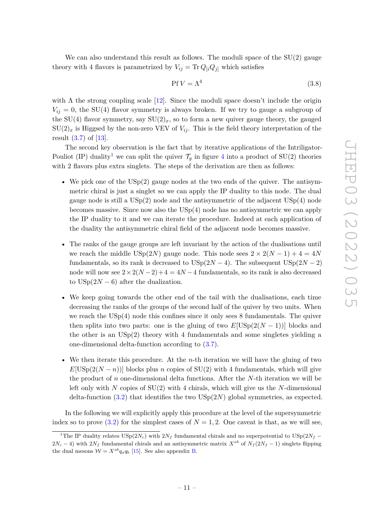We can also understand this result as follows. The moduli space of the  $SU(2)$  gauge theory with 4 flavors is parametrized by  $V_{ij} = \text{Tr} Q_{[i} Q_{j]}$  which satisfies

$$
Pf V = \Lambda^4 \tag{3.8}
$$

with  $\Lambda$  the strong coupling scale [\[12\]](#page-54-4). Since the moduli space doesn't include the origin  $V_{ij} = 0$ , the SU(4) flavor symmetry is always broken. If we try to gauge a subgroup of the SU(4) flavor symmetry, say  $SU(2)_x$ , so to form a new quiver gauge theory, the gauged  $SU(2)_x$  is Higgsed by the non-zero VEV of  $V_{ij}$ . This is the field theory interpretation of the result [\(3.7\)](#page-10-1) of [\[13\]](#page-54-5).

The second key observation is the fact that by iterative applications of the Intriligator-Pouliot (IP) duality<sup>[1](#page-11-0)</sup> we can split the quiver  $\mathcal{T}_q$  in figure [4](#page-9-1) into a product of SU(2) theories with 2 flavors plus extra singlets. The steps of the derivation are then as follows:

- We pick one of the  $\mathrm{USp}(2)$  gauge nodes at the two ends of the quiver. The antisymmetric chiral is just a singlet so we can apply the IP duality to this node. The dual gauge node is still a  $\mathrm{USp}(2)$  node and the antisymmetric of the adjacent  $\mathrm{USp}(4)$  node becomes massive. Since now also the  $USp(4)$  node has no antisymmetric we can apply the IP duality to it and we can iterate the procedure. Indeed at each application of the duality the antisymmetric chiral field of the adjacent node becomes massive.
- The ranks of the gauge groups are left invariant by the action of the dualisations until we reach the middle USp(2*N*) gauge node. This node sees  $2 \times 2(N-1) + 4 = 4N$ fundamentals, so its rank is decreased to  $USp(2N-4)$ . The subsequent  $USp(2N-2)$ node will now see  $2 \times 2(N-2)+4 = 4N-4$  fundamentals, so its rank is also decreased to  $USp(2N-6)$  after the dualization.
- We keep going towards the other end of the tail with the dualisations, each time decreasing the ranks of the groups of the second half of the quiver by two units. When we reach the  $\mathrm{USp}(4)$  node this confines since it only sees 8 fundamentals. The quiver then splits into two parts: one is the gluing of two  $E[USp(2(N-1))]$  blocks and the other is an USp(2) theory with 4 fundamentals and some singletes yielding a one-dimensional delta-function according to [\(3.7\)](#page-10-1).
- We then iterate this procedure. At the *n*-th iteration we will have the gluing of two  $E[USp(2(N-n))]$  blocks plus *n* copies of SU(2) with 4 fundamentals, which will give the product of *n* one-dimensional delta functions. After the *N*-th iteration we will be left only with *N* copies of SU(2) with 4 chirals, which will give us the *N*-dimensional delta-function [\(3.2\)](#page-9-0) that identifies the two USp(2*N*) global symmetries, as expected.

In the following we will explicitly apply this procedure at the level of the supersymmetric index so to prove  $(3.2)$  for the simplest cases of  $N = 1, 2$ . One caveat is that, as we will see,

<span id="page-11-0"></span><sup>&</sup>lt;sup>1</sup>The IP duality relates USp( $2N_c$ ) with  $2N_f$  fundamental chirals and no superpotential to USp( $2N_f$  −  $2N_c - 4$ ) with  $2N_f$  fundamental chirals and an antisymmetric matrix  $X^{ab}$  of  $N_f(2N_f - 1)$  singlets flipping the dual mesons  $W = X^{ab}q_aq_b$  [\[15\]](#page-54-7). See also appendix [B.](#page-49-0)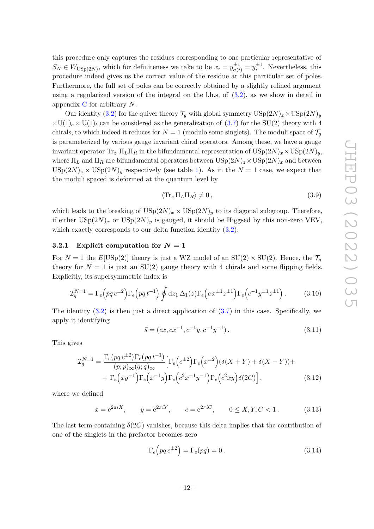this procedure only captures the residues corresponding to one particular representative of  $S_N \in W_{\text{USp}(2N)}$ , which for definiteness we take to be  $x_i = y_{\sigma(i)}^{\pm 1} = y_i^{\pm 1}$ . Nevertheless, this procedure indeed gives us the correct value of the residue at this particular set of poles. Furthermore, the full set of poles can be correctly obtained by a slightly refined argument using a regularized version of the integral on the l.h.s. of  $(3.2)$ , as we show in detail in appendix [C](#page-49-1) for arbitrary *N*.

Our identity [\(3.2\)](#page-9-0) for the quiver theory  $\mathcal{T}_q$  with global symmetry  $\text{USp}(2N)_x \times \text{USp}(2N)_y$  $\times U(1)_c \times U(1)_t$  can be considered as the generalization of [\(3.7\)](#page-10-1) for the SU(2) theory with 4 chirals, to which indeed it reduces for  $N=1$  (modulo some singlets). The moduli space of  $\mathcal{T}_g$ is parameterized by various gauge invariant chiral operators. Among these, we have a gauge invariant operator  $\text{Tr}_z \Pi_L \Pi_R$  in the bifundamental representation of  $\text{USp}(2N)_x \times \text{USp}(2N)_y$ , where  $\Pi_L$  and  $\Pi_R$  are bifundamental operators between  $\text{USp}(2N)_z \times \text{USp}(2N)_x$  and between  $USp(2N)_z \times USp(2N)_y$  respectively (see table [1\)](#page-5-0). As in the  $N=1$  case, we expect that the moduli spaced is deformed at the quantum level by

<span id="page-12-1"></span>
$$
\langle \text{Tr}_z \, \Pi_L \Pi_R \rangle \neq 0 \,, \tag{3.9}
$$

which leads to the breaking of  $\text{USp}(2N)_x \times \text{USp}(2N)_y$  to its diagonal subgroup. Therefore, if either  $\text{USp}(2N)_x$  or  $\text{USp}(2N)_y$  is gauged, it should be Higgsed by this non-zero VEV, which exactly corresponds to our delta function identity [\(3.2\)](#page-9-0).

# <span id="page-12-0"></span>**3.2.1** Explicit computation for  $N = 1$

For  $N = 1$  the  $E[USp(2)]$  theory is just a WZ model of an  $SU(2) \times SU(2)$ . Hence, the  $\mathcal{T}_g$ theory for  $N = 1$  is just an SU(2) gauge theory with 4 chirals and some flipping fields. Explicitly, its supersymmetric index is

$$
\mathcal{I}_g^{N=1} = \Gamma_e \Big( p q \, c^{\pm 2} \Big) \Gamma_e \Big( p q \, t^{-1} \Big) \oint dz_1 \, \Delta_1(z) \Gamma_e \Big( c \, x^{\pm 1} z^{\pm 1} \Big) \Gamma_e \Big( c^{-1} y^{\pm 1} z^{\pm 1} \Big) \,. \tag{3.10}
$$

The identity  $(3.2)$  is then just a direct application of  $(3.7)$  in this case. Specifically, we apply it identifying

$$
\vec{s} = (cx, cx^{-1}, c^{-1}y, c^{-1}y^{-1}).
$$
\n(3.11)

This gives

$$
\mathcal{I}_g^{N=1} = \frac{\Gamma_e(pq \, c^{\pm 2}) \Gamma_e(pq \, t^{-1})}{(p; p)_{\infty}(q; q)_{\infty}} \Big[ \Gamma_e(e^{\pm 2}) \Gamma_e(x^{\pm 2}) (\delta(X+Y) + \delta(X-Y)) + \\ + \Gamma_e\Big(xy^{-1}\Big) \Gamma_e\Big(x^{-1}y\Big) \Gamma_e\Big(c^2x^{-1}y^{-1}\Big) \Gamma_e\Big(c^2xy\Big) \delta(2C)\Big], \tag{3.12}
$$

where we defined

$$
x = e^{2\pi i X}
$$
,  $y = e^{2\pi i Y}$ ,  $c = e^{2\pi i C}$ ,  $0 \le X, Y, C < 1$ . (3.13)

The last term containing  $\delta(2C)$  vanishes, because this delta implies that the contribution of one of the singlets in the prefactor becomes zero

$$
\Gamma_e\left(pq \, c^{\pm 2}\right) = \Gamma_e(pq) = 0. \tag{3.14}
$$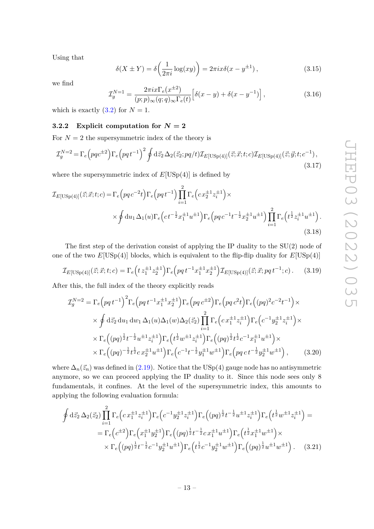Using that

<span id="page-13-1"></span>
$$
\delta(X \pm Y) = \delta\left(\frac{1}{2\pi i}\log(xy)\right) = 2\pi ix\delta(x - y^{\pm 1}),\tag{3.15}
$$

we find

$$
\mathcal{I}_g^{N=1} = \frac{2\pi i x \Gamma_e(x^{\pm 2})}{(p;p)_{\infty}(q;q)_{\infty} \Gamma_e(t)} \left[ \delta(x-y) + \delta(x-y^{-1}) \right],
$$
\n(3.16)

which is exactly  $(3.2)$  for  $N = 1$ .

# <span id="page-13-0"></span>**3.2.2** Explicit computation for  $N = 2$

For  $N=2$  the supersymmetric index of the theory is

$$
\mathcal{I}_g^{N=2} = \Gamma_e \left( pqc^{\pm 2} \right) \Gamma_e \left( pqt^{-1} \right)^2 \oint d\vec{z}_2 \,\Delta_2(\vec{z}_2; pq/t) \mathcal{I}_{E[\text{USp}(4)]}(\vec{z}; \vec{x}; t; c) \mathcal{I}_{E[\text{USp}(4)]}(\vec{z}; \vec{y}; t; c^{-1}), \tag{3.17}
$$

where the supersymmetric index of  $E[USp(4)]$  is defined by

$$
\mathcal{I}_{E[\text{USp}(4)]}(\vec{z};\vec{x};t;c) = \Gamma_e \Big( pqc^{-2}t \Big) \Gamma_e \Big( pq t^{-1} \Big) \prod_{i=1}^2 \Gamma_e \Big( cx_2^{\pm 1} z_i^{\pm 1} \Big) \times \times \oint du_1 \Delta_1(u) \Gamma_e \Big( ct^{-\frac{1}{2}} x_1^{\pm 1} u^{\pm 1} \Big) \Gamma_e \Big( pq c^{-1} t^{-\frac{1}{2}} x_2^{\pm 1} u^{\pm 1} \Big) \prod_{i=1}^2 \Gamma_e \Big( t^{\frac{1}{2}} z_i^{\pm 1} u^{\pm 1} \Big). \tag{3.18}
$$

The first step of the derivation consist of applying the IP duality to the SU(2) node of one of the two  $E[USp(4)]$  blocks, which is equivalent to the flip-flip duality for  $E[USp(4)]$ 

$$
\mathcal{I}_{E[\text{USp}(4)]}(\vec{z}; \vec{x}; t; c) = \Gamma_e\left(t z_1^{\pm 1} z_2^{\pm 1}\right) \Gamma_e\left(pq \, t^{-1} x_1^{\pm 1} x_2^{\pm 1}\right) \mathcal{I}_{E[\text{USp}(4)]}(\vec{z}; \vec{x}; pq \, t^{-1}; c). \tag{3.19}
$$

After this, the full index of the theory explicitly reads

$$
\mathcal{I}_g^{N=2} = \Gamma_e \left( p q t^{-1} \right)^2 \Gamma_e \left( p q t^{-1} x_1^{\pm 1} x_2^{\pm 1} \right) \Gamma_e \left( p q c^{\pm 2} \right) \Gamma_e \left( p q c^2 t \right) \Gamma_e \left( (p q)^2 c^{-2} t^{-1} \right) \times
$$
\n
$$
\times \oint d\vec{z}_2 \, du_1 \, dw_1 \, \Delta_1(u) \Delta_1(w) \Delta_2(\vec{z}_2) \prod_{i=1}^2 \Gamma_e \left( c x_1^{\pm 1} z_i^{\pm 1} \right) \Gamma_e \left( c^{-1} y_2^{\pm 1} z_i^{\pm 1} \right) \times
$$
\n
$$
\times \Gamma_e \left( (p q)^{\frac{1}{2}} t^{-\frac{1}{2}} u^{\pm 1} z_i^{\pm 1} \right) \Gamma_e \left( t^{\frac{1}{2}} w^{\pm 1} z_i^{\pm 1} \right) \Gamma_e \left( (p q)^{\frac{1}{2}} t^{\frac{1}{2}} c^{-1} x_1^{\pm 1} u^{\pm 1} \right) \times
$$
\n
$$
\times \Gamma_e \left( (p q)^{-\frac{1}{2}} t^{\frac{1}{2}} c x_2^{\pm 1} u^{\pm 1} \right) \Gamma_e \left( c^{-1} t^{-\frac{1}{2}} y_1^{\pm 1} w^{\pm 1} \right) \Gamma_e \left( p q c t^{-\frac{1}{2}} y_2^{\pm 1} w^{\pm 1} \right), \qquad (3.20)
$$

where  $\Delta_n(\vec{z}_n)$  was defined in [\(2.19\)](#page-8-2). Notice that the USp(4) gauge node has no antisymmetric anymore, so we can proceed applying the IP duality to it. Since this node sees only 8 fundamentals, it confines. At the level of the supersymmetric index, this amounts to applying the following evaluation formula:

$$
\oint d\vec{z}_2 \,\Delta_2(\vec{z}_2) \prod_{i=1}^2 \Gamma_e \Big(c x_1^{\pm 1} z_i^{\pm 1}\Big) \Gamma_e \Big(c^{-1} y_2^{\pm 1} z_i^{\pm 1}\Big) \Gamma_e \Big((pq)^{\frac{1}{2}} t^{-\frac{1}{2}} u^{\pm 1} z_i^{\pm 1}\Big) \Gamma_e \Big(t^{\frac{1}{2}} w^{\pm 1} z_i^{\pm 1}\Big) =
$$
\n
$$
= \Gamma_e \Big(c^{\pm 2}\Big) \Gamma_e \Big(x_1^{\pm 1} y_2^{\pm 1}\Big) \Gamma_e \Big((pq)^{\frac{1}{2}} t^{-\frac{1}{2}} c x_1^{\pm 1} u^{\pm 1}\Big) \Gamma_e \Big(t^{\frac{1}{2}} x_1^{\pm 1} w^{\pm 1}\Big) \times
$$
\n
$$
\times \Gamma_e \Big((pq)^{\frac{1}{2}} t^{-\frac{1}{2}} c^{-1} y_2^{\pm 1} u^{\pm 1}\Big) \Gamma_e \Big(t^{\frac{1}{2}} c^{-1} y_2^{\pm 1} w^{\pm 1}\Big) \Gamma_e \Big((pq)^{\frac{1}{2}} u^{\pm 1} w^{\pm 1}\Big). \tag{3.21}
$$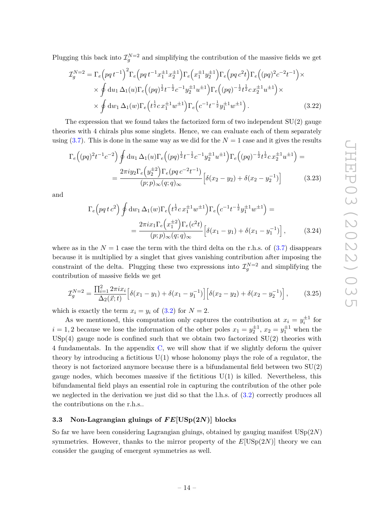Plugging this back into  $\mathcal{I}_{g}^{N=2}$  and simplifying the contribution of the massive fields we get

$$
\mathcal{I}_{g}^{N=2} = \Gamma_{e} \left( p q t^{-1} \right)^{2} \Gamma_{e} \left( p q t^{-1} x_{1}^{\pm 1} x_{2}^{\pm 1} \right) \Gamma_{e} \left( x_{1}^{\pm 1} y_{2}^{\pm 1} \right) \Gamma_{e} \left( p q c^{2} t \right) \Gamma_{e} \left( (p q)^{2} c^{-2} t^{-1} \right) \times \times \oint du_{1} \Delta_{1}(u) \Gamma_{e} \left( (p q)^{\frac{1}{2}} t^{-\frac{1}{2}} c^{-1} y_{2}^{\pm 1} u^{\pm 1} \right) \Gamma_{e} \left( (p q)^{-\frac{1}{2}} t^{\frac{1}{2}} c x_{2}^{\pm 1} u^{\pm 1} \right) \times \times \oint du_{1} \Delta_{1}(w) \Gamma_{e} \left( t^{\frac{1}{2}} c x_{1}^{\pm 1} w^{\pm 1} \right) \Gamma_{e} \left( c^{-1} t^{-\frac{1}{2}} y_{1}^{\pm 1} w^{\pm 1} \right).
$$
\n(3.22)

The expression that we found takes the factorized form of two independent  $SU(2)$  gauge theories with 4 chirals plus some singlets. Hence, we can evaluate each of them separately using  $(3.7)$ . This is done in the same way as we did for the  $N = 1$  case and it gives the results

$$
\Gamma_e\Big((pq)^2t^{-1}c^{-2}\Big)\oint du_1\,\Delta_1(u)\Gamma_e\Big((pq)^{\frac{1}{2}}t^{-\frac{1}{2}}c^{-1}y_2^{\pm 1}u^{\pm 1}\Big)\Gamma_e\Big((pq)^{-\frac{1}{2}}t^{\frac{1}{2}}cx_2^{\pm 1}u^{\pm 1}\Big) =
$$
  

$$
=\frac{2\pi i y_2\Gamma_e\Big(y_2^{\pm 2}\Big)\Gamma_e(pq\,c^{-2}t^{-1})}{(p;p)_\infty(q;q)_\infty}\Big[\delta(x_2-y_2)+\delta(x_2-y_2^{-1})\Big]
$$
(3.23)

and

$$
\Gamma_e\left(pq\,t\,c^2\right)\oint \mathrm{d}w_1\,\Delta_1(w)\Gamma_e\left(t^{\frac{1}{2}}c\,x_1^{\pm 1}w^{\pm 1}\right)\Gamma_e\left(c^{-1}t^{-\frac{1}{2}}y_1^{\pm 1}w^{\pm 1}\right) =
$$
\n
$$
=\frac{2\pi ix_1\Gamma_e\left(x_1^{\pm 2}\right)\Gamma_e(c^2t)}{(p;p)_\infty(q;q)_\infty}\left[\delta(x_1-y_1)+\delta(x_1-y_1^{-1})\right],\tag{3.24}
$$

where as in the  $N = 1$  case the term with the third delta on the r.h.s. of  $(3.7)$  disappears because it is multiplied by a singlet that gives vanishing contribution after imposing the constraint of the delta. Plugging these two expressions into  $\mathcal{I}_{g}^{N=2}$  and simplifying the contribution of massive fields we get

$$
\mathcal{I}_g^{N=2} = \frac{\prod_{i=1}^2 2\pi i x_i}{\Delta_2(\vec{x};t)} \left[ \delta(x_1 - y_1) + \delta(x_1 - y_1^{-1}) \right] \left[ \delta(x_2 - y_2) + \delta(x_2 - y_2^{-1}) \right],\tag{3.25}
$$

which is exactly the term  $x_i = y_i$  of [\(3.2\)](#page-9-0) for  $N = 2$ .

As we mentioned, this computation only captures the contribution at  $x_i = y_i^{\pm 1}$  for  $i = 1, 2$  because we lose the information of the other poles  $x_1 = y_2^{\pm 1}$ ,  $x_2 = y_1^{\pm 1}$  when the  $USp(4)$  gauge node is confined such that we obtain two factorized  $SU(2)$  theories with 4 fundamentals. In the appendix [C,](#page-49-1) we will show that if we slightly deform the quiver theory by introducing a fictitious  $U(1)$  whose holonomy plays the role of a regulator, the theory is not factorized anymore because there is a bifundamental field between two SU(2) gauge nodes, which becomes massive if the fictitious  $U(1)$  is killed. Nevertheless, this bifundamental field plays an essential role in capturing the contribution of the other pole we neglected in the derivation we just did so that the l.h.s. of  $(3.2)$  correctly produces all the contributions on the r.h.s..

# <span id="page-14-0"></span>**3.3 Non-Lagrangian gluings of** *F E***[USp(2***N***)] blocks**

So far we have been considering Lagrangian gluings, obtained by gauging manifest USp(2*N*) symmetries. However, thanks to the mirror property of the  $E[USp(2N)]$  theory we can consider the gauging of emergent symmetries as well.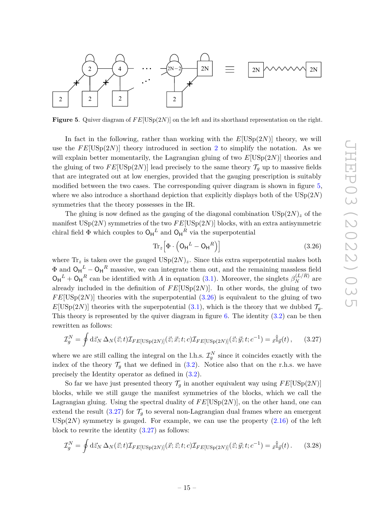

<span id="page-15-0"></span>**Figure 5.** Quiver diagram of  $FE[USp(2N)]$  on the left and its shorthand representation on the right.

In fact in the following, rather than working with the  $E[USp(2N)]$  theory, we will use the  $FE[USp(2N)]$  $FE[USp(2N)]$  $FE[USp(2N)]$  theory introduced in section 2 to simplify the notation. As we will explain better momentarily, the Lagrangian gluing of two *E*[USp(2*N*)] theories and the gluing of two  $FE[USp(2N)]$  lead precisely to the same theory  $\mathcal{T}_g$  up to massive fields that are integrated out at low energies, provided that the gauging prescription is suitably modified between the two cases. The corresponding quiver diagram is shown in figure [5,](#page-15-0) where we also introduce a shorthand depiction that explicitly displays both of the USp(2*N*) symmetries that the theory possesses in the IR.

The gluing is now defined as the gauging of the diagonal combination  $USp(2N)_z$  of the manifest USp(2*N*) symmetries of the two *F E*[USp(2*N*)] blocks, with an extra antisymmetric chiral field  $\Phi$  which couples to  $O_H^L$  and  $O_H^R$  via the superpotential

<span id="page-15-2"></span><span id="page-15-1"></span>
$$
\operatorname{Tr}_{z}\left[\Phi\cdot\left(\mathsf{O}_{\mathsf{H}}^{L}-\mathsf{O}_{\mathsf{H}}^{R}\right)\right]
$$
\n(3.26)

where  $\text{Tr}_z$  is taken over the gauged  $\text{USp}(2N)_z$ . Since this extra superpotential makes both  $\Phi$  and  $O_H^L - O_H^R$  massive, we can integrate them out, and the remaining massless field  $O_H^L + O_H^R$  can be identified with *A* in equation [\(3.1\)](#page-8-3). Moreover, the singlets  $\beta_N^{(L/R)}$  are already included in the definition of  $FE[USp(2N)]$ . In other words, the gluing of two  $FE[USp(2N)]$  theories with the superpotential  $(3.26)$  is equivalent to the gluing of two  $E[USp(2N)]$  theories with the superpotential [\(3.1\)](#page-8-3), which is the theory that we dubbed  $\mathcal{T}_q$ . This theory is represented by the quiver diagram in figure  $6$ . The identity  $(3.2)$  can be then rewritten as follows:

$$
\mathcal{I}_g^N = \oint d\vec{z}_N \,\Delta_N(\vec{z};t) \mathcal{I}_{FE[\text{USp}(2N)]}(\vec{z};\vec{x};t;c) \mathcal{I}_{FE[\text{USp}(2N)]}(\vec{z};\vec{y};t;c^{-1}) = \vec{x}^{\hat{\mathbb{I}}}_{\vec{y}}(t) \,,\qquad(3.27)
$$

where we are still calling the integral on the l.h.s.  $\mathcal{I}_{g}^{N}$  since it coincides exactly with the index of the theory  $\mathcal{T}_g$  that we defined in [\(3.2\)](#page-9-0). Notice also that on the r.h.s. we have precisely the Identity operator as defined in [\(3.2\)](#page-9-0).

So far we have just presented theory  $\mathcal{T}_q$  in another equivalent way using  $FE[USp(2N)]$ blocks, while we still gauge the manifest symmetries of the blocks, which we call the Lagrangian gluing. Using the spectral duality of  $FE[USp(2N)]$ , on the other hand, one can extend the result  $(3.27)$  for  $\mathcal{T}_q$  to several non-Lagrangian dual frames where an emergent  $USp(2N)$  symmetry is gauged. For example, we can use the property  $(2.16)$  of the left block to rewrite the identity  $(3.27)$  as follows:

<span id="page-15-3"></span>
$$
\mathcal{I}_g^N = \oint d\vec{z}_N \,\Delta_N(\vec{z};t) \mathcal{I}_{FE[\text{USp}(2N)]}(\vec{x};\vec{z};t;c) \mathcal{I}_{FE[\text{USp}(2N)]}(\vec{z};\vec{y};t;c^{-1}) = \vec{x} \hat{\mathbb{I}}_{\vec{y}}(t).
$$
 (3.28)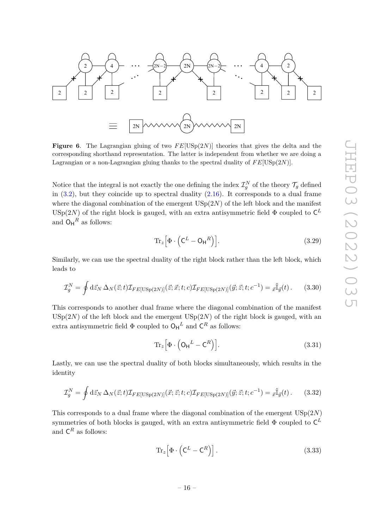

<span id="page-16-0"></span>**Figure 6.** The Lagrangian gluing of two  $FE[USp(2N)]$  theories that gives the delta and the corresponding shorthand representation. The latter is independent from whether we are doing a Lagrangian or a non-Lagrangian gluing thanks to the spectral duality of *F E*[USp(2*N*)].

Notice that the integral is not exactly the one defining the index  $\mathcal{I}_{g}^{N}$  of the theory  $\mathcal{T}_{g}$  defined in  $(3.2)$ , but they coincide up to spectral duality  $(2.16)$ . It corresponds to a dual frame where the diagonal combination of the emergent  $\mathrm{USp}(2N)$  of the left block and the manifest USp(2*N*) of the right block is gauged, with an extra antisymmetric field  $\Phi$  coupled to  $\mathsf{C}^L$ and  $O_H^R$  as follows:

$$
\operatorname{Tr}_z \left[ \Phi \cdot \left( \mathsf{C}^L - \mathsf{O_H}^R \right) \right]. \tag{3.29}
$$

Similarly, we can use the spectral duality of the right block rather than the left block, which leads to

$$
\mathcal{I}_g^N = \oint d\vec{z}_N \,\Delta_N(\vec{z};t) \mathcal{I}_{FE[\text{USp}(2N)]}(\vec{z};\vec{x};t;c) \mathcal{I}_{FE[\text{USp}(2N)]}(\vec{y};\vec{z};t;c^{-1}) = \vec{x}^{\hat{\mathbb{I}}}_{\vec{y}}(t). \tag{3.30}
$$

This corresponds to another dual frame where the diagonal combination of the manifest  $USp(2N)$  of the left block and the emergent  $USp(2N)$  of the right block is gauged, with an extra antisymmetric field  $\Phi$  coupled to  $O_H^L$  and  $C_R^R$  as follows:

$$
\operatorname{Tr}_{z}\left[\Phi\cdot\left(\mathsf{O}_{\mathsf{H}}^{L}-\mathsf{C}^{R}\right)\right].\tag{3.31}
$$

Lastly, we can use the spectral duality of both blocks simultaneously, which results in the identity

$$
\mathcal{I}_g^N = \oint d\vec{z}_N \,\Delta_N(\vec{z};t) \mathcal{I}_{FE[\text{USp}(2N)]}(\vec{x};\vec{z};t;c) \mathcal{I}_{FE[\text{USp}(2N)]}(\vec{y};\vec{z};t;c^{-1}) = \vec{x}^{\hat{\mathbb{I}}}_{\vec{y}}(t). \tag{3.32}
$$

This corresponds to a dual frame where the diagonal combination of the emergent USp(2*N*) symmetries of both blocks is gauged, with an extra antisymmetric field  $\Phi$  coupled to  $\mathsf{C}^L$ and  $\mathsf{C}^R$  as follows:

$$
\operatorname{Tr}_z \left[ \Phi \cdot \left( \mathsf{C}^L - \mathsf{C}^R \right) \right]. \tag{3.33}
$$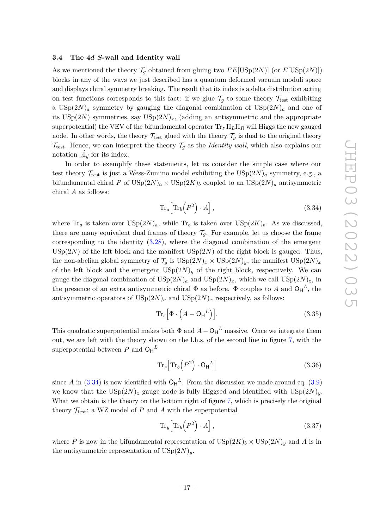#### <span id="page-17-0"></span>**3.4 The 4***d S***-wall and Identity wall**

As we mentioned the theory  $\mathcal{T}_g$  obtained from gluing two  $FE[USp(2N)]$  (or  $E[USp(2N)]$ ) blocks in any of the ways we just described has a quantum deformed vacuum moduli space and displays chiral symmetry breaking. The result that its index is a delta distribution acting on test functions corresponds to this fact: if we glue  $\mathcal{T}_g$  to some theory  $\mathcal{T}_{\text{test}}$  exhibiting a  $USp(2N)<sub>a</sub>$  symmetry by gauging the diagonal combination of  $USp(2N)<sub>a</sub>$  and one of its  $USp(2N)$  symmetries, say  $USp(2N)<sub>x</sub>$ , (adding an antisymmetric and the appropriate superpotential) the VEV of the bifundamental operator Tr*<sup>z</sup>* Π*L*Π*<sup>R</sup>* will Higgs the new gauged node. In other words, the theory  $\mathcal{T}_{\text{test}}$  glued with the theory  $\mathcal{T}_q$  is dual to the original theory  $\mathcal{T}_{\text{test}}$ . Hence, we can interpret the theory  $\mathcal{T}_g$  as the *Identity wall*, which also explains our notation  $\bar{x}^{\parallel}$  $\bar{y}$  for its index.

In order to exemplify these statements, let us consider the simple case where our test theory  $\mathcal{T}_{\text{test}}$  is just a Wess-Zumino model exhibiting the  $\text{USp}(2N)_a$  symmetry, e.g., a bifundamental chiral *P* of  $\text{USp}(2N)_a \times \text{USp}(2K)_b$  coupled to an  $\text{USp}(2N)_a$  antisymmetric chiral *A* as follows:

<span id="page-17-1"></span>
$$
\operatorname{Tr}_a\!\left[\operatorname{Tr}_b\!\left(P^2\right)\cdot A\right],\tag{3.34}
$$

where  $\text{Tr}_a$  is taken over  $\text{USp}(2N)_a$ , while  $\text{Tr}_b$  is taken over  $\text{USp}(2K)_b$ . As we discussed, there are many equivalent dual frames of theory  $\mathcal{T}_q$ . For example, let us choose the frame corresponding to the identity [\(3.28\)](#page-15-3), where the diagonal combination of the emergent  $USp(2N)$  of the left block and the manifest  $USp(2N)$  of the right block is gauged. Thus, the non-abelian global symmetry of  $\mathcal{T}_q$  is  $\text{USp}(2N)_x \times \text{USp}(2N)_y$ , the manifest  $\text{USp}(2N)_x$ of the left block and the emergent  $\text{USp}(2N)_y$  of the right block, respectively. We can gauge the diagonal combination of  $\text{USp}(2N)_a$  and  $\text{USp}(2N)_x$ , which we call  $\text{USp}(2N)_z$ , in the presence of an extra antisymmetric chiral  $\Phi$  as before.  $\Phi$  couples to *A* and  $O_H^L$ , the antisymmetric operators of  $\text{USp}(2N)_a$  and  $\text{USp}(2N)_x$  respectively, as follows:

$$
\operatorname{Tr}_{z}\left[\Phi\cdot\left(A-\mathsf{O}_{\mathsf{H}}^{L}\right)\right].\tag{3.35}
$$

This quadratic superpotential makes both  $\Phi$  and  $A - O_H^L$  massive. Once we integrate them out, we are left with the theory shown on the l.h.s. of the second line in figure [7,](#page-18-1) with the superpotential between  $P$  and  $O_H{}^L$ 

$$
\operatorname{Tr}_z \left[ \operatorname{Tr}_b \left( P^2 \right) \cdot \mathsf{O}_\mathsf{H}{}^L \right] \tag{3.36}
$$

since A in  $(3.34)$  is now identified with  $O_H^L$ . From the discussion we made around eq.  $(3.9)$ we know that the  $\text{USp}(2N)_z$  gauge node is fully Higgsed and identified with  $\text{USp}(2N)_y$ . What we obtain is the theory on the bottom right of figure  $7$ , which is precisely the original theory  $\mathcal{T}_{\text{test}}$ : a WZ model of *P* and *A* with the superpotential

$$
\text{Tr}_y \Big[ \text{Tr}_b \Big( P^2 \Big) \cdot A \Big], \tag{3.37}
$$

where *P* is now in the bifundamental representation of  $\text{USp}(2K)_b \times \text{USp}(2N)_y$  and *A* is in the antisymmetric representation of  $\text{USp}(2N)_y$ .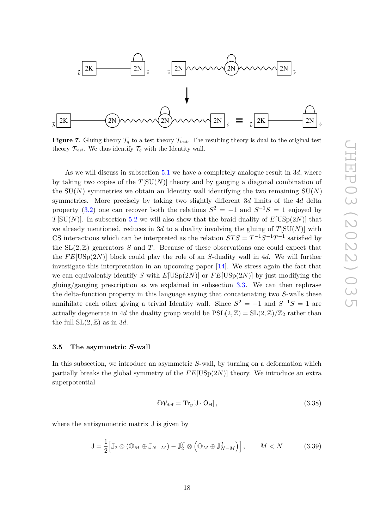

<span id="page-18-1"></span>**Figure 7.** Gluing theory  $\mathcal{T}_q$  to a test theory  $\mathcal{T}_{\text{test}}$ . The resulting theory is dual to the original test theory  $\mathcal{T}_{\text{test}}$ . We thus identify  $\mathcal{T}_q$  with the Identity wall.

As we will discuss in subsection [5.1](#page-30-1) we have a completely analogue result in 3*d*, where by taking two copies of the  $T[SU(N)]$  theory and by gauging a diagonal combination of the  $SU(N)$  symmetries we obtain an Identity wall identifying the two remaining  $SU(N)$ symmetries. More precisely by taking two slightly different 3*d* limits of the 4*d* delta property [\(3.2\)](#page-9-0) one can recover both the relations  $S^2 = -1$  and  $S^{-1}S = 1$  enjoyed by *T*[SU(*N*)]. In subsection [5.2](#page-38-0) we will also show that the braid duality of  $E[USp(2N)]$  that we already mentioned, reduces in 3*d* to a duality involving the gluing of  $T[SU(N)]$  with CS interactions which can be interpreted as the relation  $STS = T^{-1}S^{-1}T^{-1}$  satisfied by the  $SL(2, \mathbb{Z})$  generators *S* and *T*. Because of these observations one could expect that the *F E*[USp(2*N*)] block could play the role of an *S*-duality wall in 4*d*. We will further investigate this interpretation in an upcoming paper [\[14\]](#page-54-6). We stress again the fact that we can equivalently identify *S* with  $E[USp(2N)]$  or  $FE[USp(2N)]$  by just modifying the gluing/gauging prescription as we explained in subsection [3.3.](#page-14-0) We can then rephrase the delta-function property in this language saying that concatenating two *S*-walls these annihilate each other giving a trivial Identity wall. Since  $S^2 = -1$  and  $S^{-1}S = 1$  are actually degenerate in 4*d* the duality group would be  $PSL(2, \mathbb{Z}) = SL(2, \mathbb{Z})/\mathbb{Z}_2$  rather than the full  $SL(2, \mathbb{Z})$  as in 3*d*.

# <span id="page-18-0"></span>**3.5 The asymmetric** *S***-wall**

In this subsection, we introduce an asymmetric *S*-wall, by turning on a deformation which partially breaks the global symmetry of the *F E*[USp(2*N*)] theory. We introduce an extra superpotential

$$
\delta \mathcal{W}_{\text{def}} = \text{Tr}_{y}[\mathsf{J} \cdot \mathsf{O}_{\mathsf{H}}],\tag{3.38}
$$

where the antisymmetric matrix J is given by

$$
\mathsf{J} = \frac{1}{2} \Big[ \mathbb{J}_2 \otimes (\mathbb{O}_M \oplus \mathbb{J}_{N-M}) - \mathbb{J}_2^T \otimes (\mathbb{O}_M \oplus \mathbb{J}_{N-M}^T) \Big], \qquad M < N \tag{3.39}
$$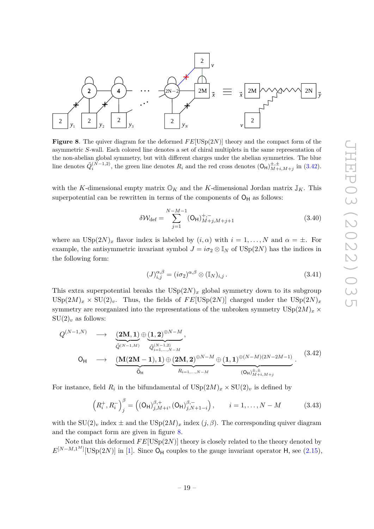

<span id="page-19-1"></span>**Figure 8**. The quiver diagram for the deformed  $FE[USp(2N)]$  theory and the compact form of the asymmetric *S*-wall. Each colored line denotes a set of chiral multiplets in the same representation of the non-abelian global symmetry, but with different charges under the abelian symmetries. The blue line denotes  $\tilde{Q}_i^{(N-1,2)}$ , the green line denotes  $R_i$  and the red cross denotes  $(\mathsf{O}_{\mathsf{H}})_{M+i,M+j}^{\pm,\pm}$  in  $(3.42)$ .

with the *K*-dimensional empty matrix  $\mathbb{O}_K$  and the *K*-dimensional Jordan matrix  $\mathbb{J}_K$ . This superpotential can be rewritten in terms of the components of  $O_H$  as follows:

<span id="page-19-2"></span>
$$
\delta \mathcal{W}_{\text{def}} = \sum_{j=1}^{N-M-1} (\mathsf{O}_{\mathsf{H}})_{M+j,M+j+1}^{+,-} \tag{3.40}
$$

where an  $USp(2N)_x$  flavor index is labeled by  $(i, \alpha)$  with  $i = 1, ..., N$  and  $\alpha = \pm$ . For example, the antisymmetric invariant symbol  $J = i\sigma_2 \otimes \mathbb{I}_N$  of  $\text{USp}(2N)$  has the indices in the following form:

<span id="page-19-0"></span>
$$
(J)_{i,j}^{\alpha,\beta} = (i\sigma_2)^{\alpha,\beta} \otimes (\mathbb{I}_N)_{i,j}.
$$
 (3.41)

This extra superpotential breaks the  $\text{USp}(2N)_x$  global symmetry down to its subgroup  $USp(2M)_x \times SU(2)_v$ . Thus, the fields of  $FE[USp(2N)]$  charged under the  $USp(2N)_x$ symmetry are reorganized into the representations of the unbroken symmetry  $USp(2M)_x \times$  $SU(2)_v$  as follows:

$$
Q^{(N-1,N)} \longrightarrow \underbrace{(2M, 1)}_{\tilde{Q}^{(N-1,M)}} \oplus \underbrace{(1, 2)^{\oplus N-M}}_{\tilde{Q}^{(N-1, 2)}_{i=1,\dots,N-M}},
$$
\n
$$
O_{\mathsf{H}} \longrightarrow \underbrace{(M(2M-1), 1)}_{\tilde{O}_{\mathsf{H}}} \oplus \underbrace{(2M, 2)^{\oplus N-M}}_{R_{i=1,\dots,N-M}} \oplus \underbrace{(1, 1)^{\oplus (N-M)(2N-2M-1)}}_{(O_{\mathsf{H}})^{\pm, \pm}_{M+i,M+j}}.
$$
\n(3.42)

For instance, field  $R_i$  in the bifundamental of  $\mathrm{USp}(2M)_x \times \mathrm{SU}(2)_v$  is defined by

$$
\left(R_i^+, R_i^-\right)_j^\beta = \left((\mathsf{O}_{\mathsf{H}})_{j,M+i}^{\beta,+}, (\mathsf{O}_{\mathsf{H}})_{j,N+1-i}^{\beta,-}\right), \qquad i = 1, \dots, N-M \tag{3.43}
$$

with the  $SU(2)_v$  index  $\pm$  and the  $USp(2M)_x$  index  $(j, \beta)$ . The corresponding quiver diagram and the compact form are given in figure [8.](#page-19-1)

Note that this deformed  $FE[USp(2N)]$  theory is closely related to the theory denoted by  $E^{[N-M,1^M]}[\text{USp}(2N)]$  in [\[1\]](#page-53-0). Since O<sub>H</sub> couples to the gauge invariant operator H, see [\(2.15\)](#page-7-2),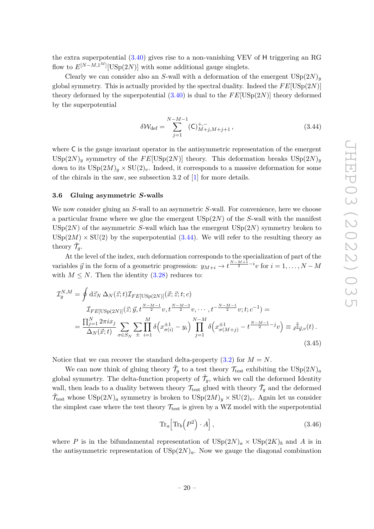the extra superpotential  $(3.40)$  gives rise to a non-vanishing VEV of H triggering an RG flow to  $E^{[N-M,1^M]}[\text{USp}(2N)]$  with some additional gauge singlets.

Clearly we can consider also an *S*-wall with a deformation of the emergent  $USp(2N)$ <sub>y</sub> global symmetry. This is actually provided by the spectral duality. Indeed the  $FE[USp(2N)]$ theory deformed by the superpotential  $(3.40)$  is dual to the  $FE[USp(2N)]$  theory deformed by the superpotential

<span id="page-20-1"></span>
$$
\delta \mathcal{W}_{\text{def}} = \sum_{j=1}^{N-M-1} (\mathsf{C})_{M+j,M+j+1}^{+,-}, \tag{3.44}
$$

where C is the gauge invariant operator in the antisymmetric representation of the emergent  $USp(2N)_y$  symmetry of the  $FE[USp(2N)]$  theory. This deformation breaks  $USp(2N)_y$ down to its  $USp(2M)_y \times SU(2)_y$ . Indeed, it corresponds to a massive deformation for some of the chirals in the saw, see subsection 3.2 of [\[1\]](#page-53-0) for more details.

# <span id="page-20-0"></span>**3.6 Gluing asymmetric** *S***-walls**

We now consider gluing an *S*-wall to an asymmetric *S*-wall. For convenience, here we choose a particular frame where we glue the emergent USp(2*N*) of the *S*-wall with the manifest USp(2*N*) of the asymmetric *S*-wall which has the emergent USp(2*N*) symmetry broken to  $USp(2M) \times SU(2)$  by the superpotential  $(3.44)$ . We will refer to the resulting theory as theory  $\tilde{\mathcal{T}}_g$ .

At the level of the index, such deformation corresponds to the specialization of part of the variables  $\vec{y}$  in the form of a geometric progression:  $y_{M+i} \to t^{\frac{N-M+1}{2}-i}v$  for  $i = 1, \ldots, N-M$ with  $M \leq N$ . Then the identity [\(3.28\)](#page-15-3) reduces to:

$$
\mathcal{I}_{g}^{N,M} = \oint d\vec{z}_{N} \,\Delta_{N}(\vec{z};t) \mathcal{I}_{FE[USp(2N)]}(\vec{x};\vec{z};t;c)
$$
\n
$$
\mathcal{I}_{FE[USp(2N)]}(\vec{z};\vec{y},t^{\frac{N-M-1}{2}}v,t^{\frac{N-M-3}{2}}v,\cdots,t^{-\frac{N-M-1}{2}}v;t;c^{-1}) =
$$
\n
$$
= \frac{\prod_{j=1}^{N} 2\pi i x_{j}}{\Delta_{N}(\vec{x};t)} \sum_{\sigma \in S_{N}} \sum_{\pm} \prod_{i=1}^{M} \delta\left(x_{\sigma(i)}^{\pm 1} - y_{i}\right) \prod_{j=1}^{N-M} \delta\left(x_{\sigma(M+j)}^{\pm 1} - t^{\frac{N-M-1}{2} - j}v\right) \equiv \vec{x}^{\hat{\mathbb{I}}}\vec{y}_{,v}(t).
$$
\n(3.45)

Notice that we can recover the standard delta-property  $(3.2)$  for  $M = N$ .

We can now think of gluing theory  $\tilde{\mathcal{T}}_g$  to a test theory  $\mathcal{T}_{\text{test}}$  exhibiting the  $\text{USp}(2N)_a$ global symmetry. The delta-function property of  $\tilde{\mathcal{T}}_g$ , which we call the deformed Identity wall, then leads to a duality between theory  $\mathcal{T}_{\text{test}}$  glued with theory  $\tilde{\mathcal{T}}_g$  and the deformed  $\tilde{\mathcal{T}}_{\text{test}}$  whose  $\text{USp}(2N)_a$  symmetry is broken to  $\text{USp}(2M)_y \times \text{SU}(2)_v$ . Again let us consider the simplest case where the test theory  $\mathcal{T}_{\text{test}}$  is given by a WZ model with the superpotential

<span id="page-20-2"></span>
$$
\operatorname{Tr}_a\!\left[\operatorname{Tr}_b\!\left(P^2\right)\cdot A\right],\tag{3.46}
$$

where P is in the bifundamental representation of  $\text{USp}(2N)_a \times \text{USp}(2K)_b$  and A is in the antisymmetric representation of  $\text{USp}(2N)_a$ . Now we gauge the diagonal combination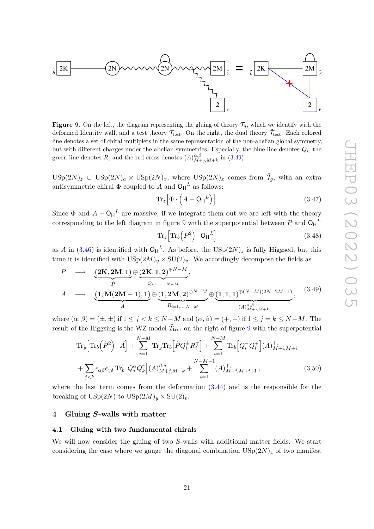

<span id="page-21-3"></span>**Figure 9**. On the left, the diagram representing the gluing of theory  $\tilde{\mathcal{T}}_g$ , which we identify with the deformed Identity wall, and a test theory  $\mathcal{T}_{\text{test}}$ . On the right, the dual theory  $\tilde{\mathcal{T}}_{\text{test}}$ . Each colored line denotes a set of chiral multiplets in the same representation of the non-abelian global symmetry, but with different charges under the abelian symmetries. Especially, the blue line denotes  $Q_i$ , the green line denotes  $R_i$  and the red cross denotes  $(A)_{M+j,M+k}^{\alpha,\beta}$  in [\(3.49\)](#page-21-2).

 $\text{USp}(2N)_z \subset \text{USp}(2N)_a \times \text{USp}(2N)_x$ , where  $\text{USp}(2N)_x$  comes from  $\tilde{\mathcal{T}}_g$ , with an extra antisymmetric chiral  $\Phi$  coupled to *A* and  $O_H^L$  as follows:

$$
\operatorname{Tr}_z \left[ \Phi \cdot \left( A - \mathsf{O}_\mathsf{H}{}^L \right) \right]. \tag{3.47}
$$

Since  $\Phi$  and  $A - \mathsf{O}_{\mathsf{H}}^L$  are massive, if we integrate them out we are left with the theory corresponding to the left diagram in figure [9](#page-21-3) with the superpotential between  $P$  and  $O_H{}^L$ 

<span id="page-21-2"></span>
$$
\operatorname{Tr}_{z}\left[\operatorname{Tr}_{b}\left(P^{2}\right)\cdot\mathsf{O}_{\mathsf{H}}^{L}\right]
$$
\n(3.48)

as *A* in [\(3.46\)](#page-20-2) is identified with  $O_H^L$ . As before, the  $USp(2N)_z$  is fully Higgsed, but this time it is identified with  $USp(2M)_y \times SU(2)_v$ . We accordingly decompose the fields as

$$
P \longrightarrow \underbrace{(2K, 2M, 1)}_{\tilde{P}} \oplus \underbrace{(2K, 1, 2)^{\oplus N-M}}_{Q_{i=1,\dots,N-M}},
$$
\n
$$
A \longrightarrow \underbrace{(1, M(2M-1), 1)}_{\tilde{A}} \oplus \underbrace{(1, 2M, 2)^{\oplus N-M}}_{R_{i=1,\dots,N-M}} \oplus \underbrace{(1, 1, 1)^{\oplus (N-M)(2N-2M-1)}}_{(A)^{\alpha,\beta}_{M+j,M+k}},
$$
\n
$$
(3.49)
$$

where  $(\alpha, \beta) = (\pm, \pm)$  if  $1 \leq j < k \leq N-M$  and  $(\alpha, \beta) = (+, -)$  if  $1 \leq j = k \leq N-M$ . The result of the Higgsing is the WZ model  $\tilde{T}_\text{test}$  on the right of figure [9](#page-21-3) with the superpotential

$$
\mathrm{Tr}_{y} \Big[ \mathrm{Tr}_{b} \Big( \tilde{P}^{2} \Big) \cdot \tilde{A} \Big] + \sum_{i=1}^{N-M} \mathrm{Tr}_{y} \mathrm{Tr}_{b} \Big[ \tilde{P} Q_{i}^{\pm} R_{i}^{\mp} \Big] + \sum_{i=1}^{N-M} \mathrm{Tr}_{b} \Big[ Q_{i}^{-} Q_{i}^{+} \Big] (A)_{M+i,M+i}^{+,-} + \sum_{j
$$

where the last term comes from the deformation [\(3.44\)](#page-20-1) and is the responsible for the breaking of  $\mathrm{USp}(2N)$  to  $\mathrm{USp}(2M)_y \times \mathrm{SU}(2)_v$ .

# <span id="page-21-0"></span>**4 Gluing** *S***-walls with matter**

# <span id="page-21-1"></span>**4.1 Gluing with two fundamental chirals**

We will now consider the gluing of two *S*-walls with additional matter fields. We start considering the case where we gauge the diagonal combination  $USp(2N)_z$  of two manifest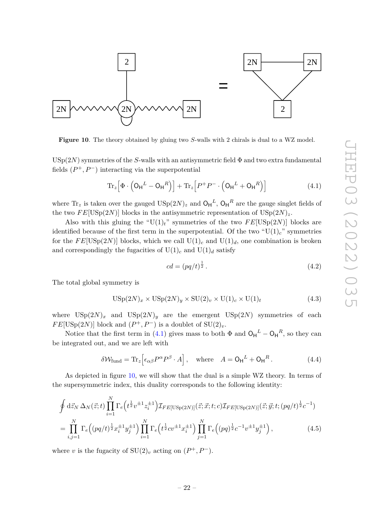

<span id="page-22-1"></span>**Figure 10**. The theory obtained by gluing two *S*-walls with 2 chirals is dual to a WZ model.

 $USp(2N)$  symmetries of the *S*-walls with an antisymmetric field  $\Phi$  and two extra fundamental fields  $(P^+, P^-)$  interacting via the superpotential

$$
\operatorname{Tr}_{z}\left[\Phi\cdot\left(\mathsf{O}_{\mathsf{H}}^{L}-\mathsf{O}_{\mathsf{H}}^{R}\right)\right]+\operatorname{Tr}_{z}\left[P^{+}P^{-}\cdot\left(\mathsf{O}_{\mathsf{H}}^{L}+\mathsf{O}_{\mathsf{H}}^{R}\right)\right]
$$
(4.1)

where  $\text{Tr}_z$  is taken over the gauged  $\text{USp}(2N)_z$  and  $\text{O}_\text{H}{}^L$ ,  $\text{O}_\text{H}{}^R$  are the gauge singlet fields of the two  $FE[USp(2N)]$  blocks in the antisymmetric representation of  $USp(2N)_z$ .

Also with this gluing the " $U(1)<sub>t</sub>$ " symmetries of the two  $FE[USp(2N)]$  blocks are identified because of the first term in the superpotential. Of the two " $U(1)<sub>c</sub>$ " symmetries for the  $FE[USp(2N)]$  blocks, which we call  $U(1)<sub>c</sub>$  and  $U(1)<sub>d</sub>$ , one combination is broken and correspondingly the fugacities of  $U(1)_c$  and  $U(1)_d$  satisfy

<span id="page-22-2"></span><span id="page-22-0"></span>
$$
cd = (pq/t)^{\frac{1}{2}}.
$$
\n(4.2)

The total global symmetry is

$$
USp(2N)_x \times USp(2N)_y \times SU(2)_v \times U(1)_c \times U(1)_t
$$
\n(4.3)

where  $\text{USp}(2N)_x$  and  $\text{USp}(2N)_y$  are the emergent  $\text{USp}(2N)$  symmetries of each  $FE[USp(2N)]$  block and  $(P^+, P^-)$  is a doublet of  $SU(2)_v$ .

Notice that the first term in [\(4.1\)](#page-22-0) gives mass to both  $\Phi$  and  $O_H^L - O_H^R$ , so they can be integrated out, and we are left with

$$
\delta \mathcal{W}_{\text{fund}} = \text{Tr}_{z} \Big[ \epsilon_{\alpha\beta} P^{\alpha} P^{\beta} \cdot A \Big], \quad \text{where} \quad A = \text{O}_{\text{H}}^{L} + \text{O}_{\text{H}}^{R}. \tag{4.4}
$$

As depicted in figure [10,](#page-22-1) we will show that the dual is a simple WZ theory. In terms of the supersymmetric index, this duality corresponds to the following identity:

$$
\oint d\vec{z}_N \,\Delta_N(\vec{z};t) \prod_{i=1}^N \Gamma_e(t^{\frac{1}{2}} v^{\pm 1} z_i^{\pm 1}) \mathcal{I}_{FE[USp(2N)]}(\vec{z};\vec{x};t;c) \mathcal{I}_{FE[USp(2N)]}(\vec{z};\vec{y};t;(pq/t)^{\frac{1}{2}} c^{-1})
$$
\n
$$
= \prod_{i,j=1}^N \Gamma_e((pq/t)^{\frac{1}{2}} x_i^{\pm 1} y_j^{\pm 1}) \prod_{i=1}^N \Gamma_e(t^{\frac{1}{2}} c v^{\pm 1} x_i^{\pm 1}) \prod_{j=1}^N \Gamma_e((pq)^{\frac{1}{2}} c^{-1} v^{\pm 1} y_j^{\pm 1}), \tag{4.5}
$$

where *v* is the fugacity of  $SU(2)_v$  acting on  $(P^+, P^-)$ .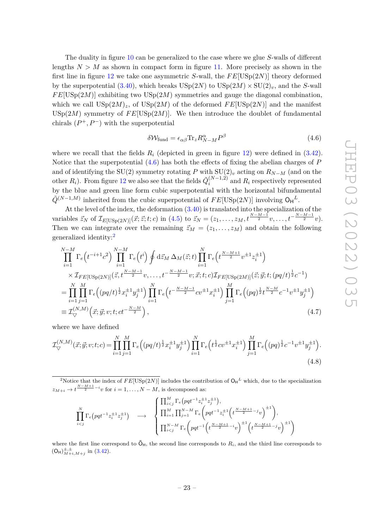The duality in figure [10](#page-22-1) can be generalized to the case where we glue *S*-walls of different lengths  $N > M$  as shown in compact form in figure [11.](#page-24-0) More precisely as shown in the first line in figure [12](#page-25-0) we take one asymmetric *S*-wall, the *F E*[USp(2*N*)] theory deformed by the superpotential  $(3.40)$ , which breaks  $\text{USp}(2N)$  to  $\text{USp}(2M) \times \text{SU}(2)_v$ , and the *S*-wall  $FE[USp(2M)]$  exhibiting two  $USp(2M)$  symmetries and gauge the diagonal combination. which we call  $\text{USp}(2M)_z$ , of  $\text{USp}(2M)$  of the deformed  $FE[\text{USp}(2N)]$  and the manifest USp $(2M)$  symmetry of  $FE[USp(2M)]$ . We then introduce the doublet of fundamental chirals  $(P^+, P^-)$  with the superpotential

<span id="page-23-2"></span><span id="page-23-0"></span>
$$
\delta \mathcal{W}_{\text{fund}} = \epsilon_{\alpha\beta} \text{Tr}_{z} R^{\alpha}_{N-M} P^{\beta} \tag{4.6}
$$

where we recall that the fields  $R_i$  (depicted in green in figure [12\)](#page-25-0) were defined in  $(3.42)$ . Notice that the superpotential [\(4.6\)](#page-23-0) has both the effects of fixing the abelian charges of *P* and of identifying the SU(2) symmetry rotating *P* with SU(2)*<sup>v</sup>* acting on *RN*−*<sup>M</sup>* (and on the other  $R_i$ ). From figure [12](#page-25-0) we also see that the fields  $\tilde{Q}_i^{(N-1,2)}$  $\binom{N-1}{i}$  and  $R_i$  respectively represented by the blue and green line form cubic superpotential with the horizontal bifundamental  $\tilde{Q}^{(N-1,M)}$  inherited from the cubic superpotential of  $FE[USp(2N)]$  involving  $O_H^L$ .

At the level of the index, the deformation [\(3.40\)](#page-19-2) is translated into the specialization of the variables  $\vec{z}_N$  of  $\mathcal{I}_{E[USp(2N)]}(\vec{x};\vec{z};t;c)$  in [\(4.5\)](#page-22-2) to  $\vec{z}_N = (z_1,\ldots,z_M,t^{\frac{N-M-1}{2}}v,\ldots,t^{-\frac{N-M-1}{2}}v)$ . Then we can integrate over the remaining  $\vec{z}_M = (z_1, \ldots, z_M)$  and obtain the following generalized identity:[2](#page-23-1)

$$
\prod_{i=1}^{N-M} \Gamma_e(t^{-i+1}c^2) \prod_{i=1}^{N-M} \Gamma_e(t^i) \oint dz_M \Delta_M(\vec{z};t) \prod_{i=1}^N \Gamma_e(t^{\frac{N-M+1}{2}}v^{\pm 1} z_i^{\pm 1})
$$
\n
$$
\times \mathcal{I}_{FE[USp(2N)]}(\vec{z}, t^{\frac{N-M-1}{2}} v, \dots, t^{-\frac{N-M-1}{2}} v; \vec{x};t; c) \mathcal{I}_{FE[USp(2M)]}(\vec{z}; \vec{y};t; (pq/t)^{\frac{1}{2}} c^{-1})
$$
\n
$$
= \prod_{i=1}^N \prod_{j=1}^M \Gamma_e((pq/t)^{\frac{1}{2}} x_i^{\pm 1} y_j^{\pm 1}) \prod_{i=1}^N \Gamma_e(t^{-\frac{N-M-1}{2}} c v^{\pm 1} x_i^{\pm 1}) \prod_{j=1}^M \Gamma_e((pq)^{\frac{1}{2}} t^{\frac{N-M}{2}} c^{-1} v^{\pm 1} y_j^{\pm 1})
$$
\n
$$
\equiv \mathcal{I}_{\nabla}^{(N,M)}(\vec{x}; \vec{y}; v; t; ct^{-\frac{N-M}{2}}), \qquad (4.7)
$$

where we have defined

$$
\mathcal{I}_{\nabla}^{(N,M)}(\vec{x};\vec{y};v;t;c) = \prod_{i=1}^{N} \prod_{j=1}^{M} \Gamma_e \Big( (pq/t)^{\frac{1}{2}} x_i^{\pm 1} y_j^{\pm 1} \Big) \prod_{i=1}^{N} \Gamma_e \Big( t^{\frac{1}{2}} c v^{\pm 1} x_i^{\pm 1} \Big) \prod_{j=1}^{M} \Gamma_e \Big( (pq)^{\frac{1}{2}} c^{-1} v^{\pm 1} y_j^{\pm 1} \Big). \tag{4.8}
$$

<span id="page-23-1"></span><sup>2</sup>Notice that the index of  $FE[USp(2N)]$  includes the contribution of  $O_H^L$  which, due to the specialization  $z_{M+i} \to t^{\frac{N-M+1}{2}-i}v$  for  $i = 1, \ldots, N-M$ , is decomposed as:

<span id="page-23-3"></span>
$$
\prod_{i < j}^{N} \Gamma_e \left( pqt^{-1} z_i^{\pm 1} z_j^{\pm 1} \right) \longrightarrow \begin{cases} \prod_{i < j}^{M} \Gamma_e \left( pqt^{-1} z_i^{\pm 1} z_j^{\pm 1} \right), \\ \prod_{i = 1}^{M} \prod_{j = 1}^{N - M} \Gamma_e \left( pqt^{-1} z_i^{\pm 1} \left( t^{\frac{N - M + 1}{2} - j} v \right)^{\pm 1} \right), \\ \prod_{i < j}^{N - M} \Gamma_e \left( pqt^{-1} \left( t^{\frac{N - M + 1}{2} - i} v \right)^{\pm 1} \left( t^{\frac{N - M + 1}{2} - j} v \right)^{\pm 1} \right) \end{cases}
$$

where the first line correspond to  $\tilde{O}_H$ , the second line corresponds to  $R_i$ , and the third line corresponds to  $(O_H)_{M+i,M+j}^{\pm,\pm}$  in [\(3.42\)](#page-19-0).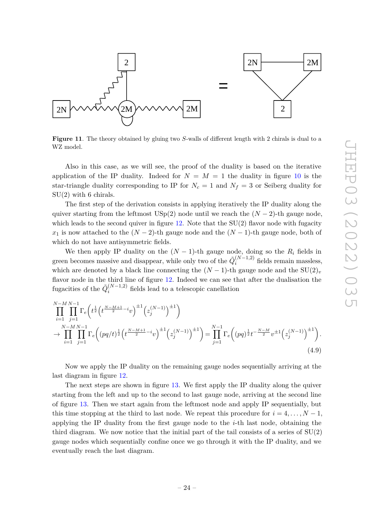

<span id="page-24-0"></span>**Figure 11**. The theory obtained by gluing two *S*-walls of different length with 2 chirals is dual to a WZ model.

Also in this case, as we will see, the proof of the duality is based on the iterative application of the IP duality. Indeed for  $N = M = 1$  the duality in figure [10](#page-22-1) is the star-triangle duality corresponding to IP for  $N_c = 1$  and  $N_f = 3$  or Seiberg duality for SU(2) with 6 chirals.

The first step of the derivation consists in applying iteratively the IP duality along the quiver starting from the leftmost USp(2) node until we reach the  $(N-2)$ -th gauge node, which leads to the second quiver in figure  $12$ . Note that the SU(2) flavor node with fugacity  $x_1$  is now attached to the  $(N-2)$ -th gauge node and the  $(N-1)$ -th gauge node, both of which do not have antisymmetric fields.

We then apply IP duality on the  $(N-1)$ -th gauge node, doing so the  $R_i$  fields in green becomes massive and disappear, while only two of the  $\tilde{Q}_i^{(N-1,2)}$  $i^{(N-1,2)}$  fields remain massless, which are denoted by a black line connecting the  $(N-1)$ -th gauge node and the  $SU(2)_v$ flavor node in the third line of figure [12.](#page-25-0) Indeed we can see that after the dualisation the fugacities of the  $\tilde{Q}_i^{(N-1,2)}$  $i^{(N-1,2)}$  fields lead to a telescopic canellation

$$
\prod_{i=1}^{N-M} \prod_{j=1}^{N-1} \Gamma_e \left( t^{\frac{1}{2}} \left( t^{\frac{N-M+1}{2} - i} v \right)^{\pm 1} \left( z_j^{(N-1)} \right)^{\pm 1} \right) \n\to \prod_{i=1}^{N-M} \prod_{j=1}^{N-1} \Gamma_e \left( (pq/t)^{\frac{1}{2}} \left( t^{\frac{N-M+1}{2} - i} v \right)^{\pm 1} \left( z_j^{(N-1)} \right)^{\pm 1} \right) = \prod_{j=1}^{N-1} \Gamma_e \left( (pq)^{\frac{1}{2}} t^{-\frac{N-M}{2}} v^{\pm 1} \left( z_j^{(N-1)} \right)^{\pm 1} \right).
$$
\n(4.9)

Now we apply the IP duality on the remaining gauge nodes sequentially arriving at the last diagram in figure [12.](#page-25-0)

The next steps are shown in figure [13.](#page-26-0) We first apply the IP duality along the quiver starting from the left and up to the second to last gauge node, arriving at the second line of figure [13.](#page-26-0) Then we start again from the leftmost node and apply IP sequentially, but this time stopping at the third to last node. We repeat this procedure for  $i = 4, \ldots, N - 1$ , applying the IP duality from the first gauge node to the *i*-th last node, obtaining the third diagram. We now notice that the initial part of the tail consists of a series of  $SU(2)$ gauge nodes which sequentially confine once we go through it with the IP duality, and we eventually reach the last diagram.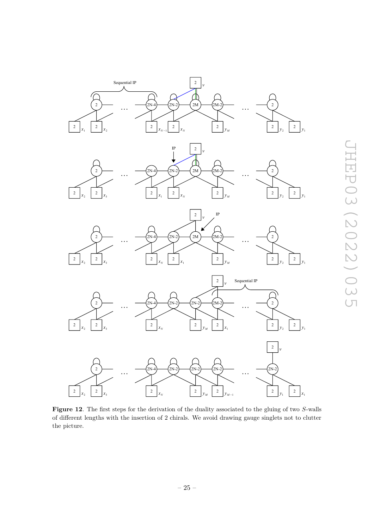

<span id="page-25-0"></span>**Figure 12**. The first steps for the derivation of the duality associated to the gluing of two *S*-walls of different lengths with the insertion of 2 chirals. We avoid drawing gauge singlets not to clutter the picture.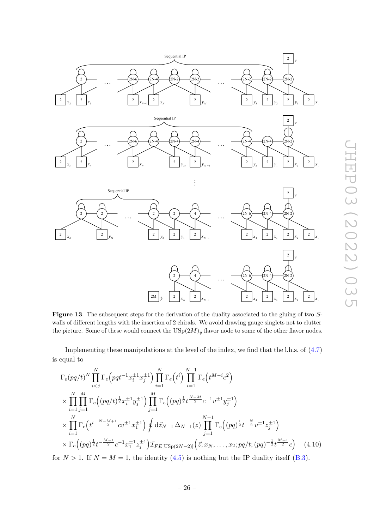

<span id="page-26-0"></span>**Figure 13**. The subsequent steps for the derivation of the duality associated to the gluing of two *S*walls of different lengths with the insertion of 2 chirals. We avoid drawing gauge singlets not to clutter the picture. Some of these would connect the  $\mathrm{USp}(2M)_y$  flavor node to some of the other flavor nodes.

Implementing these manipulations at the level of the index, we find that the l.h.s. of [\(4.7\)](#page-23-2) is equal to

$$
\Gamma_e(pq/t)^N \prod_{i\n
$$
\times \prod_{i=1}^N \prod_{j=1}^M \Gamma_e\left((pq/t)^{\frac{1}{2}}x_i^{\pm 1}y_j^{\pm 1}\right) \prod_{j=1}^M \Gamma_e\left((pq)^{\frac{1}{2}}t^{\frac{N-M}{2}}c^{-1}v^{\pm 1}y_j^{\pm 1}\right)
$$
\n
$$
\times \prod_{i=1}^N \Gamma_e\left(t^{i-\frac{N-M+1}{2}}cv^{\pm 1}x_1^{\pm 1}\right) \oint d\vec{z}_{N-1} \Delta_{N-1}(z) \prod_{j=1}^{N-1} \Gamma_e\left((pq)^{\frac{1}{2}}t^{-\frac{N}{2}}v^{\pm 1}z_j^{\pm 1}\right)
$$
\n
$$
\times \Gamma_e\left((pq)^{\frac{1}{2}}t^{-\frac{M-1}{2}}c^{-1}x_1^{\pm 1}z_j^{\pm 1}\right) \mathcal{I}_{FE}[\text{USp}(2N-2)]\left(\vec{z}; x_N, \ldots, x_2; pq/t; (pq)^{-\frac{1}{2}}t^{\frac{M+1}{2}}c\right) \tag{4.10}
$$
$$

<span id="page-26-1"></span>for  $N > 1$ . If  $N = M = 1$ , the identity [\(4.5\)](#page-22-2) is nothing but the IP duality itself [\(B.3\)](#page-49-2).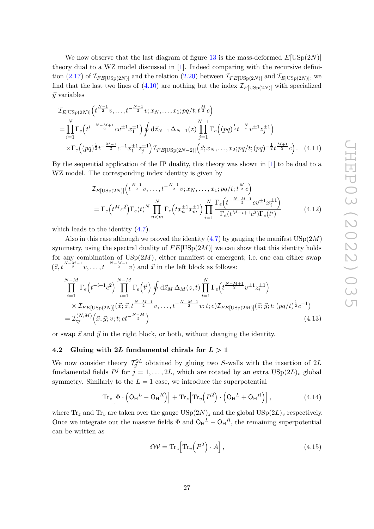We now observe that the last diagram of figure [13](#page-26-0) is the mass-deformed  $E[USp(2N)]$ theory dual to a WZ model discussed in [\[1\]](#page-53-0). Indeed comparing with the recursive defini-tion [\(2.17\)](#page-8-5) of  $\mathcal{I}_{FE[USp(2N)]}$  and the relation [\(2.20\)](#page-8-6) between  $\mathcal{I}_{FE[USp(2N)]}$  and  $\mathcal{I}_{E[USp(2N)]}$ , we find that the last two lines of  $(4.10)$  are nothing but the index  $\mathcal{I}_{E[USp(2N)]}$  with specialized  $\vec{v}$  variables

$$
\mathcal{I}_{E[\text{USp}(2N)]}\left(t^{\frac{N-1}{2}}v,\ldots,t^{-\frac{N-1}{2}}v;x_{N},\ldots,x_{1};pq/t;t^{\frac{M}{2}}c\right)
$$
\n
$$
=\prod_{i=1}^{N}\Gamma_{e}\left(t^{i-\frac{N-M+1}{2}}cv^{\pm 1}x_{1}^{\pm 1}\right)\oint d\vec{z}_{N-1}\Delta_{N-1}(z)\prod_{j=1}^{N-1}\Gamma_{e}\left((pq)^{\frac{1}{2}}t^{-\frac{N}{2}}v^{\pm 1}z_{j}^{\pm 1}\right)
$$
\n
$$
\times\Gamma_{e}\left((pq)^{\frac{1}{2}}t^{-\frac{M-1}{2}}c^{-1}x_{1}^{\pm 1}z_{j}^{\pm 1}\right)\mathcal{I}_{FE[\text{USp}(2N-2)]}\left(\vec{z};x_{N},\ldots,x_{2};pq/t;(pq)^{-\frac{1}{2}}t^{\frac{M+1}{2}}c\right).
$$
\n(4.11)

By the sequential application of the IP duality, this theory was shown in [\[1\]](#page-53-0) to be dual to a WZ model. The corresponding index identity is given by

$$
\mathcal{I}_{E[\text{USp}(2N)]}\left(t^{\frac{N-1}{2}}v,\ldots,t^{-\frac{N-1}{2}}v;x_N,\ldots,x_1;pq/t;t^{\frac{M}{2}}c\right)
$$
\n
$$
= \Gamma_e\left(t^Mc^2\right)\Gamma_e(t)^N \prod_{n
$$

which leads to the identity [\(4.7\)](#page-23-2).

Also in this case although we proved the identity  $(4.7)$  by gauging the manifest  $\text{USp}(2M)$ symmetry, using the spectral duality of  $FE[USp(2M)]$  we can show that this identity holds for any combination of  $\text{USp}(2M)$ , either manifest or emergent; i.e. one can either swap  $(\vec{z}, t^{\frac{N-M-1}{2}}v, \ldots, t^{-\frac{N-M-1}{2}}v)$  and  $\vec{x}$  in the left block as follows:

$$
\prod_{i=1}^{N-M} \Gamma_e(t^{-i+1}c^2) \prod_{i=1}^{N-M} \Gamma_e(t^i) \oint d\vec{z}_M \,\Delta_M(z,t) \prod_{i=1}^N \Gamma_e(t^{\frac{N-M+1}{2}}v^{\pm 1}z_i^{\pm 1})
$$
\n
$$
\times \mathcal{I}_{FE[USp(2N)]}(\vec{x}; \vec{z}, t^{\frac{N-M-1}{2}}v, \dots, t^{-\frac{N-M-1}{2}}v; t; c) \mathcal{I}_{FE[USp(2M)]}(\vec{z}; \vec{y}; t; (pq/t)^{\frac{1}{2}}c^{-1})
$$
\n
$$
= \mathcal{I}_{\nabla}^{(N,M)}(\vec{x}; \vec{y}; v; t; ct^{-\frac{N-M}{2}})
$$
\n(4.13)

or swap  $\vec{z}$  and  $\vec{y}$  in the right block, or both, without changing the identity.

#### <span id="page-27-0"></span>**4.2** Gluing with 2L fundamental chirals for  $L > 1$

We now consider theory  $\mathcal{T}_g^{2L}$  obtained by gluing two *S*-walls with the insertion of 2*L* fundamental fields  $P^j$  for  $j = 1, ..., 2L$ , which are rotated by an extra  $\mathrm{USp}(2L)_v$  global symmetry. Similarly to the  $L = 1$  case, we introduce the superpotential

$$
\operatorname{Tr}_{z}\left[\Phi\cdot\left(\mathsf{O}_{\mathsf{H}}^{L}-\mathsf{O}_{\mathsf{H}}^{R}\right)\right]+\operatorname{Tr}_{z}\left[\operatorname{Tr}_{v}\left(P^{2}\right)\cdot\left(\mathsf{O}_{\mathsf{H}}^{L}+\mathsf{O}_{\mathsf{H}}^{R}\right)\right],\tag{4.14}
$$

where  $\text{Tr}_z$  and  $\text{Tr}_v$  are taken over the gauge  $\text{USp}(2N)_z$  and the global  $\text{USp}(2L)_v$  respectively. Once we integrate out the massive fields  $\Phi$  and  $O_H^L - O_H^R$ , the remaining superpotential can be written as

<span id="page-27-1"></span>
$$
\delta \mathcal{W} = \text{Tr}_z \Big[ \text{Tr}_v \Big( P^2 \Big) \cdot A \Big], \tag{4.15}
$$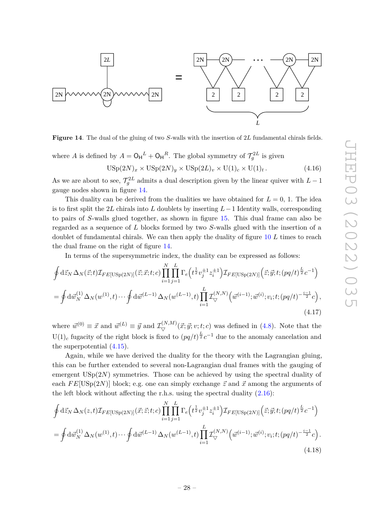

<span id="page-28-0"></span>**Figure 14**. The dual of the gluing of two *S*-walls with the insertion of 2*L* fundamental chirals fields.

where *A* is defined by  $A = O_H{}^L + O_H{}^R$ . The global symmetry of  $\mathcal{T}_g^{2L}$  is given

$$
USp(2N)_x \times USp(2N)_y \times USp(2L)_v \times U(1)_c \times U(1)_t.
$$
\n(4.16)

As we are about to see,  $\mathcal{T}_g^{2L}$  admits a dual description given by the linear quiver with  $L-1$ gauge nodes shown in figure [14.](#page-28-0)

This duality can be derived from the dualities we have obtained for  $L = 0, 1$ . The idea is to first split the 2*L* chirals into *L* doublets by inserting *L*−1 Identity walls, corresponding to pairs of *S*-walls glued together, as shown in figure [15.](#page-29-0) This dual frame can also be regarded as a sequence of *L* blocks formed by two *S*-walls glued with the insertion of a doublet of fundamental chirals. We can then apply the duality of figure [10](#page-22-1) *L* times to reach the dual frame on the right of figure [14.](#page-28-0)

In terms of the supersymmetric index, the duality can be expressed as follows:

$$
\oint d\vec{z}_N \,\Delta_N(\vec{z};t) \mathcal{I}_{FE[USp(2N)]}(\vec{z};\vec{x};t;c) \prod_{i=1}^N \prod_{j=1}^L \Gamma_e(t^{\frac{1}{2}} v_j^{\pm 1} z_i^{\pm 1}) \mathcal{I}_{FE[USp(2N)]}(\vec{z};\vec{y};t;(pq/t)^{\frac{L}{2}} c^{-1})
$$
\n
$$
= \oint d\vec{w}_N^{(1)} \,\Delta_N(w^{(1)},t) \cdots \oint d\vec{w}^{(L-1)} \,\Delta_N(w^{(L-1)},t) \prod_{i=1}^L \mathcal{I}_{\nabla}^{(N,N)}(\vec{w}^{(i-1)};\vec{w}^{(i)};v_i;t;(pq/t)^{-\frac{i-1}{2}} c),
$$
\n(4.17)

where  $\vec{w}^{(0)} \equiv \vec{x}$  and  $\vec{w}^{(L)} \equiv \vec{y}$  and  $\mathcal{I}_{\nabla}^{(N,M)}(\vec{x}; \vec{y}; v; t; c)$  was defined in [\(4.8\)](#page-23-3). Note that the U(1)<sub>c</sub> fugacity of the right block is fixed to  $(pq/t)^{\frac{L}{2}}c^{-1}$  due to the anomaly cancelation and the superpotential [\(4.15\)](#page-27-1).

Again, while we have derived the duality for the theory with the Lagrangian gluing, this can be further extended to several non-Lagrangian dual frames with the gauging of emergent  $\mathrm{USp}(2N)$  symmetries. Those can be achieved by using the spectral duality of each  $FE[USp(2N)]$  block; e.g. one can simply exchange  $\vec{z}$  and  $\vec{x}$  among the arguments of the left block without affecting the r.h.s. using the spectral duality  $(2.16)$ :

$$
\oint d\vec{z}_N \,\Delta_N(z,t) \mathcal{I}_{FE[USp(2N)]}(\vec{x};\vec{z};t;c) \prod_{i=1}^N \prod_{j=1}^L \Gamma_e(t^{\frac{1}{2}} v_j^{\pm 1} z_i^{\pm 1}) \mathcal{I}_{FE[USp(2N)]}(\vec{z};\vec{y};t;(pq/t)^{\frac{L}{2}} c^{-1})
$$
\n
$$
= \oint d\vec{w}_N^{(1)} \,\Delta_N(w^{(1)},t) \cdots \oint d\vec{w}^{(L-1)} \,\Delta_N(w^{(L-1)},t) \prod_{i=1}^L \mathcal{I}_{\nabla}^{(N,N)}(\vec{w}^{(i-1)};\vec{w}^{(i)};v_i;t;(pq/t)^{-\frac{i-1}{2}} c).
$$
\n(4.18)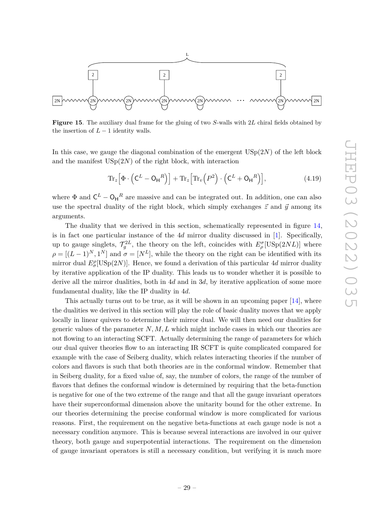

<span id="page-29-0"></span>**Figure 15**. The auxiliary dual frame for the gluing of two *S*-walls with 2*L* chiral fields obtained by the insertion of  $L-1$  identity walls.

In this case, we gauge the diagonal combination of the emergent  $\mathrm{USp}(2N)$  of the left block and the manifest  $\mathrm{USp}(2N)$  of the right block, with interaction

$$
\operatorname{Tr}_z \left[ \Phi \cdot \left( \mathsf{C}^L - \mathsf{O}_{\mathsf{H}}^R \right) \right] + \operatorname{Tr}_z \left[ \operatorname{Tr}_v \left( P^2 \right) \cdot \left( \mathsf{C}^L + \mathsf{O}_{\mathsf{H}}^R \right) \right],\tag{4.19}
$$

where  $\Phi$  and  $\mathsf{C}^L - \mathsf{O}_{\mathsf{H}}^R$  are massive and can be integrated out. In addition, one can also use the spectral duality of the right block, which simply exchanges  $\vec{z}$  and  $\vec{y}$  among its arguments.

The duality that we derived in this section, schematically represented in figure [14,](#page-28-0) is in fact one particular instance of the 4*d* mirror duality discussed in [\[1\]](#page-53-0). Specifically, up to gauge singlets,  $\mathcal{T}_g^{2L}$ , the theory on the left, coincides with  $E_\rho^{\sigma}[\text{USp}(2NL)]$  where  $\rho = [(L-1)^N, 1^N]$  and  $\sigma = [N^L]$ , while the theory on the right can be identified with its mirror dual  $E^{\rho}_{\sigma}[\text{USp}(2N)]$ . Hence, we found a derivation of this particular 4*d* mirror duality by iterative application of the IP duality. This leads us to wonder whether it is possible to derive all the mirror dualities, both in 4*d* and in 3*d*, by iterative application of some more fundamental duality, like the IP duality in 4*d*.

This actually turns out to be true, as it will be shown in an upcoming paper  $[14]$ , where the dualities we derived in this section will play the role of basic duality moves that we apply locally in linear quivers to determine their mirror dual. We will then need our dualities for generic values of the parameter *N, M, L* which might include cases in which our theories are not flowing to an interacting SCFT. Actually determining the range of parameters for which our dual quiver theories flow to an interacting IR SCFT is quite complicated compared for example with the case of Seiberg duality, which relates interacting theories if the number of colors and flavors is such that both theories are in the conformal window. Remember that in Seiberg duality, for a fixed value of, say, the number of colors, the range of the number of flavors that defines the conformal window is determined by requiring that the beta-function is negative for one of the two extreme of the range and that all the gauge invariant operators have their superconformal dimension above the unitarity bound for the other extreme. In our theories determining the precise conformal window is more complicated for various reasons. First, the requirement on the negative beta-functions at each gauge node is not a necessary condition anymore. This is because several interactions are involved in our quiver theory, both gauge and superpotential interactions. The requirement on the dimension of gauge invariant operators is still a necessary condition, but verifying it is much more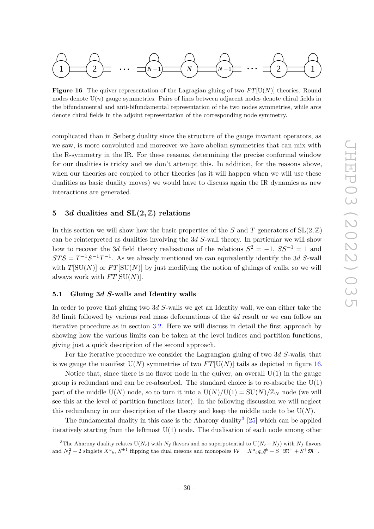

<span id="page-30-2"></span>**Figure 16.** The quiver representation of the Lagragian gluing of two  $FT[U(N)]$  theories. Round nodes denote  $U(n)$  gauge symmetries. Pairs of lines between adjacent nodes denote chiral fields in the bifundamental and anti-bifundamental representation of the two nodes symmetries, while arcs denote chiral fields in the adjoint representation of the corresponding node symmetry.

complicated than in Seiberg duality since the structure of the gauge invariant operators, as we saw, is more convoluted and moreover we have abelian symmetries that can mix with the R-symmetry in the IR. For these reasons, determining the precise conformal window for our dualities is tricky and we don't attempt this. In addition, for the reasons above, when our theories are coupled to other theories (as it will happen when we will use these dualities as basic duality moves) we would have to discuss again the IR dynamics as new interactions are generated.

# <span id="page-30-0"></span>**5 3***d* **dualities and SL(2***,* Z**) relations**

In this section we will show how the basic properties of the *S* and *T* generators of  $SL(2,\mathbb{Z})$ can be reinterpreted as dualities involving the 3*d S*-wall theory. In particular we will show how to recover the 3*d* field theory realisations of the relations  $S^2 = -1$ ,  $SS^{-1} = 1$  and  $STS = T^{-1}S^{-1}T^{-1}$ . As we already mentioned we can equivalently identify the 3*d S*-wall with  $T[SU(N)]$  or  $FT[SU(N)]$  by just modifying the notion of gluings of walls, so we will always work with  $FT[SU(N)]$ .

# <span id="page-30-1"></span>**5.1 Gluing 3***d S***-walls and Identity walls**

In order to prove that gluing two 3*d S*-walls we get an Identity wall, we can either take the 3*d* limit followed by various real mass deformations of the 4*d* result or we can follow an iterative procedure as in section [3.2.](#page-10-0) Here we will discuss in detail the first approach by showing how the various limits can be taken at the level indices and partition functions, giving just a quick description of the second approach.

For the iterative procedure we consider the Lagrangian gluing of two 3*d S*-walls, that is we gauge the manifest  $U(N)$  symmetries of two  $FT[U(N)]$  tails as depicted in figure [16.](#page-30-2)

Notice that, since there is no flavor node in the quiver, an overall  $U(1)$  in the gauge group is redundant and can be re-absorbed. The standard choice is to re-absorbe the U(1) part of the middle  $U(N)$  node, so to turn it into a  $U(N)/U(1) = SU(N)/\mathbb{Z}_N$  node (we will see this at the level of partition functions later). In the following discussion we will neglect this redundancy in our description of the theory and keep the middle node to be  $U(N)$ .

The fundamental duality in this case is the Aharony duality<sup>[3](#page-30-3)</sup> [\[25\]](#page-55-0) which can be applied iteratively starting from the leftmost  $U(1)$  node. The dualisation of each node among other

<span id="page-30-3"></span><sup>&</sup>lt;sup>3</sup>The Aharony duality relates  $U(N_c)$  with  $N_f$  flavors and no superpotential to  $U(N_c - N_f)$  with  $N_f$  flavors and  $N_f^2 + 2$  singlets  $X^a{}_b$ ,  $S^{\pm 1}$  flipping the dual mesons and monopoles  $\mathcal{W} = X^a{}_b q_a \tilde{q}^b + S^- \mathfrak{M}^+ + S^+ \mathfrak{M}^-$ .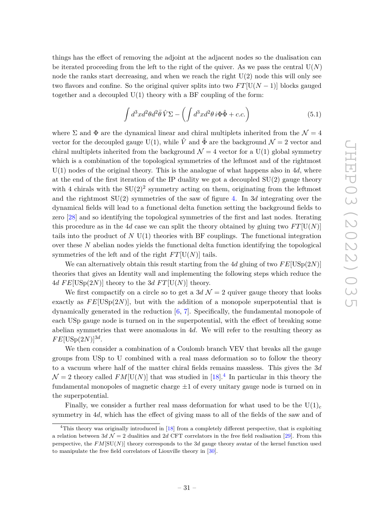things has the effect of removing the adjoint at the adjacent nodes so the dualisation can be iterated proceeding from the left to the right of the quiver. As we pass the central  $U(N)$ node the ranks start decreasing, and when we reach the right  $U(2)$  node this will only see two flavors and confine. So the original quiver splits into two  $FT[U(N-1)]$  blocks gauged together and a decoupled  $U(1)$  theory with a BF coupling of the form:

$$
\int d^3x d^2\theta d^2\bar{\theta}\,\hat{V}\Sigma - \left(\int d^3x d^2\theta\,i\Phi\hat{\Phi} + c.c.\right) \tag{5.1}
$$

where  $\Sigma$  and  $\Phi$  are the dynamical linear and chiral multiplets inherited from the  $\mathcal{N} = 4$ vector for the decoupled gauge U(1), while  $\hat{V}$  and  $\hat{\Phi}$  are the background  $\mathcal{N}=2$  vector and chiral multiplets inherited from the background  $\mathcal{N} = 4$  vector for a U(1) global symmetry which is a combination of the topological symmetries of the leftmost and of the rightmost U(1) nodes of the original theory. This is the analogue of what happens also in 4*d*, where at the end of the first iteration of the IP duality we got a decoupled SU(2) gauge theory with 4 chirals with the  $SU(2)^2$  symmetry acting on them, originating from the leftmost and the rightmost SU(2) symmetries of the saw of figure [4.](#page-9-1) In 3*d* integrating over the dynamical fields will lead to a functional delta function setting the background fields to zero [\[28\]](#page-55-3) and so identifying the topological symmetries of the first and last nodes. Iterating this procedure as in the 4*d* case we can split the theory obtained by gluing two  $FT[U(N)]$ tails into the product of *N* U(1) theories with BF couplings. The functional integration over these *N* abelian nodes yields the functional delta function identifying the topological symmetries of the left and of the right  $FT[U(N)]$  tails.

We can alternatively obtain this result starting from the 4*d* gluing of two *F E*[USp(2*N*)] theories that gives an Identity wall and implementing the following steps which reduce the 4*d*  $FE[USp(2N)]$  theory to the 3*d*  $FT[U(N)]$  theory.

We first compactify on a circle so to get a  $3d$   $\mathcal{N}=2$  quiver gauge theory that looks exactly as  $FE[USp(2N)]$ , but with the addition of a monopole superpotential that is dynamically generated in the reduction  $[6, 7]$  $[6, 7]$  $[6, 7]$ . Specifically, the fundamental monopole of each USp gauge node is turned on in the superpotential, with the effect of breaking some abelian symmetries that were anomalous in 4*d*. We will refer to the resulting theory as  $FE[USp(2N)]^{3d}$ .

We then consider a combination of a Coulomb branch VEV that breaks all the gauge groups from USp to U combined with a real mass deformation so to follow the theory to a vacuum where half of the matter chiral fields remains massless. This gives the 3*d*  $\mathcal{N}=2$  theory called  $FM[U(N)]$  that was studied in [\[18\]](#page-54-10).<sup>[4](#page-31-0)</sup> In particular in this theory the fundamental monopoles of magnetic charge  $\pm 1$  of every unitary gauge node is turned on in the superpotential.

Finally, we consider a further real mass deformation for what used to be the  $U(1)_c$ symmetry in 4*d*, which has the effect of giving mass to all of the fields of the saw and of

<span id="page-31-0"></span><sup>&</sup>lt;sup>4</sup>This theory was originally introduced in  $[18]$  from a completely different perspective, that is exploiting a relation between  $3d \mathcal{N} = 2$  dualities and 2*d* CFT correlators in the free field realisation [\[29\]](#page-55-4). From this perspective, the  $FM[SU(N)]$  theory corresponds to the 3*d* gauge theory avatar of the kernel function used to manipulate the free field correlators of Liouville theory in [\[30\]](#page-55-5).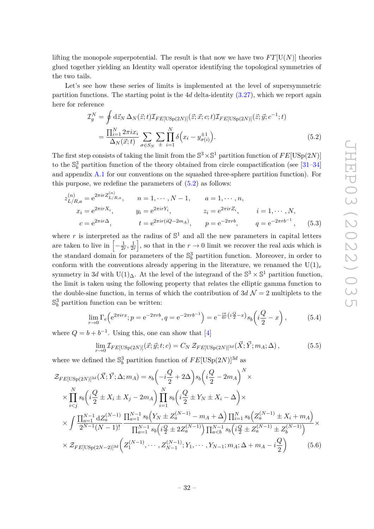lifting the monopole superpotential. The result is that now we have two  $FT[U(N)]$  theories glued together yielding an Identity wall operator identifying the topological symmetries of the two tails.

Let's see how these series of limits is implemented at the level of supersymmetric partition functions. The starting point is the 4*d* delta-identity [\(3.27\)](#page-15-2), which we report again here for reference

<span id="page-32-0"></span>
$$
\mathcal{I}_g^N = \oint d\vec{z}_N \,\Delta_N(\vec{z};t) \mathcal{I}_{FE[\text{USp}(2N)]}(\vec{z};\vec{x};c;t) \mathcal{I}_{FE[\text{USp}(2N)]}(\vec{z};\vec{y};c^{-1};t) \n= \frac{\prod_{i=1}^N 2\pi i x_i}{\Delta_N(\vec{x};t)} \sum_{\sigma \in S_N} \sum_{\pm} \prod_{i=1}^N \delta\Big(x_i - y_{\sigma(i)}^{\pm 1}\Big).
$$
\n(5.2)

The first step consists of taking the limit from the  $\mathbb{S}^3 \times \mathbb{S}^1$  partition function of  $FE[USp(2N)]$ to the  $\mathbb{S}^3_b$  partition function of the theory obtained from circle compactification (see [\[31–](#page-55-6)[34\]](#page-55-7) and appendix [A.1](#page-45-1) for our conventions on the squashed three-sphere partition function). For this purpose, we redefine the parameters of  $(5.2)$  as follows:

$$
z_{L/R,a}^{(n)} = e^{2\pi i r Z_{L/R,a}^{(n)}}, \t n = 1, \cdots, N-1, \t a = 1, \cdots, n,
$$
  
\n
$$
x_i = e^{2\pi i r X_i}, \t y_i = e^{2\pi i r Y_i}, \t z_i = e^{2\pi i r Z_i}, \t i = 1, \cdots, N,
$$
  
\n
$$
c = e^{2\pi i r \Delta}, \t t = e^{2\pi i r (iQ - 2m_A)}, \t p = e^{-2\pi r b}, \t q = e^{-2\pi r b^{-1}}, \t (5.3)
$$

where  $r$  is interpreted as the radius of  $\mathbb{S}^1$  and all the new parameters in capital letters are taken to live in  $\left[-\frac{1}{2q}\right]$  $\frac{1}{2r}, \frac{1}{2r}$  $\frac{1}{2r}$ , so that in the  $r \to 0$  limit we recover the real axis which is the standard domain for parameters of the  $\mathbb{S}^3_b$  partition function. Moreover, in order to conform with the conventions already appering in the literature, we renamed the  $U(1)_c$ symmetry in 3*d* with U(1)<sub> $\Delta$ </sub>. At the level of the integrand of the  $\mathbb{S}^3 \times \mathbb{S}^1$  partition function, the limit is taken using the following property that relates the elliptic gamma function to the double-sine function, in terms of which the contribution of  $3d \mathcal{N}=2$  multiplets to the  $\mathbb{S}^3_b$  partition function can be written:

$$
\lim_{r \to 0} \Gamma_e \left( e^{2\pi i r x}; p = e^{-2\pi r b}, q = e^{-2\pi r b^{-1}} \right) = e^{-\frac{i\pi}{6r} \left(i\frac{Q}{2} - x\right)} s_b \left(i\frac{Q}{2} - x\right),\tag{5.4}
$$

where  $Q = b + b^{-1}$ . Using this, one can show that [\[4\]](#page-53-3)

$$
\lim_{r \to 0} \mathcal{I}_{FE[\text{USp}(2N)]}(\vec{x}; \vec{y}; t; c) = C_N \mathcal{Z}_{FE[\text{USp}(2N)]^{3d}}(\vec{X}; \vec{Y}; m_A; \Delta), \tag{5.5}
$$

where we defined the  $\mathbb{S}^3_b$  partition function of  $FE[\mathrm{USp}(2N)]^{3d}$  as

$$
\mathcal{Z}_{FE[USp(2N)]^{3d}}(\vec{X}; \vec{Y}; \Delta; m_A) = s_b \left( -i\frac{Q}{2} + 2\Delta \right) s_b \left( i\frac{Q}{2} - 2m_A \right)^N \times
$$
\n
$$
\times \prod_{i < j}^{N} s_b \left( i\frac{Q}{2} \pm X_i \pm X_j - 2m_A \right) \prod_{i=1}^{N} s_b \left( i\frac{Q}{2} \pm Y_N \pm X_i - \Delta \right) \times
$$
\n
$$
\times \int \frac{\prod_{a=1}^{N-1} dZ_a^{(N-1)}}{2^{N-1} (N-1)!} \frac{\prod_{a=1}^{N-1} s_b \left( Y_N \pm Z_a^{(N-1)} - m_A + \Delta \right) \prod_{i=1}^{N} s_b \left( Z_a^{(N-1)} \pm X_i + m_A \right)}{\prod_{a=1}^{N-1} s_b \left( i\frac{Q}{2} \pm 2Z_a^{(N-1)} \right) \prod_{a < b}^{N-1} s_b \left( i\frac{Q}{2} \pm Z_a^{(N-1)} \pm Z_b^{(N-1)} \right)} \times
$$
\n
$$
\times \mathcal{Z}_{FE[USp(2N-2)]^{3d}} \left( Z_1^{(N-1)}, \cdots, Z_{N-1}^{(N-1)}; Y_1, \cdots, Y_{N-1}; m_A; \Delta + m_A - i\frac{Q}{2} \right) \tag{5.6}
$$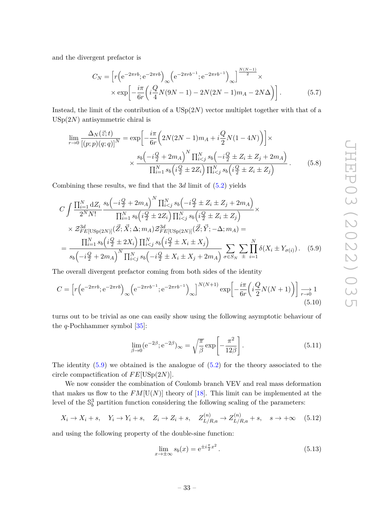and the divergent prefactor is

$$
C_N = \left[ r \left( e^{-2\pi rb}; e^{-2\pi rb} \right)_{\infty} \left( e^{-2\pi rb^{-1}}; e^{-2\pi rb^{-1}} \right)_{\infty} \right]^{N(N-1)} \times \exp \left[ -\frac{i\pi}{6r} \left( i \frac{Q}{4} N (9N - 1) - 2N (2N - 1) m_A - 2N \Delta \right) \right]. \tag{5.7}
$$

Instead, the limit of the contribution of a USp(2*N*) vector multiplet together with that of a USp(2*N*) antisymmetric chiral is

$$
\lim_{r \to 0} \frac{\Delta_N(\vec{z}; t)}{[(p; p)(q; q)]^N} = \exp\left[-\frac{i\pi}{6r} \left(2N(2N-1)m_A + i\frac{Q}{2}N(1-4N)\right)\right] \times \times \frac{s_b\left(-i\frac{Q}{2} + 2m_A\right)^N \prod_{i < j}^N s_b\left(-i\frac{Q}{2} \pm Z_i \pm Z_j + 2m_A\right)}{\prod_{i=1}^N s_b\left(i\frac{Q}{2} \pm 2Z_i\right) \prod_{i < j}^N s_b\left(i\frac{Q}{2} \pm Z_i \pm Z_j\right)}\right].\tag{5.8}
$$

Combining these results, we find that the 3*d* limit of [\(5.2\)](#page-32-0) yields

$$
C \int \frac{\prod_{i=1}^{N} dZ_{i}}{2^{N} N!} \frac{s_{b} \left(-i\frac{Q}{2} + 2m_{A}\right)^{N} \prod_{i  
 
$$
\times \mathcal{Z}_{FE[\text{USp}(2N)]}^{3d} (\vec{Z}; \vec{X}; \Delta; m_{A}) \mathcal{Z}_{FE[\text{USp}(2N)]}^{3d} (\vec{Z}; \vec{Y}; -\Delta; m_{A}) =
$$
  

$$
= \frac{\prod_{i=1}^{N} s_{b} \left(i\frac{Q}{2} \pm 2X_{i}\right) \prod_{i
$$
$$

The overall divergent prefactor coming from both sides of the identity

$$
C = \left[ r \left( e^{-2\pi rb}; e^{-2\pi rb} \right)_{\infty} \left( e^{-2\pi rb^{-1}}; e^{-2\pi rb^{-1}} \right)_{\infty} \right]^{N(N+1)} \exp \left[ -\frac{i\pi}{6r} \left( i\frac{Q}{2} N(N+1) \right) \right] \underset{r \to 0}{\longrightarrow} 1
$$
\n(5.10)

turns out to be trivial as one can easily show using the following asymptotic behaviour of the *q*-Pochhammer symbol [\[35\]](#page-55-8):

<span id="page-33-0"></span>
$$
\lim_{\beta \to 0} (e^{-2\beta}; e^{-2\beta})_{\infty} = \sqrt{\frac{\pi}{\beta}} \exp\left[-\frac{\pi^2}{12\beta}\right].
$$
\n(5.11)

The identity  $(5.9)$  we obtained is the analogue of  $(5.2)$  for the theory associated to the circle compactification of *F E*[USp(2*N*)].

We now consider the combination of Coulomb branch VEV and real mass deformation that makes us flow to the  $FM[U(N)]$  theory of [\[18\]](#page-54-10). This limit can be implemented at the level of the  $\mathbb{S}^3_b$  partition function considering the following scaling of the parameters:

$$
X_i \to X_i + s
$$
,  $Y_i \to Y_i + s$ ,  $Z_i \to Z_i + s$ ,  $Z_{L/R,a}^{(n)} \to Z_{L/R,a}^{(n)} + s$ ,  $s \to +\infty$  (5.12)

and using the following property of the double-sine function:

$$
\lim_{x \to \pm \infty} s_b(x) = e^{\pm i \frac{\pi}{2} x^2}.
$$
\n(5.13)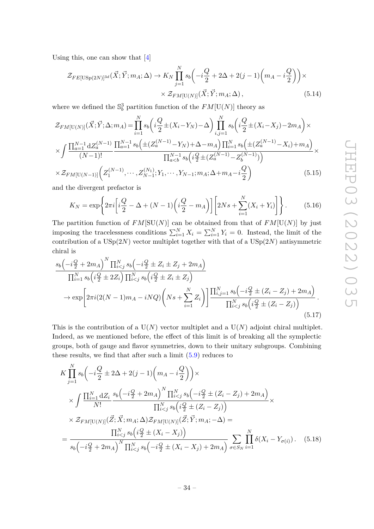Using this, one can show that [\[4\]](#page-53-3)

$$
\mathcal{Z}_{FE[USp(2N)]^{3d}}(\vec{X}; \vec{Y}; m_A; \Delta) \to K_N \prod_{j=1}^N s_b \left( -i\frac{Q}{2} + 2\Delta + 2(j-1) \left( m_A - i\frac{Q}{2} \right) \right) \times \times \mathcal{Z}_{FM[U(N)]}(\vec{X}; \vec{Y}; m_A; \Delta),
$$
\n(5.14)

where we defined the  $\mathbb{S}^3_b$  partition function of the  $FM[U(N)]$  theory as

$$
\mathcal{Z}_{FM[U(N)]}(\vec{X};\vec{Y};\Delta;m_A) = \prod_{i=1}^{N} s_b \left( i \frac{Q}{2} \pm (X_i - Y_N) - \Delta \right) \prod_{i,j=1}^{N} s_b \left( i \frac{Q}{2} \pm (X_i - X_j) - 2m_A \right) \times \times \int \frac{\prod_{a=1}^{N-1} dZ_a^{(N-1)}}{(N-1)!} \frac{\prod_{a=1}^{N-1} s_b \left( \pm (Z_a^{(N-1)} - Y_N) + \Delta - m_A \right) \prod_{i=1}^{N} s_b \left( \pm (Z_a^{(N-1)} - X_i) + m_A \right)}{\prod_{a\times \mathcal{Z}_{FM[U(N-1)]} \left( Z_1^{(N-1)}, \cdots, Z_{N-1}^{(N_1)}; Y_1, \cdots, Y_{N-1}; m_A; \Delta + m_A - i \frac{Q}{2} \right)
$$
(5.15)

and the divergent prefactor is

$$
K_N = \exp\left\{2\pi i \left[i\frac{Q}{2} - \Delta + (N-1)\left(i\frac{Q}{2} - m_A\right)\right] \left[2Ns + \sum_{i=1}^N (X_i + Y_i)\right]\right\}.
$$
 (5.16)

The partition function of  $FM[SU(N)]$  can be obtained from that of  $FM[U(N)]$  by just imposing the tracelessness conditions  $\sum_{i=1}^{N} X_i = \sum_{i=1}^{N} Y_i = 0$ . Instead, the limit of the contribution of a USp(2*N*) vector multiplet together with that of a USp(2*N*) antisymmetric chiral is

$$
\frac{s_b\left(-i\frac{Q}{2} + 2m_A\right)^N \prod_{i < j}^N s_b\left(-i\frac{Q}{2} \pm Z_i \pm Z_j + 2m_A\right)}{\prod_{i=1}^N s_b\left(i\frac{Q}{2} \pm 2Z_i\right) \prod_{i < j}^N s_b\left(i\frac{Q}{2} \pm Z_i \pm Z_j\right)} \rightarrow \exp\left[2\pi i(2(N-1)m_A - iNQ)\left(Ns + \sum_{i=1}^N Z_i\right)\right] \frac{\prod_{i,j=1}^N s_b\left(-i\frac{Q}{2} \pm (Z_i - Z_j) + 2m_A\right)}{\prod_{i < j}^N s_b\left(i\frac{Q}{2} \pm (Z_i - Z_j)\right)} \tag{5.17}
$$

This is the contribution of a  $U(N)$  vector multiplet and a  $U(N)$  adjoint chiral multiplet. Indeed, as we mentioned before, the effect of this limit is of breaking all the symplectic groups, both of gauge and flavor symmetries, down to their unitary subgroups. Combining these results, we find that after such a limit [\(5.9\)](#page-33-0) reduces to

<span id="page-34-0"></span>
$$
K \prod_{j=1}^{N} s_{b} \left( -i \frac{Q}{2} \pm 2\Delta + 2(j-1) \left( m_{A} - i \frac{Q}{2} \right) \right) \times
$$
  
\n
$$
\times \int \frac{\prod_{i=1}^{N} dZ_{i}}{N!} \frac{s_{b} \left( -i \frac{Q}{2} + 2m_{A} \right)^{N} \prod_{i  
\n
$$
\times Z_{FM[U(N)]}(\vec{Z}; \vec{X}; m_{A}; \Delta) \mathcal{Z}_{FM[U(N)]}(\vec{Z}; \vec{Y}; m_{A}; -\Delta) =
$$
  
\n
$$
= \frac{\prod_{i
$$
$$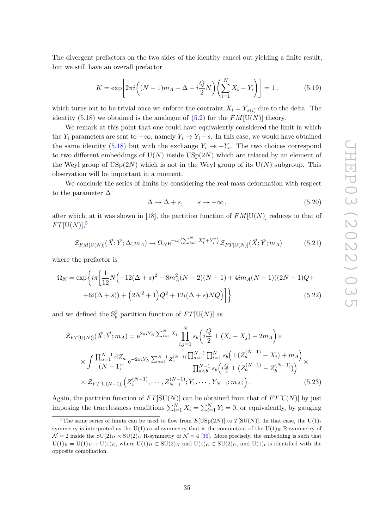The divergent prefactors on the two sides of the identity cancel out yielding a finite result, but we still have an overall prefactor

$$
K = \exp\left[2\pi i \left( (N-1)m_A - \Delta - i\frac{Q}{2}N \right) \left( \sum_{i=1}^{N} X_i - Y_i \right) \right] = 1, \tag{5.19}
$$

which turns out to be trivial once we enforce the contraint  $X_i = Y_{\sigma(i)}$  due to the delta. The identity [\(5.18\)](#page-34-0) we obtained is the analogue of [\(5.2\)](#page-32-0) for the  $FM[U(N)]$  theory.

We remark at this point that one could have equivalently considered the limit in which the  $Y_i$  parameters are sent to  $-\infty$ , namely  $Y_i \to Y_i - s$ . In this case, we would have obtained the same identity [\(5.18\)](#page-34-0) but with the exchange  $Y_i \rightarrow -Y_i$ . The two choices correspond to two different embeddings of  $U(N)$  inside  $USp(2N)$  which are related by an element of the Weyl group of  $\mathrm{USp}(2N)$  which is not in the Weyl group of its  $U(N)$  subgroup. This observation will be important in a moment.

We conclude the series of limits by considering the real mass deformation with respect to the parameter  $\Delta$ 

$$
\Delta \to \Delta + s, \qquad s \to +\infty \,, \tag{5.20}
$$

after which, at it was shown in [\[18\]](#page-54-10), the partition function of  $FM[U(N)]$  reduces to that of  $FT[**U**(N)]$ <sup>[5](#page-35-0)</sup>

$$
\mathcal{Z}_{FM[U(N)]}(\vec{X}; \vec{Y}; \Delta; m_A) \to \Omega_N e^{-i\pi \left(\sum_{i=1}^N X_i^2 + Y_i^2\right)} \mathcal{Z}_{FT[U(N)]}(\vec{X}; \vec{Y}; m_A)
$$
(5.21)

where the prefactor is

$$
\Omega_N = \exp\left\{ i\pi \left[ \frac{1}{12} N \left( -12(\Delta + s)^2 - 8m_A^2 (N - 2)(N - 1) + 4im_A (N - 1)((2N - 1)Q + 6i(\Delta + s)) + (2N^2 + 1)Q^2 + 12i(\Delta + s)NQ \right) \right] \right\}
$$
\n(5.22)

and we defined the  $\mathbb{S}^3_b$  partition function of  $FT[\mathrm{U}(N)]$  as

$$
\mathcal{Z}_{FT[U(N)]}(\vec{X}; \vec{Y}; m_A) = e^{2\pi i Y_N \sum_{i=1}^{N} X_i} \prod_{i,j=1}^{N} s_b \left( i \frac{Q}{2} \pm (X_i - X_j) - 2m_A \right) \times
$$
\n
$$
\times \int \frac{\prod_{a=1}^{N-1} dZ_a}{(N-1)!} e^{-2\pi i Y_N \sum_{a=1}^{N-1} Z_a^{(N-1)}} \frac{\prod_{a=1}^{N-1} \prod_{i=1}^{N} s_b \left( \pm (Z_a^{(N-1)} - X_i) + m_A \right)}{\prod_{a\n
$$
\times \mathcal{Z}_{FT[U(N-1)]} \left( Z_1^{(N-1)}, \cdots, Z_{N-1}^{(N-1)}; Y_1, \cdots, Y_{N-1}; m_A; \right). \tag{5.23}
$$
$$

Again, the partition function of  $FT[SU(N)]$  can be obtained from that of  $FT[U(N)]$  by just imposing the tracelessness conditions  $\sum_{i=1}^{N} X_i = \sum_{i=1}^{N} Y_i = 0$ , or equivalently, by gauging

<span id="page-35-0"></span><sup>&</sup>lt;sup>5</sup>The same series of limits can be used to flow from  $E[\mathrm{USp}(2N)]$  to  $T[\mathrm{SU}(N)]$ . In that case, the U(1)<sub>t</sub> symmetry is interpreted as the U(1) axial symmetry that is the commutant of the U(1)<sub>R</sub> R-symmetry of  $\mathcal{N}=2$  inside the  $SU(2)_H \times SU(2)_C$  R-symmetry of  $\mathcal{N}=4$  [\[36\]](#page-55-9). More precisely, the embedding is such that  $U(1)_R = U(1)_H + U(1)_C$ , where  $U(1)_H \subset SU(2)_H$  and  $U(1)_C \subset SU(2)_C$ , and  $U(1)_t$  is identified with the opposite combination.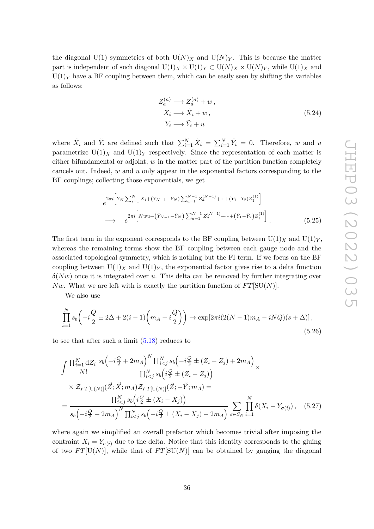the diagonal U(1) symmetries of both  $U(N)_X$  and  $U(N)_Y$ . This is because the matter part is independent of such diagonal  $U(1)_X \times U(1)_Y \subset U(N)_X \times U(N)_Y$ , while  $U(1)_X$  and  $U(1)_Y$  have a BF coupling between them, which can be easily seen by shifting the variables as follows:

$$
Z_a^{(n)} \longrightarrow Z_a^{(n)} + w,
$$
  
\n
$$
X_i \longrightarrow \tilde{X}_i + w,
$$
  
\n
$$
Y_i \longrightarrow \tilde{Y}_i + u
$$
\n(5.24)

where  $\tilde{X}_i$  and  $\tilde{Y}_i$  are defined such that  $\sum_{i=1}^N \tilde{X}_i = \sum_{i=1}^N \tilde{Y}_i = 0$ . Therefore, *w* and *u* parametrize  $U(1)_X$  and  $U(1)_Y$  respectively. Since the representation of each matter is either bifundamental or adjoint, *w* in the matter part of the partition function completely cancels out. Indeed, *w* and *u* only appear in the exponential factors corresponding to the BF couplings; collecting those exponentials, we get

$$
e^{2\pi i \left[ Y_N \sum_{i=1}^N X_i + (Y_{N-1} - Y_N) \sum_{a=1}^{N-1} Z_a^{(N-1)} + \dots + (Y_1 - Y_2) Z_1^{(1)} \right]}\n \longrightarrow e^{2\pi i \left[ Nwu + (\tilde{Y}_{N-1} - \tilde{Y}_N) \sum_{a=1}^{N-1} Z_a^{(N-1)} + \dots + (\tilde{Y}_1 - \tilde{Y}_2) Z_1^{(1)} \right]}.
$$
\n(5.25)

The first term in the exponent corresponds to the BF coupling between  $U(1)_X$  and  $U(1)_Y$ , whereas the remaining terms show the BF coupling between each gauge node and the associated topological symmetry, which is nothing but the FI term. If we focus on the BF coupling between  $U(1)_X$  and  $U(1)_Y$ , the exponential factor gives rise to a delta function *δ*(*Nw*) once it is integrated over *u*. This delta can be removed by further integrating over *Nw*. What we are left with is exactly the partition function of  $FT[SU(N)]$ .

We also use

$$
\prod_{i=1}^{N} s_b \left( -i \frac{Q}{2} \pm 2\Delta + 2(i-1) \left( m_A - i \frac{Q}{2} \right) \right) \to \exp[2\pi i (2(N-1)m_A - iNQ)(s+\Delta)],
$$
\n(5.26)

to see that after such a limit [\(5.18\)](#page-34-0) reduces to

$$
\int \frac{\prod_{i=1}^{N} dZ_{i}}{N!} \frac{s_{b} \left(-i\frac{Q}{2} + 2m_{A}\right)^{N} \prod_{i < j}^{N} s_{b} \left(-i\frac{Q}{2} \pm (Z_{i} - Z_{j}) + 2m_{A}\right)}{\prod_{i < j}^{N} s_{b} \left(i\frac{Q}{2} \pm (Z_{i} - Z_{j})\right)} \times \mathcal{Z}_{FT[U(N)]}(\vec{Z}; \vec{X}; m_{A}) \mathcal{Z}_{FT[U(N)]}(\vec{Z}; -\vec{Y}; m_{A}) =\n\frac{\prod_{i < j}^{N} s_{b} \left(i\frac{Q}{2} \pm (X_{i} - X_{j})\right)}{s_{b} \left(-i\frac{Q}{2} + 2m_{A}\right)^{N} \prod_{i < j}^{N} s_{b} \left(-i\frac{Q}{2} \pm (X_{i} - X_{j}) + 2m_{A}\right)} \sum_{\sigma \in S_{N}} \prod_{i=1}^{N} \delta(X_{i} - Y_{\sigma(i)}), \quad (5.27)
$$

where again we simplified an overall prefactor which becomes trivial after imposing the contraint  $X_i = Y_{\sigma(i)}$  due to the delta. Notice that this identity corresponds to the gluing of two  $FT[U(N)]$ , while that of  $FT[SU(N)]$  can be obtained by gauging the diagonal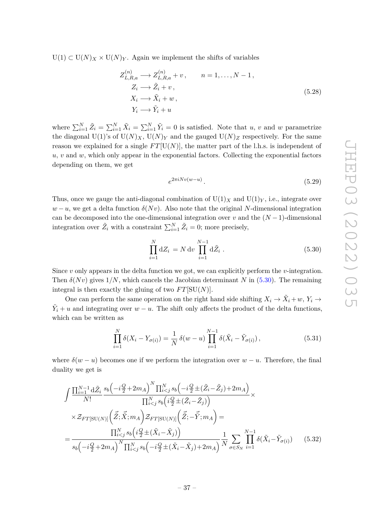$U(1) \subset U(N)_X \times U(N)_Y$ . Again we implement the shifts of variables

$$
Z_{L,R,a}^{(n)} \longrightarrow Z_{L,R,a}^{(n)} + v, \qquad n = 1, \dots, N-1,
$$
  
\n
$$
Z_i \longrightarrow \tilde{Z}_i + v,
$$
  
\n
$$
X_i \longrightarrow \tilde{X}_i + w,
$$
  
\n
$$
Y_i \longrightarrow \tilde{Y}_i + u
$$
  
\n(5.28)

where  $\sum_{i=1}^{N} \tilde{Z}_i = \sum_{i=1}^{N} \tilde{X}_i = \sum_{i=1}^{N} \tilde{Y}_i = 0$  is satisfied. Note that *u*, *v* and *w* parametrize the diagonal U(1)'s of  $U(N)_X$ ,  $U(N)_Y$  and the gauged  $U(N)_Z$  respectively. For the same reason we explained for a single  $FT[U(N)]$ , the matter part of the l.h.s. is independent of  $u, v$  and  $w$ , which only appear in the exponential factors. Collecting the exponential factors depending on them, we get

<span id="page-37-0"></span>
$$
e^{2\pi i Nv(w-u)}.\t\t(5.29)
$$

Thus, once we gauge the anti-diagonal combination of  $U(1)_X$  and  $U(1)_Y$ , i.e., integrate over  $w - u$ , we get a delta function  $\delta(Nv)$ . Also note that the original *N*-dimensional integration can be decomposed into the one-dimensional integration over *v* and the  $(N-1)$ -dimensional integration over  $\tilde{Z}_i$  with a constraint  $\sum_{i=1}^{N} \tilde{Z}_i = 0$ ; more precisely,

$$
\prod_{i=1}^{N} dZ_i = N dv \prod_{i=1}^{N-1} d\tilde{Z}_i .
$$
\n(5.30)

Since *v* only appears in the delta function we got, we can explicitly perform the *v*-integration. Then  $\delta(Nv)$  gives  $1/N$ , which cancels the Jacobian determinant *N* in [\(5.30\)](#page-37-0). The remaining integral is then exactly the gluing of two  $FT[SU(N)]$ .

One can perform the same operation on the right hand side shifting  $X_i \to \tilde{X}_i + w$ ,  $Y_i \to$  $\tilde{Y}_i + u$  and integrating over *w* − *u*. The shift only affects the product of the delta functions, which can be written as

<span id="page-37-1"></span>
$$
\prod_{i=1}^{N} \delta(X_i - Y_{\sigma(i)}) = \frac{1}{N} \delta(w - u) \prod_{i=1}^{N-1} \delta(\tilde{X}_i - \tilde{Y}_{\sigma(i)}),
$$
\n(5.31)

where  $\delta(w - u)$  becomes one if we perform the integration over  $w - u$ . Therefore, the final duality we get is

$$
\int \frac{\prod_{i=1}^{N-1} d\tilde{Z}_i}{N!} \frac{s_b \left(-i\frac{Q}{2} + 2m_A\right)^N \prod_{i < j}^N s_b \left(-i\frac{Q}{2} \pm (\tilde{Z}_i - \tilde{Z}_j) + 2m_A\right)}{\prod_{i < j}^N s_b \left(i\frac{Q}{2} \pm (\tilde{Z}_i - \tilde{Z}_j)\right)} \times \mathcal{Z}_{FT[SU(N)]} \left(\vec{Z}; \vec{X}; m_A\right) \mathcal{Z}_{FT[SU(N)]} \left(\vec{Z}; -\vec{Y}; m_A\right) = \frac{\prod_{i < j}^N s_b \left(i\frac{Q}{2} \pm (\tilde{X}_i - \tilde{X}_j)\right)}{s_b \left(-i\frac{Q}{2} + 2m_A\right)^N \prod_{i < j}^N s_b \left(-i\frac{Q}{2} \pm (\tilde{X}_i - \tilde{X}_j) + 2m_A\right)} \frac{1}{N} \sum_{\sigma \in S_N} \prod_{i=1}^{N-1} \delta(\tilde{X}_i - \tilde{Y}_{\sigma(i)}) \tag{5.32}
$$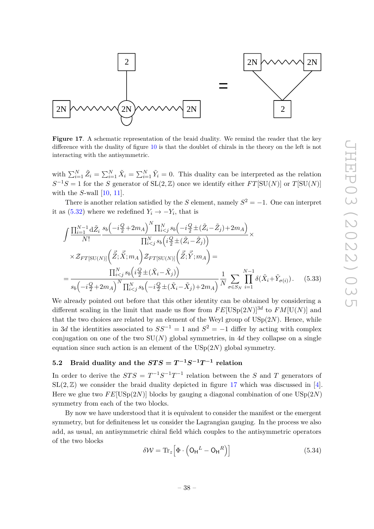

<span id="page-38-1"></span>**Figure 17.** A schematic representation of the braid duality. We remind the reader that the key difference with the duality of figure [10](#page-22-1) is that the doublet of chirals in the theory on the left is not interacting with the antisymmetric.

with  $\sum_{i=1}^{N} \tilde{Z}_i = \sum_{i=1}^{N} \tilde{X}_i = \sum_{i=1}^{N} \tilde{Y}_i = 0$ . This duality can be interpreted as the relation  $S^{-1}S = 1$  for the *S* generator of  $SL(2, \mathbb{Z})$  once we identify either  $FT[SU(N)]$  or  $T[SU(N)]$ with the *S*-wall [\[10,](#page-54-16) [11\]](#page-54-3).

There is another relation satisfied by the *S* element, namely  $S^2 = -1$ . One can interpret it as  $(5.32)$  where we redefined  $Y_i \rightarrow -Y_i$ , that is

$$
\int \frac{\prod_{i=1}^{N-1} d\tilde{Z}_i}{N!} \frac{s_b \left(-i\frac{Q}{2} + 2m_A\right)^N \prod_{i < j}^N s_b \left(-i\frac{Q}{2} \pm (\tilde{Z}_i - \tilde{Z}_j) + 2m_A\right)}{\prod_{i < j}^N s_b \left(i\frac{Q}{2} \pm (\tilde{Z}_i - \tilde{Z}_j)\right)} \times \mathcal{Z}_{FT[SU(N)]} \left(\tilde{Z}; \vec{X}; m_A\right) \mathcal{Z}_{FT[SU(N)]} \left(\tilde{Z}; \vec{Y}; m_A\right) = \frac{\prod_{i < j}^N s_b \left(i\frac{Q}{2} \pm (\tilde{X}_i - \tilde{X}_j)\right)}{s_b \left(-i\frac{Q}{2} + 2m_A\right)^N \prod_{i < j}^N s_b \left(-i\frac{Q}{2} \pm (\tilde{X}_i - \tilde{X}_j) + 2m_A\right)} \frac{1}{N} \sum_{\sigma \in S_N} \prod_{i=1}^{N-1} \delta(\tilde{X}_i + \tilde{Y}_{\sigma(i)}). \tag{5.33}
$$

We already pointed out before that this other identity can be obtained by considering a different scaling in the limit that made us flow from  $FE[\text{USp}(2N)]^{3d}$  to  $FM[\text{U}(N)]$  and that the two choices are related by an element of the Weyl group of  $\mathrm{USp}(2N)$ . Hence, while in 3*d* the identities associated to  $SS^{-1} = 1$  and  $S^2 = -1$  differ by acting with complex conjugation on one of the two  $SU(N)$  global symmetries, in 4*d* they collapse on a single equation since such action is an element of the USp(2*N*) global symmetry.

# <span id="page-38-0"></span>**5.2** Braid duality and the  $STS = T^{-1}S^{-1}T^{-1}$  relation

In order to derive the  $STS = T^{-1}S^{-1}T^{-1}$  relation between the *S* and *T* generators of  $SL(2,\mathbb{Z})$  we consider the braid duality depicted in figure [17](#page-38-1) which was discussed in [\[4\]](#page-53-3). Here we glue two  $FE[USp(2N)]$  blocks by gauging a diagonal combination of one  $USp(2N)$ symmetry from each of the two blocks.

By now we have understood that it is equivalent to consider the manifest or the emergent symmetry, but for definiteness let us consider the Lagrangian gauging. In the process we also add, as usual, an antisymmetric chiral field which couples to the antisymmetric operators of the two blocks

<span id="page-38-2"></span>
$$
\delta \mathcal{W} = \text{Tr}_z \Big[ \Phi \cdot \left( \mathsf{O}_{\mathsf{H}}^L - \mathsf{O}_{\mathsf{H}}^R \right) \Big] \tag{5.34}
$$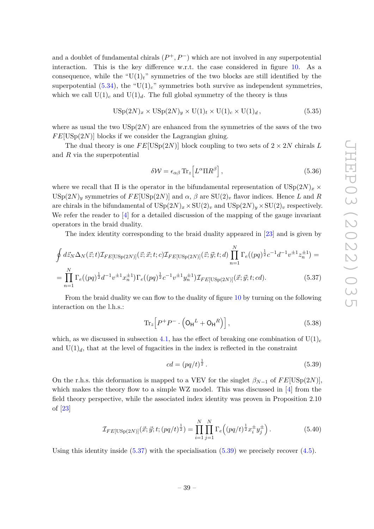and a doublet of fundamental chirals  $(P^+, P^-)$  which are not involved in any superpotential interaction. This is the key difference w.r.t. the case considered in figure [10.](#page-22-1) As a consequence, while the " $U(1)<sub>t</sub>$ " symmetries of the two blocks are still identified by the superpotential  $(5.34)$ , the "U(1)<sub>c</sub>" symmetries both survive as independent symmetries, which we call  $U(1)_c$  and  $U(1)_d$ . The full global symmetry of the theory is thus

$$
USp(2N)_x \times USp(2N)_y \times U(1)_t \times U(1)_c \times U(1)_d, \qquad (5.35)
$$

where as usual the two  $\text{USp}(2N)$  are enhanced from the symmetries of the saws of the two  $FE[USp(2N)]$  blocks if we consider the Lagrangian gluing.

The dual theory is one  $FE[USp(2N)]$  block coupling to two sets of  $2 \times 2N$  chirals L and *R* via the superpotential

<span id="page-39-2"></span>
$$
\delta \mathcal{W} = \epsilon_{\alpha\beta} \operatorname{Tr}_z \left[ L^{\alpha} \Pi R^{\beta} \right],\tag{5.36}
$$

where we recall that  $\Pi$  is the operator in the bifundamental representation of  $\text{USp}(2N)_x \times$ USp( $2N$ )<sub>y</sub> symmetries of  $FE[USp(2N)]$  and  $\alpha$ ,  $\beta$  are  $SU(2)_v$  flavor indices. Hence *L* and *R* are chirals in the bifundamental of  $USp(2N)_x \times SU(2)_v$  and  $USp(2N)_y \times SU(2)_v$  respectively. We refer the reader to  $\left[4\right]$  for a detailed discussion of the mapping of the gauge invariant operators in the braid duality.

The index identity corresponding to the braid duality appeared in [\[23\]](#page-54-14) and is given by

$$
\oint d\vec{z}_N \Delta_N(\vec{z};t) \mathcal{I}_{FE[USp(2N)]}(\vec{z};\vec{x};t;c) \mathcal{I}_{FE[USp(2N)]}(\vec{z};\vec{y};t;d) \prod_{n=1}^N \Gamma_e((pq)^{\frac{1}{2}}c^{-1}d^{-1}v^{\pm 1}z_n^{\pm 1}) =
$$
\n
$$
= \prod_{n=1}^N \Gamma_e((pq)^{\frac{1}{2}}d^{-1}v^{\pm 1}x_n^{\pm 1}) \Gamma_e((pq)^{\frac{1}{2}}c^{-1}v^{\pm 1}y_n^{\pm 1}) \mathcal{I}_{FE[USp(2N)]}(\vec{x};\vec{y};t;cd).
$$
\n(5.37)

From the braid duality we can flow to the duality of figure [10](#page-22-1) by turning on the following interaction on the l.h.s.:

$$
\operatorname{Tr}_z \left[ P^+ P^- \cdot \left( \mathsf{O}_\mathsf{H}^L + \mathsf{O}_\mathsf{H}^R \right) \right],\tag{5.38}
$$

which, as we discussed in subsection [4.1,](#page-21-1) has the effect of breaking one combination of  $U(1)_c$ and  $U(1)<sub>d</sub>$ , that at the level of fugacities in the index is reflected in the constraint

<span id="page-39-1"></span><span id="page-39-0"></span>
$$
cd = (pq/t)^{\frac{1}{2}}.
$$
\n(5.39)

On the r.h.s. this deformation is mapped to a VEV for the singlet  $\beta_{N-1}$  of  $FE[USp(2N)]$ , which makes the theory flow to a simple WZ model. This was discussed in [\[4\]](#page-53-3) from the field theory perspective, while the associated index identity was proven in Proposition 2.10 of [\[23\]](#page-54-14)

$$
\mathcal{I}_{FE[USp(2N)]}(\vec{x}; \vec{y}; t; (pq/t)^{\frac{1}{2}}) = \prod_{i=1}^{N} \prod_{j=1}^{N} \Gamma_e((pq/t)^{\frac{1}{2}} x_i^{\pm} y_j^{\pm}). \tag{5.40}
$$

Using this identity inside  $(5.37)$  with the specialisation  $(5.39)$  we precisely recover  $(4.5)$ .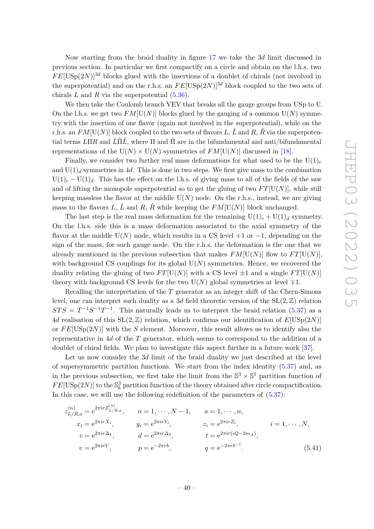Now starting from the braid duality in figure [17](#page-38-1) we take the 3*d* limit discussed in previous section. In particular we first compactify on a circle and obtain on the l.h.s. two  $FE[USp(2N)]^{3d}$  blocks glued with the insertions of a doublet of chirals (not involved in the superpotential) and on the r.h.s. an  $FE[USp(2N)]^{3d}$  block coupled to the two sets of chirals  $L$  and  $R$  via the superpotential  $(5.36)$ .

We then take the Coulomb branch VEV that breaks all the gauge groups from USp to U. On the l.h.s. we get two  $FM[U(N)]$  blocks glued by the gauging of a common  $U(N)$  symmetry with the insertion of one flavor (again not involved in the superpotential), while on the r.h.s. an  $FM[U(N)]$  block coupled to the two sets of flavors L,  $\tilde{L}$  and R,  $\tilde{R}$  via the superpotential terms  $L\Pi R$  and  $\tilde{L}\tilde{\Pi}\tilde{L}$ , where  $\Pi$  and  $\tilde{\Pi}$  are in the bifundamental and anti/bifundamental representations of the  $U(N) \times U(N)$  symmetries of  $FM[U(N)]$  discussed in [\[18\]](#page-54-10).

Finally, we consider two further real mass deformations for what used to be the  $U(1)_c$ and  $U(1)<sub>d</sub>$  symmetries in 4*d*. This is done in two steps. We first give mass to the combination  $U(1)<sub>c</sub> - U(1)<sub>d</sub>$ . This has the effect on the l.h.s. of giving mass to all of the fields of the saw and of lifting the monopole superpotential so to get the gluing of two  $FT[U(N)]$ , while still keeping massless the flavor at the middle  $U(N)$  node. On the r.h.s., instead, we are giving mass to the flavors L,  $\tilde{L}$  and R,  $\tilde{R}$  while keeping the  $FM[U(N)]$  block unchanged.

The last step is the real mass deformation for the remaining  $U(1)_c + U(1)_d$  symmetry. On the l.h.s. side this is a mass deformation associated to the axial symmetry of the flavor at the middle  $U(N)$  node, which results in a CS level  $+1$  or  $-1$ , depending on the sign of the mass, for such gauge node. On the r.h.s. the deformation is the one that we already mentioned in the previous subsection that makes  $FM[U(N)]$  flow to  $FT[U(N)]$ , with background CS couplings for its global  $U(N)$  symmetries. Hence, we recovered the duality relating the gluing of two  $FT[U(N)]$  with a CS level  $\pm 1$  and a single  $FT[U(N)]$ theory with background CS levels for the two  $U(N)$  global symmetries at level  $\mp 1$ .

Recalling the interpretation of the *T* generator as an integer shift of the Chern-Simons level, one can interpret such duality as a 3*d* field theoretic version of the  $SL(2, \mathbb{Z})$  relation  $STS = T^{-1}S^{-1}T^{-1}$ . This naturally leads us to interpret the braid relation [\(5.37\)](#page-39-0) as a 4*d* realisation of this  $SL(2, \mathbb{Z})$  relation, which confirms our identification of  $E[USp(2N)]$ or *F E*[USp(2*N*)] with the *S* element. Moreover, this result allows us to identify also the representative in 4*d* of the *T* generator, which seems to correspond to the addition of a doublet of chiral fields. We plan to investigate this aspect further in a future work [\[37\]](#page-55-10).

Let us now consider the 3*d* limit of the braid duality we just described at the level of supersymmetric partition functions. We start from the index identity [\(5.37\)](#page-39-0) and, as in the previous subsection, we first take the limit from the  $\mathbb{S}^3 \times \mathbb{S}^1$  partition function of  $FE[USp(2N)]$  to the  $\mathbb{S}^3_b$  partition function of the theory obtained after circle compactification. In this case, we will use the following redefinition of the parameters of  $(5.37)$ :

$$
z_{L/R,a}^{(n)} = e^{2\pi i r Z_{L/R,a}^{(n)}}, \t n = 1, \dots, N-1, \t a = 1, \dots, n,
$$
  
\n
$$
x_i = e^{2\pi i r X_i}, \t y_i = e^{2\pi i r Y_i}, \t z_i = e^{2\pi i r Z_i}, \t i = 1, \dots, N,
$$
  
\n
$$
c = e^{2\pi i r \Delta_1}, \t d = e^{2\pi i r \Delta_2}, \t t = e^{2\pi i r (iQ - 2m_A)},
$$
  
\n
$$
v = e^{2\pi i r V}, \t p = e^{-2\pi r b}, \t q = e^{-2\pi r b^{-1}}.
$$
\n(5.41)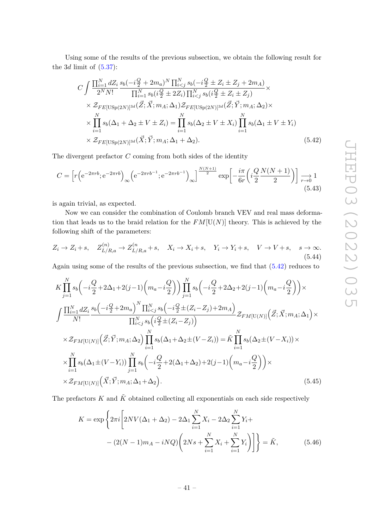Using some of the results of the previous subsection, we obtain the following result for the  $3d$  limit of  $(5.37)$ :

<span id="page-41-0"></span>
$$
C \int \frac{\prod_{i=1}^{N} dZ_i}{2^N N!} \frac{s_b(-i\frac{Q}{2} + 2m_a)^N \prod_{i < j}^{N} s_b(-i\frac{Q}{2} \pm Z_i \pm Z_j + 2m_A)}{\prod_{i=1}^{N} s_b(i\frac{Q}{2} \pm 2Z_i) \prod_{i < j}^{N} s_b(i\frac{Q}{2} \pm Z_i \pm Z_j)} \times
$$
  
\n
$$
\times \mathcal{Z}_{FE}[\text{USp}(2N)]^{3d}(\vec{Z}; \vec{X}; m_A; \Delta_1) \mathcal{Z}_{FE}[\text{USp}(2N)]^{3d}(\vec{Z}; \vec{Y}; m_A; \Delta_2) \times
$$
  
\n
$$
\times \prod_{i=1}^{N} s_b(\Delta_1 + \Delta_2 \pm V \pm Z_i) = \prod_{i=1}^{N} s_b(\Delta_2 \pm V \pm X_i) \prod_{i=1}^{N} s_b(\Delta_1 \pm V \pm Y_i)
$$
  
\n
$$
\times \mathcal{Z}_{FE}[\text{USp}(2N)]^{3d}(\vec{X}; \vec{Y}; m_A; \Delta_1 + \Delta_2).
$$
\n(5.42)

The divergent prefactor *C* coming from both sides of the identity

$$
C = \left[ r \left( e^{-2\pi rb}; e^{-2\pi rb} \right)_{\infty} \left( e^{-2\pi rb^{-1}}; e^{-2\pi rb^{-1}} \right)_{\infty} \right] \xrightarrow{N(N+1)} \exp \left[ -\frac{i\pi}{6r} \left( i \frac{Q}{2} \frac{N(N+1)}{2} \right) \right] \xrightarrow[r \to 0]{} 1
$$
\n(5.43)

is again trivial, as expected.

Now we can consider the combination of Coulomb branch VEV and real mass deformation that leads us to the braid relation for the  $FM[U(N)]$  theory. This is achieved by the following shift of the parameters:

$$
Z_i \to Z_i + s, \quad Z_{L/R,a}^{(n)} \to Z_{L/R,a}^{(n)} + s, \quad X_i \to X_i + s, \quad Y_i \to Y_i + s, \quad V \to V + s, \quad s \to \infty.
$$
\n
$$
(5.44)
$$

Again using some of the results of the previous subsection, we find that [\(5.42\)](#page-41-0) reduces to

$$
K \prod_{j=1}^{N} s_b \left( -i \frac{Q}{2} + 2\Delta_1 + 2(j-1) \left( m_a - i \frac{Q}{2} \right) \right) \prod_{j=1}^{N} s_b \left( -i \frac{Q}{2} + 2\Delta_2 + 2(j-1) \left( m_a - i \frac{Q}{2} \right) \right) \times
$$
  

$$
\int \frac{\prod_{i=1}^{N} dZ_i}{N!} \frac{s_b \left( -i \frac{Q}{2} + 2m_a \right)^N \prod_{i  

$$
\times \mathcal{Z}_{FM[U(N)]} \left( \vec{Z}; \vec{Y}; m_A; \Delta_2 \right) \prod_{i=1}^{N} s_b \left( \Delta_1 + \Delta_2 \pm (V - Z_i) \right) = \tilde{K} \prod_{i=1}^{N} s_b \left( \Delta_2 \pm (V - X_i) \right) \times
$$
  

$$
\times \prod_{i=1}^{N} s_b \left( \Delta_1 \pm (V - Y_i) \right) \prod_{j=1}^{N} s_b \left( -i \frac{Q}{2} + 2(\Delta_1 + \Delta_2) + 2(j-1) \left( m_a - i \frac{Q}{2} \right) \right) \times
$$
  

$$
\times \mathcal{Z}_{FM[U(N)]} \left( \vec{X}; \vec{Y}; m_A; \Delta_1 + \Delta_2 \right).
$$
 (5.45)
$$

The prefactors  $K$  and  $\tilde{K}$  obtained collecting all exponentials on each side respectively

<span id="page-41-1"></span>
$$
K = \exp\left\{2\pi i \left[2NV(\Delta_1 + \Delta_2) - 2\Delta_1 \sum_{i=1}^N X_i - 2\Delta_2 \sum_{i=1}^N Y_i + \right. \\ \left. - (2(N-1)m_A - iNQ) \left(2Ns + \sum_{i=1}^N X_i + \sum_{i=1}^N Y_i\right) \right] \right\} = \tilde{K},
$$
\n(5.46)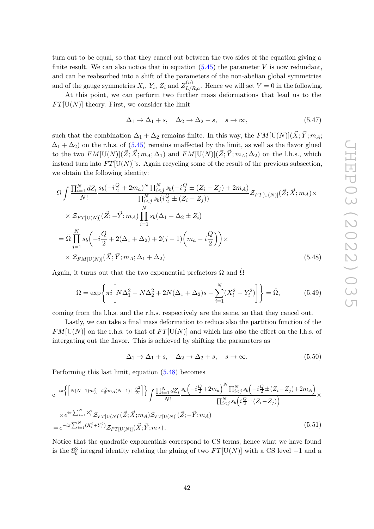turn out to be equal, so that they cancel out between the two sides of the equation giving a finite result. We can also notice that in equation  $(5.45)$  the parameter *V* is now redundant, and can be reabsorbed into a shift of the parameters of the non-abelian global symmetries and of the gauge symmetries  $X_i$ ,  $Y_i$ ,  $Z_i$  and  $Z_{L/R,a}^{(n)}$ . Hence we will set  $V = 0$  in the following.

At this point, we can perform two further mass deformations that lead us to the  $FT[U(N)]$  theory. First, we consider the limit

$$
\Delta_1 \to \Delta_1 + s, \quad \Delta_2 \to \Delta_2 - s, \quad s \to \infty,
$$
\n(5.47)

such that the combination  $\Delta_1 + \Delta_2$  remains finite. In this way, the  $FM[U(N)](\vec{X}; \vec{Y}; m_A;$  $\Delta_1 + \Delta_2$  on the r.h.s. of [\(5.45\)](#page-41-1) remains unaffected by the limit, as well as the flavor glued to the two  $FM[U(N)](\mathbf{Z}; \mathbf{X}; m_A; \Delta_1)$  and  $FM[U(N)](\mathbf{Z}; \mathbf{Y}; m_A; \Delta_2)$  on the l.h.s., which instead turn into  $FT[U(N)]$ 's. Again recycling some of the result of the previous subsection. we obtain the following identity:

$$
\Omega \int \frac{\prod_{i=1}^{N} dZ_i}{N!} \frac{s_b(-i\frac{Q}{2} + 2m_a)^N \prod_{i < j}^{N} s_b(-i\frac{Q}{2} \pm (Z_i - Z_j) + 2m_A)}{\prod_{i < j}^{N} s_b(i\frac{Q}{2} \pm (Z_i - Z_j))} \mathcal{Z}_{FT[U(N)]}(\vec{Z}; \vec{X}; m_A) \times
$$
\n
$$
\times \mathcal{Z}_{FT[U(N)]}(\vec{Z}; -\vec{Y}; m_A) \prod_{i=1}^{N} s_b(\Delta_1 + \Delta_2 \pm Z_i)
$$
\n
$$
= \tilde{\Omega} \prod_{j=1}^{N} s_b(-i\frac{Q}{2} + 2(\Delta_1 + \Delta_2) + 2(j - 1)\left(m_a - i\frac{Q}{2}\right)) \times
$$
\n
$$
\times \mathcal{Z}_{FM[U(N)]}(\vec{X}; \vec{Y}; m_A; \Delta_1 + \Delta_2) \tag{5.48}
$$

Again, it turns out that the two exponential prefactors  $\Omega$  and  $\Omega$ 

$$
\Omega = \exp\left\{\pi i \left[ N\Delta_1^2 - N\Delta_2^2 + 2N(\Delta_1 + \Delta_2)s - \sum_{i=1}^N (X_i^2 - Y_i^2) \right] \right\} = \tilde{\Omega},\tag{5.49}
$$

coming from the l.h.s. and the r.h.s. respectively are the same, so that they cancel out.

Lastly, we can take a final mass deformation to reduce also the partition function of the  $FM[U(N)]$  on the r.h.s. to that of  $FT[U(N)]$  and which has also the effect on the l.h.s. of intergating out the flavor. This is achieved by shifting the parameters as

<span id="page-42-1"></span><span id="page-42-0"></span>
$$
\Delta_1 \to \Delta_1 + s, \quad \Delta_2 \to \Delta_2 + s, \quad s \to \infty. \tag{5.50}
$$

Performing this last limit, equation [\(5.48\)](#page-42-0) becomes

$$
e^{-i\pi} \Big\{ \Big[N(N-1)m_A^2 - i\frac{Q}{2}m_A(N-1) + \frac{Q^2}{8}\Big] \Big\} \int \frac{\prod_{i=1}^N dZ_i}{N!} \frac{s_b \Big(-i\frac{Q}{2} + 2m_a\Big)^N \prod_{i\n(5.51)
$$

Notice that the quadratic exponentials correspond to CS terms, hence what we have found is the  $\mathbb{S}^3_b$  integral identity relating the gluing of two  $FT[\mathrm{U}(N)]$  with a CS level −1 and a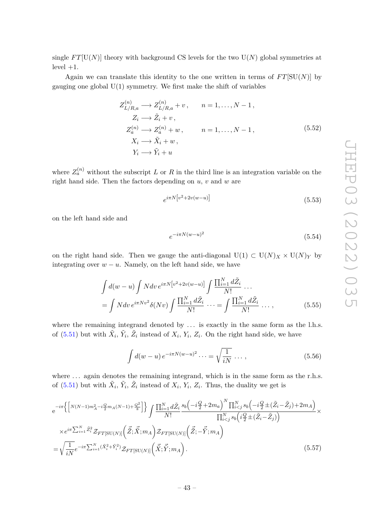single  $FT[U(N)]$  theory with background CS levels for the two  $U(N)$  global symmetries at  $level +1.$ 

Again we can translate this identity to the one written in terms of  $FT[SU(N)]$  by gauging one global  $U(1)$  symmetry. We first make the shift of variables

$$
Z_{L/R,a}^{(n)} \longrightarrow Z_{L/R,a}^{(n)} + v, \qquad n = 1, \dots, N-1,
$$
  
\n
$$
Z_i \longrightarrow \tilde{Z}_i + v,
$$
  
\n
$$
Z_a^{(n)} \longrightarrow Z_a^{(n)} + w, \qquad n = 1, \dots, N-1,
$$
  
\n
$$
X_i \longrightarrow \tilde{X}_i + w,
$$
  
\n
$$
Y_i \longrightarrow \tilde{Y}_i + u
$$
  
\n(5.52)

where  $Z_a^{(n)}$  without the subscript *L* or *R* in the third line is an integration variable on the right hand side. Then the factors depending on *u, v* and *w* are

$$
e^{i\pi N\left[v^2 + 2v(w-u)\right]}
$$
\n
$$
(5.53)
$$

on the left hand side and

$$
e^{-i\pi N(w-u)^2} \tag{5.54}
$$

on the right hand side. Then we gauge the anti-diagonal  $U(1) \subset U(N)_X \times U(N)_Y$  by integrating over  $w - u$ . Namely, on the left hand side, we have

$$
\int d(w-u) \int N dv e^{i\pi N \left[v^2 + 2v(w-u)\right]} \int \frac{\prod_{i=1}^N d\tilde{Z}_i}{N!} \dots
$$

$$
= \int N dv e^{i\pi N v^2} \delta(Nv) \int \frac{\prod_{i=1}^N d\tilde{Z}_i}{N!} \dots = \int \frac{\prod_{i=1}^N d\tilde{Z}_i}{N!} \dots,
$$
(5.55)

where the remaining integrand denoted by  $\dots$  is exactly in the same form as the l.h.s. of  $(5.51)$  but with  $\tilde{X}_i$ ,  $\tilde{Y}_i$ ,  $\tilde{Z}_i$  instead of  $X_i$ ,  $Y_i$ ,  $Z_i$ . On the right hand side, we have

$$
\int d(w-u) e^{-i\pi N(w-u)^2} \cdots = \sqrt{\frac{1}{iN}} \cdots,
$$
\n(5.56)

where ... again denotes the remaining integrand, which is in the same form as the r.h.s. of  $(5.51)$  but with  $\tilde{X}_i$ ,  $\tilde{Y}_i$ ,  $\tilde{Z}_i$  instead of  $X_i$ ,  $Y_i$ ,  $Z_i$ . Thus, the duality we get is

$$
e^{-i\pi} \left\{ \left[ N(N-1)m_A^2 - i\frac{Q}{2}m_A(N-1) + \frac{Q^2}{8} \right] \right\} \int \frac{\prod_{i=1}^N d\tilde{Z}_i}{N!} \frac{s_b \left( -i\frac{Q}{2} + 2m_a \right)^N \prod_{i < j}^N s_b \left( -i\frac{Q}{2} \pm (\tilde{Z}_i - \tilde{Z}_j) + 2m_A \right)}{\prod_{i < j}^N s_b \left( i\frac{Q}{2} \pm (\tilde{Z}_i - \tilde{Z}_j) \right)} \times \right. \\
\times e^{i\pi \sum_{i=1}^N \tilde{Z}_i^2} \mathcal{Z}_{FT[SU(N)]} \left( \vec{\tilde{Z}}; \vec{X}; m_A \right) \mathcal{Z}_{FT[SU(N)]} \left( \vec{\tilde{Z}}; -\vec{\tilde{Y}}; m_A \right) \\
= \sqrt{\frac{1}{iN}} e^{-i\pi \sum_{i=1}^N (\tilde{X}_i^2 + \tilde{Y}_i^2)} \mathcal{Z}_{FT[SU(N)]} \left( \vec{\tilde{X}}; \vec{\tilde{Y}}; m_A \right). \tag{5.57}
$$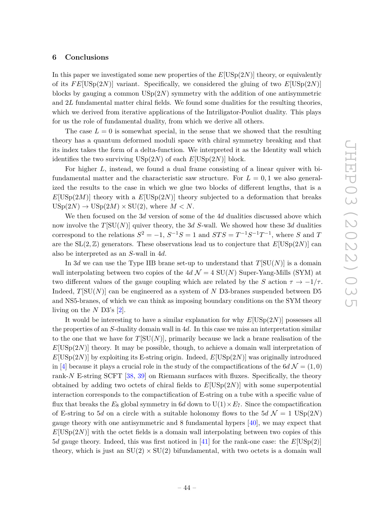# <span id="page-44-0"></span>**6 Conclusions**

In this paper we investigated some new properties of the *E*[USp(2*N*)] theory, or equivalently of its  $FE[USp(2N)]$  variant. Specifically, we considered the gluing of two  $E[USp(2N)]$ blocks by gauging a common USp(2*N*) symmetry with the addition of one antisymmetric and 2*L* fundamental matter chiral fields. We found some dualities for the resulting theories, which we derived from iterative applications of the Intriligator-Pouliot duality. This plays for us the role of fundamental duality, from which we derive all others.

The case  $L = 0$  is somewhat special, in the sense that we showed that the resulting theory has a quantum deformed moduli space with chiral symmetry breaking and that its index takes the form of a delta-function. We interpreted it as the Identity wall which identifies the two surviving  $\mathrm{USp}(2N)$  of each  $E[\mathrm{USp}(2N)]$  block.

For higher *L*, instead, we found a dual frame consisting of a linear quiver with bifundamental matter and the characteristic saw structure. For  $L = 0, 1$  we also generalized the results to the case in which we glue two blocks of different lengths, that is a  $E[USp(2M)]$  theory with a  $E[USp(2N)]$  theory subjected to a deformation that breaks  $\text{USp}(2N) \rightarrow \text{USp}(2M) \times \text{SU}(2)$ , where  $M \leq N$ .

We then focused on the 3*d* version of some of the 4*d* dualities discussed above which now involve the *T*[SU(*N*)] quiver theory, the 3*d S*-wall. We showed how these 3*d* dualities correspond to the relations  $S^2 = -1$ ,  $S^{-1}S = 1$  and  $STS = T^{-1}S^{-1}T^{-1}$ , where *S* and *T* are the  $SL(2, \mathbb{Z})$  generators. These observations lead us to conjecture that  $E[USp(2N)]$  can also be interpreted as an *S*-wall in 4*d*.

In 3*d* we can use the Type IIB brane set-up to understand that  $T[SU(N)]$  is a domain wall interpolating between two copies of the  $4d \mathcal{N} = 4$  SU(N) Super-Yang-Mills (SYM) at two different values of the gauge coupling which are related by the *S* action  $\tau \to -1/\tau$ . Indeed,  $T[SU(N)]$  can be engineered as a system of  $N$  D3-branes suspended between D5 and NS5-branes, of which we can think as imposing boundary conditions on the SYM theory living on the *N* D3's [\[2\]](#page-53-1).

It would be interesting to have a similar explanation for why *E*[USp(2*N*)] possesses all the properties of an *S*-duality domain wall in 4*d*. In this case we miss an interpretation similar to the one that we have for  $T[SU(N)]$ , primarily because we lack a brane realisation of the  $E[USp(2N)]$  theory. It may be possible, though, to achieve a domain wall interpretation of  $E[\text{USp}(2N)]$  by exploiting its E-string origin. Indeed,  $E[\text{USp}(2N)]$  was originally introduced in [\[4\]](#page-53-3) because it plays a crucial role in the study of the compactifications of the  $6d \mathcal{N} = (1,0)$ rank-*N* E-string SCFT [\[38,](#page-55-11) [39\]](#page-55-12) on Riemann surfaces with fluxes. Specifically, the theory obtained by adding two octets of chiral fields to *E*[USp(2*N*)] with some superpotential interaction corresponds to the compactification of E-string on a tube with a specific value of flux that breaks the  $E_8$  global symmetry in 6*d* down to  $U(1) \times E_7$ . Since the compactification of E-string to 5*d* on a circle with a suitable holonomy flows to the 5*d*  $\mathcal{N} = 1$  USp(2*N*) gauge theory with one antisymmetric and 8 fundamental hypers [\[40\]](#page-55-13), we may expect that  $E[USp(2N)]$  with the octet fields is a domain wall interpolating between two copies of this 5*d* gauge theory. Indeed, this was first noticed in [\[41\]](#page-55-14) for the rank-one case: the *E*[USp(2)] theory, which is just an  $SU(2) \times SU(2)$  bifundamental, with two octets is a domain wall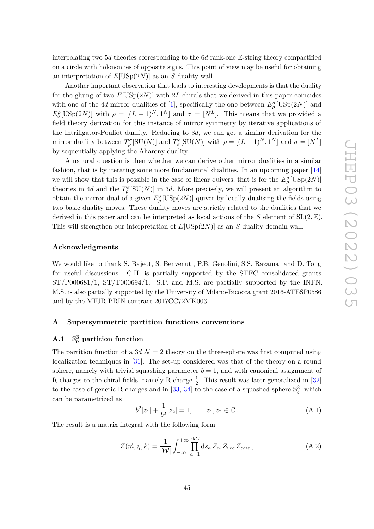interpolating two 5*d* theories corresponding to the 6*d* rank-one E-string theory compactified on a circle with holonomies of opposite signs. This point of view may be useful for obtaining an interpretation of *E*[USp(2*N*)] as an *S*-duality wall.

Another important observation that leads to interesting developments is that the duality for the gluing of two  $E[USp(2N)]$  with 2*L* chirals that we derived in this paper coincides with one of the 4*d* mirror dualities of [\[1\]](#page-53-0), specifically the one between  $E_{\rho}^{\sigma}[\text{USp}(2N)]$  and  $E_{\sigma}^{\rho}[\text{USp}(2N)]$  with  $\rho = [(L-1)^N, 1^N]$  and  $\sigma = [N^L]$ . This means that we provided a field theory derivation for this instance of mirror symmetry by iterative applications of the Intriligator-Pouliot duality. Reducing to 3*d*, we can get a similar derivation for the mirror duality between  $T_\rho^{\sigma}[\text{SU}(N)]$  and  $T_\sigma^{\rho}[\text{SU}(N)]$  with  $\rho = [(L-1)^N, 1^N]$  and  $\sigma = [N^L]$ by sequentially applying the Aharony duality.

A natural question is then whether we can derive other mirror dualities in a similar fashion, that is by iterating some more fundamental dualities. In an upcoming paper [\[14\]](#page-54-6) we will show that this is possible in the case of linear quivers, that is for the  $E_{\rho}^{\sigma}[\text{USp}(2N)]$ theories in 4*d* and the  $T_\rho^{\sigma}[\text{SU}(N)]$  in 3*d*. More precisely, we will present an algorithm to obtain the mirror dual of a given  $E_{\rho}^{\sigma}[\mathrm{USp}(2N)]$  quiver by locally dualising the fields using two basic duality moves. These duality moves are strictly related to the dualities that we derived in this paper and can be interpreted as local actions of the *S* element of  $SL(2, \mathbb{Z})$ . This will strengthen our interpretation of *E*[USp(2*N*)] as an *S*-duality domain wall.

# **Acknowledgments**

We would like to thank S. Bajeot, S. Benvenuti, P.B. Genolini, S.S. Razamat and D. Tong for useful discussions. C.H. is partially supported by the STFC consolidated grants ST/P000681/1, ST/T000694/1. S.P. and M.S. are partially supported by the INFN. M.S. is also partially supported by the University of Milano-Bicocca grant 2016-ATESP0586 and by the MIUR-PRIN contract 2017CC72MK003.

# <span id="page-45-0"></span>**A Supersymmetric partition functions conventions**

#### <span id="page-45-1"></span> $A.1$ **3** *<sup>b</sup>* **partition function**

The partition function of a 3*d*  $\mathcal{N} = 2$  theory on the three-sphere was first computed using localization techniques in [\[31\]](#page-55-6). The set-up considered was that of the theory on a round sphere, namely with trivial squashing parameter  $b = 1$ , and with canonical assignment of R-charges to the chiral fields, namely R-charge  $\frac{1}{2}$ . This result was later generalized in [\[32\]](#page-55-15) to the case of generic R-charges and in [\[33,](#page-55-16) [34\]](#page-55-7) to the case of a squashed sphere  $\mathbb{S}^3_b$ , which can be parametrized as

$$
b^{2}|z_{1}| + \frac{1}{b^{2}}|z_{2}| = 1, \t z_{1}, z_{2} \in \mathbb{C}.
$$
 (A.1)

The result is a matrix integral with the following form:

<span id="page-45-2"></span>
$$
Z(\vec{m}, \eta, k) = \frac{1}{|\mathcal{W}|} \int_{-\infty}^{+\infty} \prod_{a=1}^{\text{rk}G} \text{d} s_a Z_{cl} Z_{vec} Z_{chir} , \qquad (A.2)
$$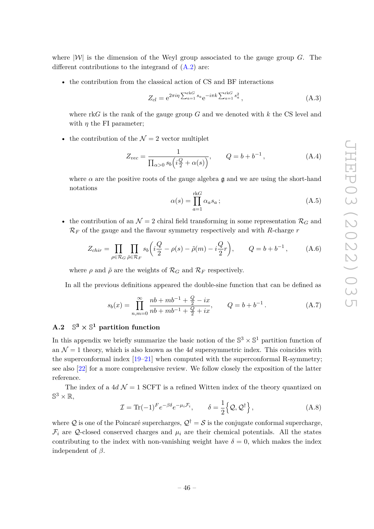where  $|\mathcal{W}|$  is the dimension of the Weyl group associated to the gauge group *G*. The different contributions to the integrand of  $(A.2)$  are:

• the contribution from the classical action of CS and BF interactions

$$
Z_{cl} = e^{2\pi i \eta \sum_{a=1}^{\text{rk}G} s_a} e^{-i\pi k \sum_{a=1}^{\text{rk}G} s_a^2}, \qquad (A.3)
$$

where rk*G* is the rank of the gauge group *G* and we denoted with *k* the CS level and with *η* the FI parameter;

• the contribution of the  $\mathcal{N}=2$  vector multiplet

$$
Z_{vec} = \frac{1}{\prod_{\alpha>0} s_b \left(i\frac{Q}{2} + \alpha(s)\right)}, \qquad Q = b + b^{-1}, \tag{A.4}
$$

where  $\alpha$  are the positive roots of the gauge algebra g and we are using the short-hand notations

$$
\alpha(s) = \prod_{a=1}^{\text{rk}G} \alpha_a s_a ; \tag{A.5}
$$

• the contribution of an  $\mathcal{N} = 2$  chiral field transforming in some representation  $\mathcal{R}_G$  and  $\mathcal{R}_F$  of the gauge and the flavour symmetry respectively and with *R*-charge *r* 

$$
Z_{chir} = \prod_{\rho \in \mathcal{R}_G} \prod_{\tilde{\rho} \in \mathcal{R}_F} s_b \left( i \frac{Q}{2} - \rho(s) - \tilde{\rho}(m) - i \frac{Q}{2} r \right), \qquad Q = b + b^{-1}, \tag{A.6}
$$

where  $\rho$  and  $\tilde{\rho}$  are the weights of  $\mathcal{R}_G$  and  $\mathcal{R}_F$  respectively.

In all the previous definitions appeared the double-sine function that can be defined as

$$
s_b(x) = \prod_{n,m=0}^{\infty} \frac{nb + mb^{-1} + \frac{Q}{2} - ix}{nb + mb^{-1} + \frac{Q}{2} + ix}, \qquad Q = b + b^{-1}.
$$
 (A.7)

#### <span id="page-46-0"></span> $A.2$  $3 \times \mathbb{S}^1$  partition function

In this appendix we briefly summarize the basic notion of the  $\mathbb{S}^3 \times \mathbb{S}^1$  partition function of an  $\mathcal{N} = 1$  theory, which is also known as the 4*d* supersymmetric index. This coincides with the superconformal index [\[19](#page-54-11)[–21\]](#page-54-12) when computed with the superconformal R-symmetry; see also [\[22\]](#page-54-13) for a more comprehensive review. We follow closely the exposition of the latter reference.

The index of a  $4d \mathcal{N} = 1$  SCFT is a refined Witten index of the theory quantized on  $\mathbb{S}^3\times\mathbb{R},$ 

$$
\mathcal{I} = \text{Tr}(-1)^F e^{-\beta \delta} e^{-\mu_i \mathcal{F}_i}, \qquad \delta = \frac{1}{2} \{ \mathcal{Q}, \mathcal{Q}^\dagger \}, \tag{A.8}
$$

where Q is one of the Poincaré supercharges,  $\mathcal{Q}^{\dagger} = \mathcal{S}$  is the conjugate conformal supercharge,  $\mathcal{F}_i$  are Q-closed conserved charges and  $\mu_i$  are their chemical potentials. All the states contributing to the index with non-vanishing weight have  $\delta = 0$ , which makes the index independent of *β*.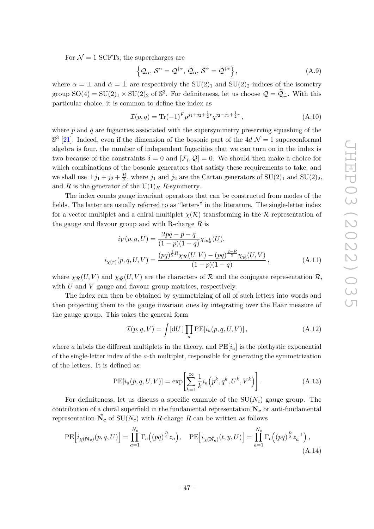For  $\mathcal{N} = 1$  SCFTs, the supercharges are

$$
\left\{ \mathcal{Q}_{\alpha}, \mathcal{S}^{\alpha} = \mathcal{Q}^{\dagger \alpha}, \, \tilde{\mathcal{Q}}_{\dot{\alpha}}, \, \tilde{\mathcal{S}}^{\dot{\alpha}} = \tilde{\mathcal{Q}}^{\dagger \dot{\alpha}} \right\},\tag{A.9}
$$

where  $\alpha = \pm$  and  $\dot{\alpha} = \pm$  are respectively the SU(2)<sub>1</sub> and SU(2)<sub>2</sub> indices of the isometry group  $SO(4) = SU(2)_1 \times SU(2)_2$  of  $\mathbb{S}^3$ . For definiteness, let us choose  $\mathcal{Q} = \tilde{\mathcal{Q}}$ . With this particular choice, it is common to define the index as

$$
\mathcal{I}(p,q) = \text{Tr}(-1)^{F} p^{j_1+j_2+\frac{1}{2}r} q^{j_2-j_1+\frac{1}{2}r}, \qquad (A.10)
$$

where *p* and *q* are fugacities associated with the supersymmetry preserving squashing of the  $\mathbb{S}^{3}$  [\[21\]](#page-54-12). Indeed, even if the dimension of the bosonic part of the 4*d*  $\mathcal{N}=1$  superconformal algebra is four, the number of independent fugacities that we can turn on in the index is two because of the constraints  $\delta = 0$  and  $[\mathcal{F}_i, \mathcal{Q}] = 0$ . We should then make a choice for which combinations of the bosonic generators that satisfy these requirements to take, and we shall use  $\pm j_1 + j_2 + \frac{R}{2}$  $\frac{R}{2}$ , where  $j_1$  and  $j_2$  are the Cartan generators of  $SU(2)_1$  and  $SU(2)_2$ , and *R* is the generator of the  $U(1)_R$  *R*-symmetry.

The index counts gauge invariant operators that can be constructed from modes of the fields. The latter are usually referred to as "letters" in the literature. The single-letter index for a vector multiplet and a chiral multiplet  $\chi(\mathcal{R})$  transforming in the  $\mathcal R$  representation of the gauge and flavour group and with R-charge *R* is

$$
i_V(p,q,U) = \frac{2pq - p - q}{(1-p)(1-q)} \chi_{adj}(U),
$$
  

$$
i_{\chi(r)}(p,q,U,V) = \frac{(pq)^{\frac{1}{2}R} \chi_{\mathcal{R}}(U,V) - (pq)^{\frac{2-R}{2}} \chi_{\mathcal{R}}(U,V)}{(1-p)(1-q)},
$$
 (A.11)

where  $\chi_{\mathcal{R}}(U, V)$  and  $\chi_{\bar{\mathcal{R}}}(U, V)$  are the characters of R and the conjugate representation  $\bar{\mathcal{R}}$ , with *U* and *V* gauge and flavour group matrices, respectively.

The index can then be obtained by symmetrizing of all of such letters into words and then projecting them to the gauge invariant ones by integrating over the Haar measure of the gauge group. This takes the general form

$$
\mathcal{I}(p,q,V) = \int [\mathrm{d}U] \prod_{a} \mathrm{PE}[i_a(p,q,U,V)], \qquad (A.12)
$$

where *a* labels the different multiplets in the theory, and  $PE[i_a]$  is the plethystic exponential of the single-letter index of the *a*-th multiplet, responsible for generating the symmetrization of the letters. It is defined as

$$
PE[i_a(p,q,U,V)] = \exp\left[\sum_{k=1}^{\infty} \frac{1}{k} i_a\left(p^k, q^k, U^k, V^k\right)\right].
$$
\n(A.13)

For definiteness, let us discuss a specific example of the SU(*Nc*) gauge group. The contribution of a chiral superfield in the fundamental representation  $N_c$  or anti-fundamental representation  $\overline{N}_{c}$  of  $SU(N_c)$  with *R*-charge *R* can be written as follows

$$
\mathrm{PE}\Big[i_{\chi(\mathbf{N_c})}(p,q,U)\Big] = \prod_{a=1}^{N_c} \Gamma_e\Big((pq)^{\frac{R}{2}}z_a\Big), \quad \mathrm{PE}\Big[i_{\chi(\mathbf{N_c})}(t,y,U)\Big] = \prod_{a=1}^{N_c} \Gamma_e\Big((pq)^{\frac{R}{2}}z_a^{-1}\Big),\tag{A.14}
$$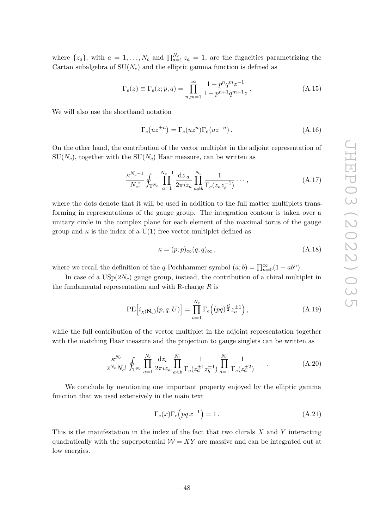where  $\{z_a\}$ , with  $a = 1, \ldots, N_c$  and  $\prod_{a=1}^{N_c} z_a = 1$ , are the fugacities parametrizing the Cartan subalgebra of  $SU(N_c)$  and the elliptic gamma function is defined as

$$
\Gamma_e(z) \equiv \Gamma_e(z; p, q) = \prod_{n,m=1}^{\infty} \frac{1 - p^n q^m z^{-1}}{1 - p^{n+1} q^{m+1} z}.
$$
\n(A.15)

We will also use the shorthand notation

$$
\Gamma_e(uz^{\pm n}) = \Gamma_e(uz^n)\Gamma_e(uz^{-n}).
$$
\n(A.16)

On the other hand, the contribution of the vector multiplet in the adjoint representation of  $SU(N_c)$ , together with the  $SU(N_c)$  Haar measure, can be written as

$$
\frac{\kappa^{N_c-1}}{N_c!} \oint_{\mathbb{T}^{N_c}} \prod_{a=1}^{N_c-1} \frac{\mathrm{d}z_a}{2\pi i z_a} \prod_{a \neq b}^{N_c} \frac{1}{\Gamma_e(z_a z_b^{-1})} \cdots , \qquad (A.17)
$$

where the dots denote that it will be used in addition to the full matter multiplets transforming in representations of the gauge group. The integration contour is taken over a unitary circle in the complex plane for each element of the maximal torus of the gauge group and  $\kappa$  is the index of a U(1) free vector multiplet defined as

$$
\kappa = (p; p)_{\infty}(q; q)_{\infty}, \qquad (A.18)
$$

where we recall the definition of the *q*-Pochhammer symbol  $(a; b) = \prod_{n=0}^{\infty} (1 - ab^n)$ .

In case of a  $USp(2N_c)$  gauge group, instead, the contribution of a chiral multiplet in the fundamental representation and with R-charge *R* is

$$
\mathrm{PE}\Big[i_{\chi(\mathbf{N_c})}(p,q,U)\Big] = \prod_{a=1}^{N_c} \Gamma_e\Big((pq)^{\frac{R}{2}} z_a^{\pm 1}\Big) ,\tag{A.19}
$$

while the full contribution of the vector multiplet in the adjoint representation together with the matching Haar measure and the projection to gauge singlets can be written as

$$
\frac{\kappa^{N_c}}{2^{N_c} N_c!} \oint_{\mathbb{T}^{N_c}} \prod_{a=1}^{N_c} \frac{\mathrm{d}z_i}{2\pi i z_a} \prod_{a
$$

We conclude by mentioning one important property enjoyed by the elliptic gamma function that we used extensively in the main text

$$
\Gamma_e(x)\Gamma_e\left(pq\,x^{-1}\right) = 1\,. \tag{A.21}
$$

This is the manifestation in the index of the fact that two chirals *X* and *Y* interacting quadratically with the superpotential  $W = XY$  are massive and can be integrated out at low energies.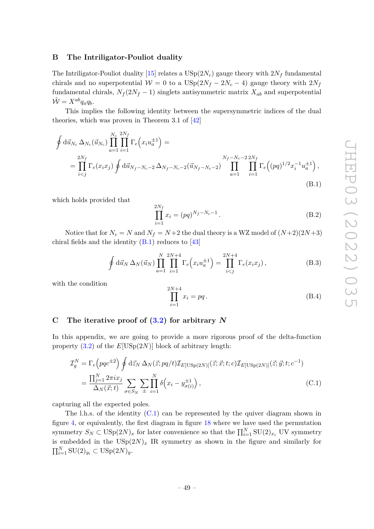# <span id="page-49-0"></span>**B The Intriligator-Pouliot duality**

The Intriligator-Pouliot duality [\[15\]](#page-54-7) relates a  $USp(2N_c)$  gauge theory with  $2N_f$  fundamental chirals and no superpotential  $W = 0$  to a  $USp(2N_f - 2N_c - 4)$  gauge theory with  $2N_f$ fundamental chirals,  $N_f(2N_f - 1)$  singlets antisymmetric matrix  $X_{ab}$  and superpotential  $\hat{\mathcal{W}} = X^{ab} q_a q_b.$ 

This implies the following identity between the supersymmetric indices of the dual theories, which was proven in Theorem 3.1 of [\[42\]](#page-55-17)

$$
\oint d\vec{u}_{N_c} \Delta_{N_c}(\vec{u}_{N_c}) \prod_{a=1}^{N_c} \prod_{i=1}^{2N_f} \Gamma_e(x_i u_a^{\pm 1}) =
$$
\n
$$
= \prod_{i < j}^{2N_f} \Gamma_e(x_i x_j) \oint d\vec{u}_{N_f - N_c - 2} \Delta_{N_f - N_c - 2}(\vec{u}_{N_f - N_c - 2}) \prod_{a=1}^{N_f - N_c - 2} \prod_{i=1}^{2N_f} \Gamma_e((pq)^{1/2} x_i^{-1} u_a^{\pm 1}),
$$
\n(B.1)

which holds provided that

<span id="page-49-3"></span>
$$
\prod_{i=1}^{2N_f} x_i = (pq)^{N_f - N_c - 1}.
$$
\n(B.2)

Notice that for  $N_c = N$  and  $N_f = N+2$  the dual theory is a WZ model of  $(N+2)(2N+3)$ chiral fields and the identity  $(B.1)$  reduces to  $[43]$ 

<span id="page-49-2"></span>
$$
\oint d\vec{u}_N \,\Delta_N(\vec{u}_N) \prod_{a=1}^N \prod_{i=1}^{2N+4} \Gamma_e(x_i u_a^{\pm 1}) = \prod_{i < j}^{2N+4} \Gamma_e(x_i x_j),\tag{B.3}
$$

with the condition

<span id="page-49-4"></span>
$$
\prod_{i=1}^{2N+4} x_i = pq.
$$
 (B.4)

# <span id="page-49-1"></span>**C The iterative proof of [\(3.2\)](#page-9-0) for arbitrary** *N*

In this appendix, we are going to provide a more rigorous proof of the delta-function property [\(3.2\)](#page-9-0) of the *E*[USp(2*N*)] block of arbitrary length:

$$
\mathcal{I}_g^N = \Gamma_e \left( p q c^{\pm 2} \right) \oint d\vec{z}_N \, \Delta_N(\vec{z}; p q/t) \mathcal{I}_{E[\text{USp}(2N)]}(\vec{z}; \vec{x}; t; c) \mathcal{I}_{E[\text{USp}(2N)]}(\vec{z}; \vec{y}; t; c^{-1})
$$
\n
$$
= \frac{\prod_{j=1}^N 2\pi i x_j}{\Delta_N(\vec{x}; t)} \sum_{\sigma \in S_N} \sum_{\pm} \prod_{i=1}^N \delta \left( x_i - y_{\sigma(i)}^{\pm 1} \right), \tag{C.1}
$$

capturing all the expected poles.

The l.h.s. of the identity [\(C.1\)](#page-49-4) can be represented by the quiver diagram shown in figure [4,](#page-9-1) or equivalently, the first diagram in figure [18](#page-50-0) where we have used the permutation symmetry  $S_N \subset \text{USp}(2N)_x$  for later convenience so that the  $\prod_{i=1}^N \text{SU}(2)_{x_i}$  UV symmetry is embedded in the  $\text{USp}(2N)_x$  IR symmetry as shown in the figure and similarly for  $\prod_{i=1}^{N}$  SU(2)<sub>*y<sub>i</sub>*</sub> ⊂ USp(2*N*)<sub>*y*</sub>.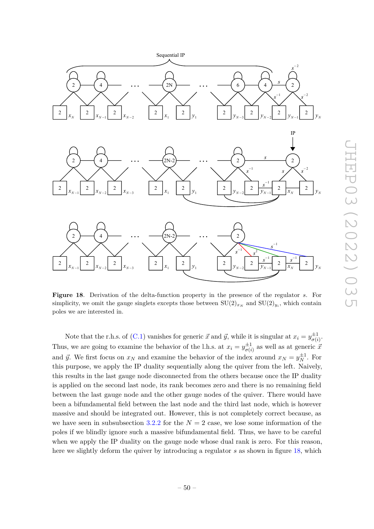

<span id="page-50-0"></span>**Figure 18**. Derivation of the delta-function property in the presence of the regulator *s*. For simplicity, we omit the gauge singlets excepts those between  $SU(2)_{x_N}$  and  $SU(2)_{y_i}$ , which contain poles we are interested in.

Sequential IP

2  $\rightarrow$  4

 $2 \left| \begin{array}{c|c} 2 & 2 \end{array} \right|$   $2 \left| \begin{array}{c|c} 2 & 2 \end{array} \right|$ 

2  $\rightarrow$  4

 $2 \left| \begin{array}{c} 2 \end{array} \right|$   $2 \left| \begin{array}{c} 2 \end{array} \right|$ 

2  $\rightarrow$  4

 $2 \left| \begin{array}{c} 2 \end{array} \right|$   $2 \left| \begin{array}{c} 2 \end{array} \right|$ 

Note that the r.h.s. of [\(C.1\)](#page-49-4) vanishes for generic  $\vec{x}$  and  $\vec{y}$ , while it is singular at  $x_i = y_{\sigma(i)}^{\pm 1}$  $\frac{\pm 1}{\sigma(i)}$ . Thus, we are going to examine the behavior of the l.h.s. at  $x_i = y_{\sigma(i)}^{\pm 1}$  $\sigma(i)$  as well as at generic  $\bar{x}$ and  $\vec{y}$ . We first focus on  $x_N$  and examine the behavior of the index around  $x_N = y_N^{\pm 1}$ . For this purpose, we apply the IP duality sequentially along the quiver from the left. Naively, this results in the last gauge node disconnected from the others because once the IP duality is applied on the second last node, its rank becomes zero and there is no remaining field between the last gauge node and the other gauge nodes of the quiver. There would have been a bifundamental field between the last node and the third last node, which is however massive and should be integrated out. However, this is not completely correct because, as we have seen in subsubsection [3.2.2](#page-13-0) for the  $N = 2$  case, we lose some information of the poles if we blindly ignore such a massive bifundamental field. Thus, we have to be careful when we apply the IP duality on the gauge node whose dual rank is zero. For this reason, here we slightly deform the quiver by introducing a regulator *s* as shown in figure [18,](#page-50-0) which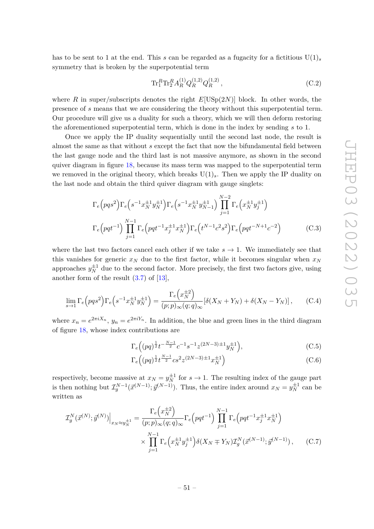has to be sent to 1 at the end. This *s* can be regarded as a fugacity for a fictitious  $U(1)_s$ symmetry that is broken by the superpotential term

<span id="page-51-0"></span>
$$
\operatorname{Tr}^R_1 \operatorname{Tr}^R_2 A_R^{(1)} Q_R^{(1,2)} Q_R^{(1,2)}\,,\tag{C.2}
$$

where *R* in super/subscripts denotes the right  $E[USp(2N)]$  block. In other words, the presence of *s* means that we are considering the theory without this superpotential term. Our procedure will give us a duality for such a theory, which we will then deform restoring the aforementioned superpotential term, which is done in the index by sending *s* to 1.

Once we apply the IP duality sequentially until the second last node, the result is almost the same as that without *s* except the fact that now the bifundamental field between the last gauge node and the third last is not massive anymore, as shown in the second quiver diagram in figure [18,](#page-50-0) because its mass term was mapped to the superpotential term we removed in the original theory, which breaks  $U(1)_s$ . Then we apply the IP duality on the last node and obtain the third quiver diagram with gauge singlets:

$$
\Gamma_e \left( p q s^2 \right) \Gamma_e \left( s^{-1} x_N^{\pm 1} y_N^{\pm 1} \right) \Gamma_e \left( s^{-1} x_N^{\pm 1} y_{N-1}^{\pm 1} \right) \prod_{j=1}^{N-2} \Gamma_e \left( x_N^{\pm 1} y_j^{\pm 1} \right)
$$
\n
$$
\Gamma_e \left( p q t^{-1} \right) \prod_{j=1}^{N-1} \Gamma_e \left( p q t^{-1} x_j^{\pm 1} x_N^{\pm 1} \right) \Gamma_e \left( t^{N-1} c^2 s^2 \right) \Gamma_e \left( p q t^{-N+1} c^{-2} \right) \tag{C.3}
$$

where the last two factors cancel each other if we take  $s \to 1$ . We immediately see that this vanishes for generic  $x_N$  due to the first factor, while it becomes singular when  $x_N$ approaches  $y_N^{\pm 1}$  due to the second factor. More precisely, the first two factors give, using another form of the result  $(3.7)$  of  $[13]$ ,

$$
\lim_{s \to 1} \Gamma_e \left( pqs^2 \right) \Gamma_e \left( s^{-1} x_N^{\pm 1} y_N^{\pm 1} \right) = \frac{\Gamma_e \left( x_N^{\pm 2} \right)}{(p; p)_{\infty} (q; q)_{\infty}} \left[ \delta(X_N + Y_N) + \delta(X_N - Y_N) \right], \tag{C.4}
$$

where  $x_n = e^{2\pi i X_n}$ ,  $y_n = e^{2\pi i Y_n}$ . In addition, the blue and green lines in the third diagram of figure [18,](#page-50-0) whose index contributions are

$$
\Gamma_e\Big((pq)^{\frac{1}{2}}t^{-\frac{N-1}{2}}c^{-1}s^{-1}z^{(2N-3)\pm 1}y_N^{\pm 1}\Big),\tag{C.5}
$$

$$
\Gamma_e\Big( (pq)^{\frac{1}{2}} t^{\frac{N-1}{2}} c s^2 z^{(2N-3)\pm 1} x_N^{\pm 1} \Big) \tag{C.6}
$$

respectively, become massive at  $x_N = y_N^{\pm 1}$  for  $s \to 1$ . The resulting index of the gauge part is then nothing but  $\mathcal{I}_{g}^{N-1}(\vec{x}^{(N-1)}; \vec{y}^{(N-1)})$ . Thus, the entire index around  $x_N = y_N^{\pm 1}$  can be written as

$$
\mathcal{I}_{g}^{N}(\vec{x}^{(N)}; \vec{y}^{(N)})\Big|_{x_{N}\approx y_{N}^{\pm 1}} = \frac{\Gamma_{e}\left(x_{N}^{\pm 2}\right)}{(p;p)_{\infty}(q;q)_{\infty}} \Gamma_{e}\left(pqt^{-1}\right) \prod_{j=1}^{N-1} \Gamma_{e}\left(pqt^{-1}x_{j}^{\pm 1}x_{N}^{\pm 1}\right) \times \prod_{j=1}^{N-1} \Gamma_{e}\left(x_{N}^{\pm 1}y_{j}^{\pm 1}\right) \delta(X_{N} \mp Y_{N}) \mathcal{I}_{g}^{N}(\vec{x}^{(N-1)}; \vec{y}^{(N-1)}) , \qquad (C.7)
$$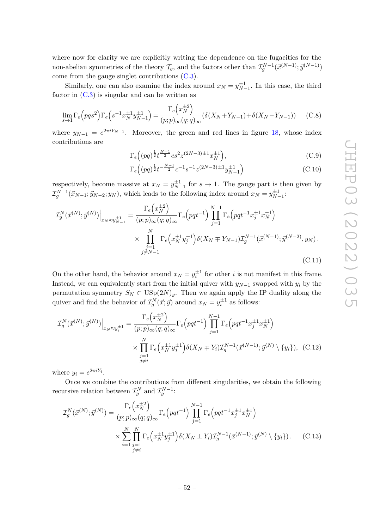where now for clarity we are explicitly writing the dependence on the fugacities for the non-abelian symmetries of the theory  $\mathcal{T}_g$ , and the factors other than  $\mathcal{I}_g^{N-1}(\vec{x}^{(N-1)}; \vec{y}^{(N-1)})$ come from the gauge singlet contributions [\(C.3\)](#page-51-0).

Similarly, one can also examine the index around  $x_N = y_{N-1}^{\pm 1}$ . In this case, the third factor in  $(C.3)$  is singular and can be written as

$$
\lim_{s \to 1} \Gamma_e \left( pqs^2 \right) \Gamma_e \left( s^{-1} x_N^{\pm 1} y_{N-1}^{\pm 1} \right) = \frac{\Gamma_e \left( x_N^{\pm 2} \right)}{(p;p)_{\infty}(q;q)_{\infty}} (\delta(X_N + Y_{N-1}) + \delta(X_N - Y_{N-1})) \tag{C.8}
$$

where  $y_{N-1} = e^{2\pi i Y_{N-1}}$ . Moreover, the green and red lines in figure [18,](#page-50-0) whose index contributions are

$$
\Gamma_e\Big((pq)^{\frac{1}{2}}t^{\frac{N-1}{2}}cs^2z^{(2N-3)\pm 1}x_N^{\pm 1}\Big),\tag{C.9}
$$

$$
\Gamma_e\Big( (pq)^{\frac{1}{2}} t^{-\frac{N-1}{2}} c^{-1} s^{-1} z^{(2N-3)\pm 1} y_{N-1}^{\pm 1} \Big)
$$
 (C.10)

respectively, become massive at  $x_N = y_{N-1}^{\pm 1}$  for  $s \to 1$ . The gauge part is then given by  $\mathcal{I}_{g}^{N-1}(\vec{x}_{N-1}; \vec{y}_{N-2}; y_N)$ , which leads to the following index around  $x_N = y_{N-1}^{\pm 1}$ .

$$
\mathcal{I}_{g}^{N}(\vec{x}^{(N)}; \vec{y}^{(N)})\Big|_{x_{N}\approx y_{N-1}^{\pm 1}} = \frac{\Gamma_{e}\left(x_{N}^{\pm 2}\right)}{(p;p)_{\infty}(q;q)_{\infty}} \Gamma_{e}\left(pqt^{-1}\right) \prod_{j=1}^{N-1} \Gamma_{e}\left(pqt^{-1}x_{j}^{\pm 1}x_{N}^{\pm 1}\right) \times \prod_{\substack{j=1\\j\neq N-1}}^{N} \Gamma_{e}\left(x_{N}^{\pm 1}y_{j}^{\pm 1}\right) \delta(X_{N} \mp Y_{N-1}) \mathcal{I}_{g}^{N-1}(\vec{x}^{(N-1)}; \vec{y}^{(N-2)}, y_{N}).
$$
\n(C.11)

On the other hand, the behavior around  $x_N = y_i^{\pm 1}$  for other *i* is not manifest in this frame. Instead, we can equivalently start from the initial quiver with  $y_{N-1}$  swapped with  $y_i$  by the permutation symmetry  $S_N \subset \text{USp}(2N)_y$ . Then we again apply the IP duality along the quiver and find the behavior of  $\mathcal{I}_{g}^{N}(\vec{x}; \vec{y})$  around  $x_N = y_i^{\pm 1}$  as follows:

$$
\mathcal{I}_{g}^{N}(\vec{x}^{(N)}; \vec{y}^{(N)})\Big|_{x_{N}\approx y_{i}^{\pm 1}} = \frac{\Gamma_{e}\left(x_{N}^{\pm 2}\right)}{(p;p)_{\infty}(q;q)_{\infty}} \Gamma_{e}\left(pqt^{-1}\right) \prod_{j=1}^{N-1} \Gamma_{e}\left(pqt^{-1}x_{j}^{\pm 1}x_{N}^{\pm 1}\right) \times \prod_{\substack{j=1 \ j \neq i}}^{N} \Gamma_{e}\left(x_{N}^{\pm 1}y_{j}^{\pm 1}\right) \delta(X_{N} \mp Y_{i}) \mathcal{I}_{g}^{N-1}(\vec{x}^{(N-1)}; \vec{y}^{(N)} \setminus \{y_{i}\}), \quad (C.12)
$$

where  $y_i = e^{2\pi i Y_i}$ .

Once we combine the contributions from different singularities, we obtain the following recursive relation between  $\mathcal{I}_g^N$  and  $\mathcal{I}_g^{N-1}$ :

$$
\mathcal{I}_{g}^{N}(\vec{x}^{(N)}; \vec{y}^{(N)}) = \frac{\Gamma_{e}\left(x_{N}^{\pm 2}\right)}{(p;p)_{\infty}(q;q)_{\infty}} \Gamma_{e}\left(pqt^{-1}\right) \prod_{j=1}^{N-1} \Gamma_{e}\left(pqt^{-1}x_{j}^{\pm 1}x_{N}^{\pm 1}\right) \times \sum_{i=1}^{N} \prod_{\substack{j=1 \ j \neq i}}^{N} \Gamma_{e}\left(x_{N}^{\pm 1}y_{j}^{\pm 1}\right) \delta(X_{N} \pm Y_{i}) \mathcal{I}_{g}^{N-1}(\vec{x}^{(N-1)}; \vec{y}^{(N)} \setminus \{y_{i}\})\,. \tag{C.13}
$$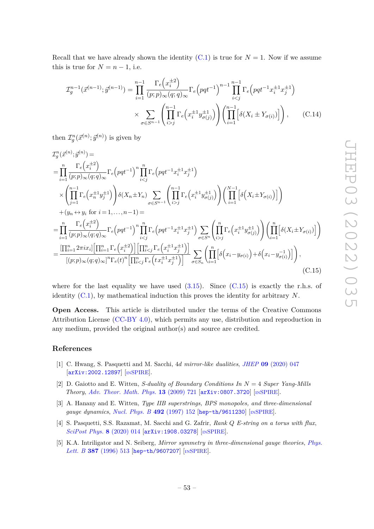Recall that we have already shown the identity  $(C.1)$  is true for  $N = 1$ . Now if we assume this is true for  $N = n - 1$ , i.e.

$$
\mathcal{I}_{g}^{n-1}(\vec{x}^{(n-1)}; \vec{y}^{(n-1)}) = \prod_{i=1}^{n-1} \frac{\Gamma_{e}(x_{i}^{\pm 2})}{(p;p)_{\infty}(q;q)_{\infty}} \Gamma_{e}(pqt^{-1})^{n-1} \prod_{i < j}^{n-1} \Gamma_{e}(pqt^{-1}x_{i}^{\pm 1}x_{j}^{\pm 1})
$$

$$
\times \sum_{\sigma \in S^{n-1}} \left( \prod_{i > j}^{n-1} \Gamma_{e}(x_{i}^{\pm 1}y_{\sigma(j)}^{\pm 1}) \right) \left( \prod_{i=1}^{n-1} \left[ \delta(X_{i} \pm Y_{\sigma(i)}) \right] \right), \qquad (C.14)
$$

then  $\mathcal{I}_g^n(\vec{x}^{(n)}; \vec{y}^{(n)})$  is given by

$$
T_{g}^{n}(\vec{x}^{(n)};\vec{y}^{(n)}) =
$$
\n
$$
= \prod_{i=1}^{n} \frac{\Gamma_{e}(x_{i}^{\pm 2})}{(p;p)_{\infty}(q;q)_{\infty}} \Gamma_{e}(pqt^{-1})^{n} \prod_{i\n
$$
\times \left( \prod_{j=1}^{n-1} \Gamma_{e}(x_{n}^{\pm 1}y_{j}^{\pm 1}) \right) \delta(X_{n} \pm Y_{n}) \sum_{\sigma \in S^{n-1}} \left( \prod_{i>j}^{n-1} \Gamma_{e}(x_{i}^{\pm 1}y_{\sigma(j)}^{\pm 1}) \right) \left( \prod_{i=1}^{N-1} \left[ \delta(X_{i} \pm Y_{\sigma(i)}) \right] \right)
$$
\n
$$
+ (y_{n} \leftrightarrow y_{i} \text{ for } i = 1,...,n-1) =
$$
\n
$$
= \prod_{i=1}^{n} \frac{\Gamma_{e}(x_{i}^{\pm 2})}{(p;p)_{\infty}(q;q)_{\infty}} \Gamma_{e}(pqt^{-1})^{n} \prod_{ij}^{n} \Gamma_{e}(x_{i}^{\pm 1}y_{\sigma(j)}^{\pm 1}) \right) \left( \prod_{i=1}^{n} \left[ \delta(X_{i} \pm Y_{\sigma(i)}) \right] \right)
$$
\n
$$
= \frac{\left[ \prod_{i=1}^{n} 2\pi i x_{i} \right] \left[ \prod_{i=1}^{n} \Gamma_{e}(x_{i}^{\pm 2}) \right] \left[ \prod_{i
$$
$$

<span id="page-53-5"></span>where for the last equality we have used  $(3.15)$ . Since  $(C.15)$  is exactly the r.h.s. of identity [\(C.1\)](#page-49-4), by mathematical induction this proves the identity for arbitrary *N*.

**Open Access.** This article is distributed under the terms of the Creative Commons Attribution License [\(CC-BY 4.0\)](https://creativecommons.org/licenses/by/4.0/), which permits any use, distribution and reproduction in any medium, provided the original author(s) and source are credited.

# **References**

- <span id="page-53-0"></span>[1] C. Hwang, S. Pasquetti and M. Sacchi, 4*d mirror-like dualities*, *JHEP* **09** [\(2020\) 047](https://doi.org/10.1007/JHEP09(2020)047) [[arXiv:2002.12897](https://arxiv.org/abs/2002.12897)] [IN[SPIRE](https://inspirehep.net/search?p=find+EPRINT%2BarXiv%3A2002.12897)].
- <span id="page-53-1"></span>[2] D. Gaiotto and E. Witten, *S-duality of Boundary Conditions In N* = 4 *Super Yang-Mills Theory*, *[Adv. Theor. Math. Phys.](https://doi.org/10.4310/ATMP.2009.v13.n3.a5)* **13** (2009) 721 [[arXiv:0807.3720](https://arxiv.org/abs/0807.3720)] [IN[SPIRE](https://inspirehep.net/search?p=find+EPRINT%2BarXiv%3A0807.3720)].
- <span id="page-53-2"></span>[3] A. Hanany and E. Witten, *Type IIB superstrings, BPS monopoles, and three-dimensional gauge dynamics*, *[Nucl. Phys. B](https://doi.org/10.1016/S0550-3213(97)00157-0)* **492** (1997) 152 [[hep-th/9611230](https://arxiv.org/abs/hep-th/9611230)] [IN[SPIRE](https://inspirehep.net/search?p=find+EPRINT%2Bhep-th%2F9611230)].
- <span id="page-53-3"></span>[4] S. Pasquetti, S.S. Razamat, M. Sacchi and G. Zafrir, *Rank Q E-string on a torus with flux*, *[SciPost Phys.](https://doi.org/10.21468/SciPostPhys.8.1.014)* **8** (2020) 014 [[arXiv:1908.03278](https://arxiv.org/abs/1908.03278)] [IN[SPIRE](https://inspirehep.net/search?p=find+EPRINT%2BarXiv%3A1908.03278)].
- <span id="page-53-4"></span>[5] K.A. Intriligator and N. Seiberg, *Mirror symmetry in three-dimensional gauge theories*, *[Phys.](https://doi.org/10.1016/0370-2693(96)01088-X) Lett. B* **387** [\(1996\) 513](https://doi.org/10.1016/0370-2693(96)01088-X) [[hep-th/9607207](https://arxiv.org/abs/hep-th/9607207)] [IN[SPIRE](https://inspirehep.net/search?p=find+EPRINT%2Bhep-th%2F9607207)].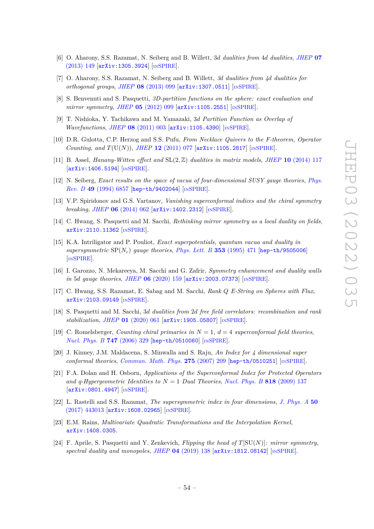- <span id="page-54-0"></span>[6] O. Aharony, S.S. Razamat, N. Seiberg and B. Willett, 3*d dualities from* 4*d dualities*, *[JHEP](https://doi.org/10.1007/JHEP07(2013)149)* **07** [\(2013\) 149](https://doi.org/10.1007/JHEP07(2013)149) [[arXiv:1305.3924](https://arxiv.org/abs/1305.3924)] [IN[SPIRE](https://inspirehep.net/search?p=find+EPRINT%2BarXiv%3A1305.3924)].
- <span id="page-54-1"></span>[7] O. Aharony, S.S. Razamat, N. Seiberg and B. Willett, *3d dualities from 4d dualities for orthogonal groups*, *JHEP* **08** [\(2013\) 099](https://doi.org/10.1007/JHEP08(2013)099) [[arXiv:1307.0511](https://arxiv.org/abs/1307.0511)] [IN[SPIRE](https://inspirehep.net/search?p=find+EPRINT%2BarXiv%3A1307.0511)].
- <span id="page-54-2"></span>[8] S. Benvenuti and S. Pasquetti, *3D-partition functions on the sphere: exact evaluation and mirror symmetry, JHEP* 05 [\(2012\) 099](https://doi.org/10.1007/JHEP05(2012)099) [[arXiv:1105.2551](https://arxiv.org/abs/1105.2551)] [IN[SPIRE](https://inspirehep.net/search?p=find+EPRINT%2BarXiv%3A1105.2551)].
- [9] T. Nishioka, Y. Tachikawa and M. Yamazaki, 3*d Partition Function as Overlap of Wavefunctions*, *JHEP* 08 [\(2011\) 003](https://doi.org/10.1007/JHEP08(2011)003) [[arXiv:1105.4390](https://arxiv.org/abs/1105.4390)] [IN[SPIRE](https://inspirehep.net/search?p=find+EPRINT%2BarXiv%3A1105.4390)].
- <span id="page-54-16"></span>[10] D.R. Gulotta, C.P. Herzog and S.S. Pufu, *From Necklace Quivers to the F-theorem, Operator Counting, and*  $T(U(N))$ , *JHEP* 12 [\(2011\) 077](https://doi.org/10.1007/JHEP12(2011)077) [[arXiv:1105.2817](https://arxiv.org/abs/1105.2817)] [IN[SPIRE](https://inspirehep.net/search?p=find+EPRINT%2BarXiv%3A1105.2817)].
- <span id="page-54-3"></span>[11] B. Assel, *Hanany-Witten effect and* SL(2*,* Z) *dualities in matrix models*, *JHEP* **10** [\(2014\) 117](https://doi.org/10.1007/JHEP10(2014)117) [[arXiv:1406.5194](https://arxiv.org/abs/1406.5194)] [IN[SPIRE](https://inspirehep.net/search?p=find+EPRINT%2BarXiv%3A1406.5194)].
- <span id="page-54-4"></span>[12] N. Seiberg, *Exact results on the space of vacua of four-dimensional SUSY gauge theories*, *[Phys.](https://doi.org/10.1103/PhysRevD.49.6857) Rev. D* **49** [\(1994\) 6857](https://doi.org/10.1103/PhysRevD.49.6857) [[hep-th/9402044](https://arxiv.org/abs/hep-th/9402044)] [IN[SPIRE](https://inspirehep.net/search?p=find+EPRINT%2Bhep-th%2F9402044)].
- <span id="page-54-5"></span>[13] V.P. Spiridonov and G.S. Vartanov, *Vanishing superconformal indices and the chiral symmetry breaking*, *JHEP* **06** [\(2014\) 062](https://doi.org/10.1007/JHEP06(2014)062) [[arXiv:1402.2312](https://arxiv.org/abs/1402.2312)] [IN[SPIRE](https://inspirehep.net/search?p=find+EPRINT%2BarXiv%3A1402.2312)].
- <span id="page-54-6"></span>[14] C. Hwang, S. Pasquetti and M. Sacchi, *Rethinking mirror symmetry as a local duality on fields*, [arXiv:2110.11362](https://arxiv.org/abs/2110.11362) [IN[SPIRE](https://inspirehep.net/search?p=find+EPRINT%2BarXiv%3A2110.11362)].
- <span id="page-54-7"></span>[15] K.A. Intriligator and P. Pouliot, *Exact superpotentials, quantum vacua and duality in supersymmetric* SP(*Nc*) *gauge theories*, *[Phys. Lett. B](https://doi.org/10.1016/0370-2693(95)00618-U)* **353** (1995) 471 [[hep-th/9505006](https://arxiv.org/abs/hep-th/9505006)] [IN[SPIRE](https://inspirehep.net/search?p=find+EPRINT%2Bhep-th%2F9505006)].
- <span id="page-54-8"></span>[16] I. Garozzo, N. Mekareeya, M. Sacchi and G. Zafrir, *Symmetry enhancement and duality walls in* 5*d gauge theories*, *JHEP* **06** [\(2020\) 159](https://doi.org/10.1007/JHEP06(2020)159) [[arXiv:2003.07373](https://arxiv.org/abs/2003.07373)] [IN[SPIRE](https://inspirehep.net/search?p=find+EPRINT%2BarXiv%3A2003.07373)].
- <span id="page-54-9"></span>[17] C. Hwang, S.S. Razamat, E. Sabag and M. Sacchi, *Rank Q E-String on Spheres with Flux*, [arXiv:2103.09149](https://arxiv.org/abs/2103.09149) [IN[SPIRE](https://inspirehep.net/search?p=find+EPRINT%2BarXiv%3A2103.09149)].
- <span id="page-54-10"></span>[18] S. Pasquetti and M. Sacchi, 3*d dualities from* 2*d free field correlators: recombination and rank stabilization*, *JHEP* **01** [\(2020\) 061](https://doi.org/10.1007/JHEP01(2020)061) [[arXiv:1905.05807](https://arxiv.org/abs/1905.05807)] [IN[SPIRE](https://inspirehep.net/search?p=find+EPRINT%2BarXiv%3A1905.05807)].
- <span id="page-54-11"></span>[19] C. Romelsberger, *Counting chiral primaries in N* = 1*, d* = 4 *superconformal field theories*, *[Nucl. Phys. B](https://doi.org/10.1016/j.nuclphysb.2006.03.037)* **747** (2006) 329 [[hep-th/0510060](https://arxiv.org/abs/hep-th/0510060)] [IN[SPIRE](https://inspirehep.net/search?p=find+EPRINT%2Bhep-th%2F0510060)].
- [20] J. Kinney, J.M. Maldacena, S. Minwalla and S. Raju, *An Index for 4 dimensional super conformal theories*, *[Commun. Math. Phys.](https://doi.org/10.1007/s00220-007-0258-7)* **275** (2007) 209 [[hep-th/0510251](https://arxiv.org/abs/hep-th/0510251)] [IN[SPIRE](https://inspirehep.net/search?p=find+EPRINT%2Bhep-th%2F0510251)].
- <span id="page-54-12"></span>[21] F.A. Dolan and H. Osborn, *Applications of the Superconformal Index for Protected Operators and q-Hypergeometric Identities to*  $N = 1$  *Dual Theories, [Nucl. Phys. B](https://doi.org/10.1016/j.nuclphysb.2009.01.028)* **818** (2009) 137 [[arXiv:0801.4947](https://arxiv.org/abs/0801.4947)] [IN[SPIRE](https://inspirehep.net/search?p=find+EPRINT%2BarXiv%3A0801.4947)].
- <span id="page-54-13"></span>[22] L. Rastelli and S.S. Razamat, *The supersymmetric index in four dimensions*, *[J. Phys. A](https://doi.org/10.1088/1751-8121/aa76a6)* **50** [\(2017\) 443013](https://doi.org/10.1088/1751-8121/aa76a6) [[arXiv:1608.02965](https://arxiv.org/abs/1608.02965)] [IN[SPIRE](https://inspirehep.net/search?p=find+EPRINT%2BarXiv%3A1608.02965)].
- <span id="page-54-14"></span>[23] E.M. Rains, *Multivariate Quadratic Transformations and the Interpolation Kernel*, [arXiv:1408.0305](https://arxiv.org/abs/1408.0305).
- <span id="page-54-15"></span>[24] F. Aprile, S. Pasquetti and Y. Zenkevich, *Flipping the head of T*[SU(*N*)]*: mirror symmetry, spectral duality and monopoles*, *JHEP* **04** [\(2019\) 138](https://doi.org/10.1007/JHEP04(2019)138) [[arXiv:1812.08142](https://arxiv.org/abs/1812.08142)] [IN[SPIRE](https://inspirehep.net/search?p=find+EPRINT%2BarXiv%3A1812.08142)].